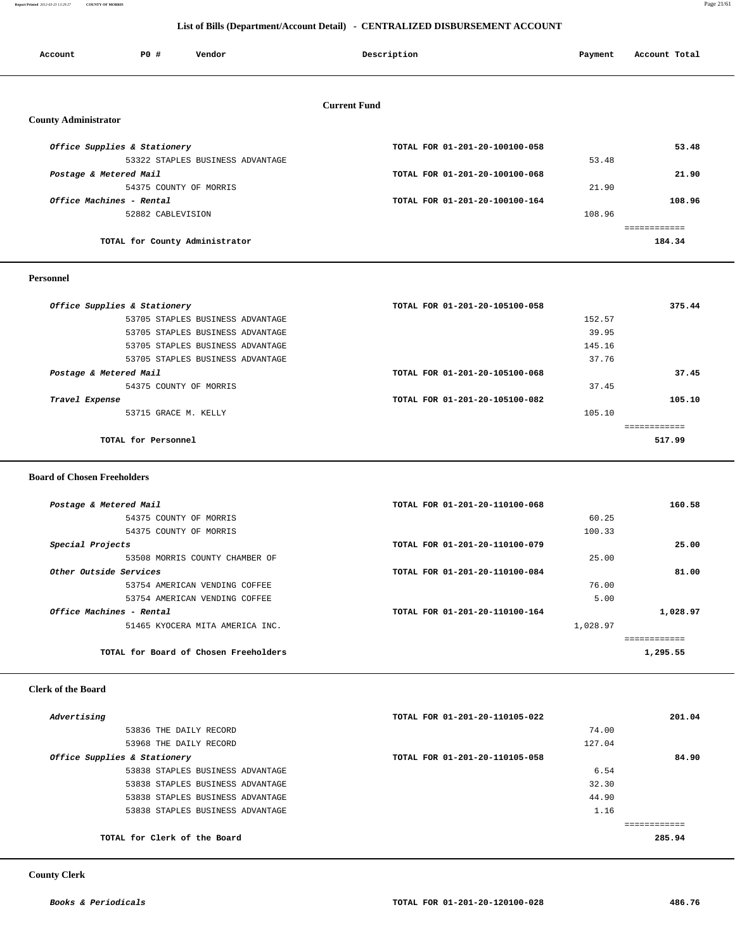**Report Printed** *2012-03-23 13:29:27* **COUNTY OF MORRIS** Page 21/61

## **List of Bills (Department/Account Detail) - CENTRALIZED DISBURSEMENT ACCOUNT**

| Account                      | PO#               | Vendor                           | Description                    | Payment | Account Total |  |
|------------------------------|-------------------|----------------------------------|--------------------------------|---------|---------------|--|
|                              |                   |                                  |                                |         |               |  |
|                              |                   |                                  |                                |         |               |  |
|                              |                   |                                  | <b>Current Fund</b>            |         |               |  |
| <b>County Administrator</b>  |                   |                                  |                                |         |               |  |
| Office Supplies & Stationery |                   |                                  | TOTAL FOR 01-201-20-100100-058 |         | 53.48         |  |
|                              |                   | 53322 STAPLES BUSINESS ADVANTAGE |                                | 53.48   |               |  |
| Postage & Metered Mail       |                   |                                  | TOTAL FOR 01-201-20-100100-068 |         | 21.90         |  |
|                              |                   | 54375 COUNTY OF MORRIS           |                                | 21.90   |               |  |
| Office Machines - Rental     |                   |                                  | TOTAL FOR 01-201-20-100100-164 |         | 108.96        |  |
|                              | 52882 CABLEVISION |                                  |                                | 108.96  |               |  |
|                              |                   |                                  |                                |         | ============  |  |
|                              |                   | TOTAL for County Administrator   |                                |         | 184.34        |  |
|                              |                   |                                  |                                |         |               |  |

### **Personnel**

| Office Supplies & Stationery     | TOTAL FOR 01-201-20-105100-058 | 375.44 |
|----------------------------------|--------------------------------|--------|
| 53705 STAPLES BUSINESS ADVANTAGE | 152.57                         |        |
| 53705 STAPLES BUSINESS ADVANTAGE | 39.95                          |        |
| 53705 STAPLES BUSINESS ADVANTAGE | 145.16                         |        |
| 53705 STAPLES BUSINESS ADVANTAGE | 37.76                          |        |
| Postage & Metered Mail           | TOTAL FOR 01-201-20-105100-068 | 37.45  |
| 54375 COUNTY OF MORRIS           | 37.45                          |        |
| Travel Expense                   | TOTAL FOR 01-201-20-105100-082 | 105.10 |
| 53715 GRACE M. KELLY             | 105.10                         |        |
|                                  |                                |        |
| TOTAL for Personnel              |                                | 517.99 |
|                                  |                                |        |

### **Board of Chosen Freeholders**

| Postage & Metered Mail                | TOTAL FOR 01-201-20-110100-068 | 160.58   |
|---------------------------------------|--------------------------------|----------|
| 54375 COUNTY OF MORRIS                | 60.25                          |          |
| 54375 COUNTY OF MORRIS                | 100.33                         |          |
| Special Projects                      | TOTAL FOR 01-201-20-110100-079 | 25.00    |
| 53508 MORRIS COUNTY CHAMBER OF        | 25.00                          |          |
| Other Outside Services                | TOTAL FOR 01-201-20-110100-084 | 81.00    |
| 53754 AMERICAN VENDING COFFEE         | 76.00                          |          |
| 53754 AMERICAN VENDING COFFEE         | 5.00                           |          |
| Office Machines - Rental              | TOTAL FOR 01-201-20-110100-164 | 1,028.97 |
| 51465 KYOCERA MITA AMERICA INC.       | 1,028.97                       |          |
|                                       |                                |          |
| TOTAL for Board of Chosen Freeholders |                                | 1,295.55 |

### **Clerk of the Board**

| Advertising                      | TOTAL FOR 01-201-20-110105-022 | 201.04 |
|----------------------------------|--------------------------------|--------|
| 53836 THE DAILY RECORD           | 74.00                          |        |
| 53968 THE DAILY RECORD           | 127.04                         |        |
| Office Supplies & Stationery     | TOTAL FOR 01-201-20-110105-058 | 84.90  |
| 53838 STAPLES BUSINESS ADVANTAGE | 6.54                           |        |
| 53838 STAPLES BUSINESS ADVANTAGE | 32.30                          |        |
| 53838 STAPLES BUSINESS ADVANTAGE | 44.90                          |        |
| 53838 STAPLES BUSINESS ADVANTAGE | 1.16                           |        |
|                                  |                                |        |
| TOTAL for Clerk of the Board     |                                | 285.94 |
|                                  |                                |        |

 **County Clerk**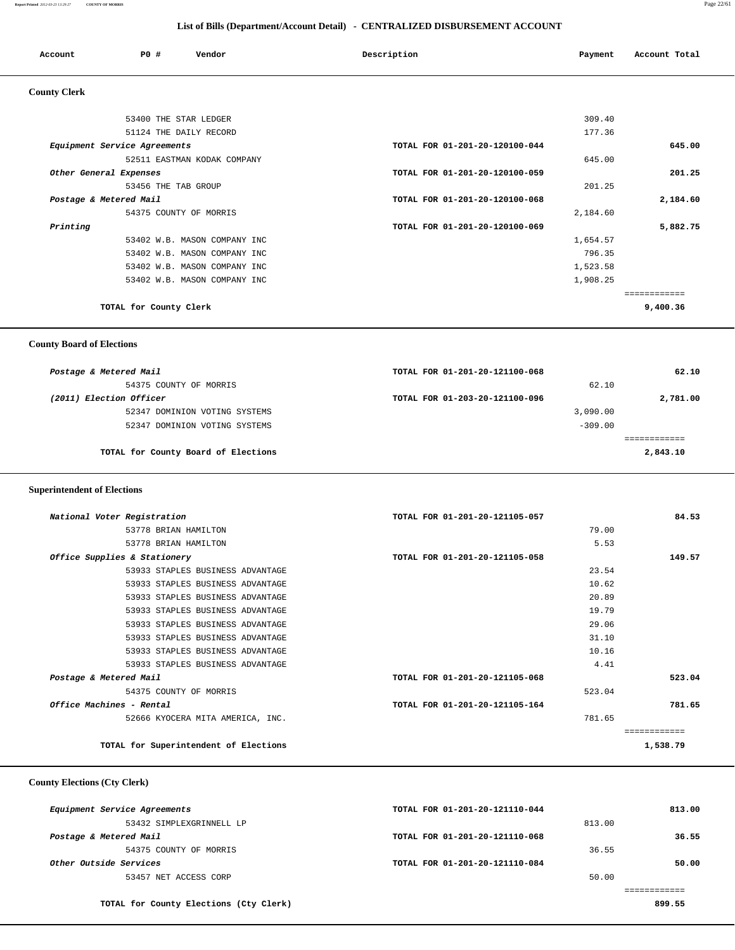**Report Printed** *2012-03-23 13:29:27* **COUNTY OF MORRIS** Page 22/61

## **List of Bills (Department/Account Detail) - CENTRALIZED DISBURSEMENT ACCOUNT**

| Account             | P0 # | Vendor | Description | Payment | Account Total |
|---------------------|------|--------|-------------|---------|---------------|
| <b>County Clerk</b> |      |        |             |         |               |

| 53400 THE STAR LEDGER        | 309.40                         |          |
|------------------------------|--------------------------------|----------|
| 51124 THE DAILY RECORD       | 177.36                         |          |
| Equipment Service Agreements | TOTAL FOR 01-201-20-120100-044 | 645.00   |
| 52511 EASTMAN KODAK COMPANY  | 645.00                         |          |
| Other General Expenses       | TOTAL FOR 01-201-20-120100-059 | 201.25   |
| 53456 THE TAB GROUP          | 201.25                         |          |
| Postage & Metered Mail       | TOTAL FOR 01-201-20-120100-068 | 2,184.60 |
| 54375 COUNTY OF MORRIS       | 2,184.60                       |          |
| Printing                     | TOTAL FOR 01-201-20-120100-069 | 5,882.75 |
| 53402 W.B. MASON COMPANY INC | 1,654.57                       |          |
| 53402 W.B. MASON COMPANY INC | 796.35                         |          |
| 53402 W.B. MASON COMPANY INC | 1,523.58                       |          |
| 53402 W.B. MASON COMPANY INC | 1,908.25                       |          |
|                              |                                |          |
| TOTAL for County Clerk       | 9,400.36                       |          |
|                              |                                |          |

 **County Board of Elections**

| Postage & Metered Mail              | TOTAL FOR 01-201-20-121100-068 | 62.10    |
|-------------------------------------|--------------------------------|----------|
| 54375 COUNTY OF MORRIS              | 62.10                          |          |
| (2011) Election Officer             | TOTAL FOR 01-203-20-121100-096 | 2,781.00 |
| 52347 DOMINION VOTING SYSTEMS       | 3,090.00                       |          |
| 52347 DOMINION VOTING SYSTEMS       | $-309.00$                      |          |
|                                     |                                |          |
| TOTAL for County Board of Elections |                                | 2,843.10 |
|                                     |                                |          |

## **Superintendent of Elections**

| National Voter Registration           | TOTAL FOR 01-201-20-121105-057 | 84.53        |
|---------------------------------------|--------------------------------|--------------|
| 53778 BRIAN HAMILTON                  | 79.00                          |              |
| 53778 BRIAN HAMILTON                  | 5.53                           |              |
| Office Supplies & Stationery          | TOTAL FOR 01-201-20-121105-058 | 149.57       |
| 53933 STAPLES BUSINESS ADVANTAGE      | 23.54                          |              |
| 53933 STAPLES BUSINESS ADVANTAGE      | 10.62                          |              |
| 53933 STAPLES BUSINESS ADVANTAGE      | 20.89                          |              |
| 53933 STAPLES BUSINESS ADVANTAGE      | 19.79                          |              |
| 53933 STAPLES BUSINESS ADVANTAGE      | 29.06                          |              |
| 53933 STAPLES BUSINESS ADVANTAGE      | 31.10                          |              |
| 53933 STAPLES BUSINESS ADVANTAGE      | 10.16                          |              |
| 53933 STAPLES BUSINESS ADVANTAGE      | 4.41                           |              |
| Postage & Metered Mail                | TOTAL FOR 01-201-20-121105-068 | 523.04       |
| 54375 COUNTY OF MORRIS                | 523.04                         |              |
| Office Machines - Rental              | TOTAL FOR 01-201-20-121105-164 | 781.65       |
| 52666 KYOCERA MITA AMERICA, INC.      | 781.65                         |              |
|                                       |                                | ------------ |
| TOTAL for Superintendent of Elections |                                | 1,538.79     |
|                                       |                                |              |

## **County Elections (Cty Clerk)**

| Equipment Service Agreements           | TOTAL FOR 01-201-20-121110-044 | 813.00 |
|----------------------------------------|--------------------------------|--------|
| 53432 SIMPLEXGRINNELL LP               | 813.00                         |        |
| Postage & Metered Mail                 | TOTAL FOR 01-201-20-121110-068 | 36.55  |
| 54375 COUNTY OF MORRIS                 | 36.55                          |        |
| Other Outside Services                 | TOTAL FOR 01-201-20-121110-084 | 50.00  |
| 53457 NET ACCESS CORP                  | 50.00                          |        |
|                                        |                                |        |
| TOTAL for County Elections (Cty Clerk) |                                | 899.55 |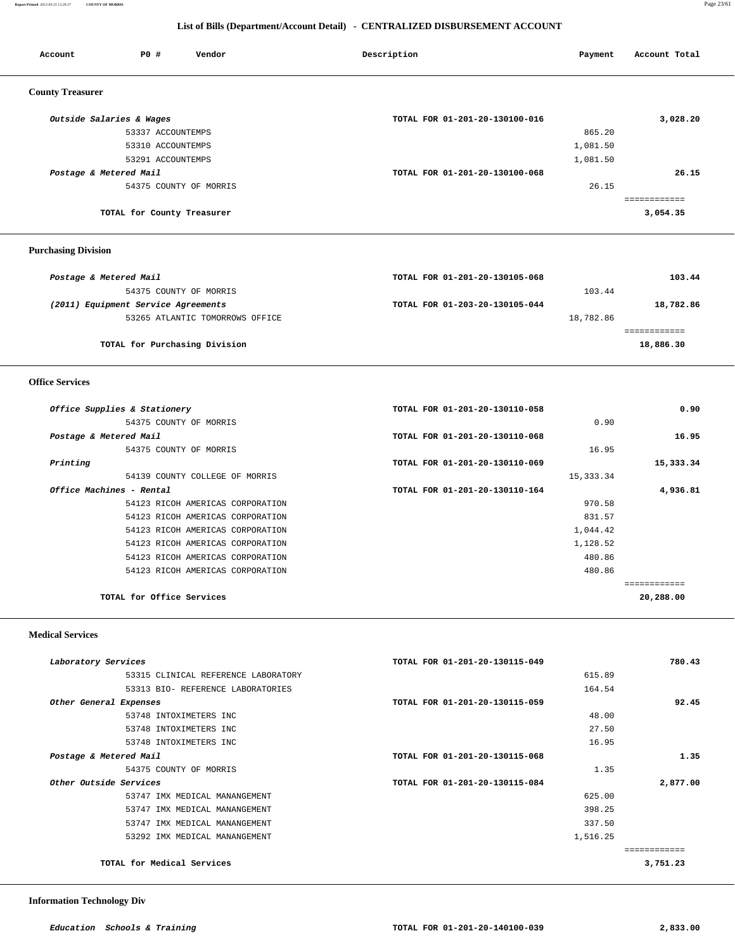**Report Printed** *2012-03-23 13:29:27* **COUNTY OF MORRIS** Page 23/61

## **List of Bills (Department/Account Detail) - CENTRALIZED DISBURSEMENT ACCOUNT**

| Account                    | PO#<br>Vendor                       | Description                    | Payment    | Account Total             |
|----------------------------|-------------------------------------|--------------------------------|------------|---------------------------|
| <b>County Treasurer</b>    |                                     |                                |            |                           |
|                            | Outside Salaries & Wages            | TOTAL FOR 01-201-20-130100-016 |            | 3,028.20                  |
|                            | 53337 ACCOUNTEMPS                   |                                | 865.20     |                           |
|                            | 53310 ACCOUNTEMPS                   |                                | 1,081.50   |                           |
|                            | 53291 ACCOUNTEMPS                   |                                | 1,081.50   |                           |
|                            | Postage & Metered Mail              | TOTAL FOR 01-201-20-130100-068 |            | 26.15                     |
|                            | 54375 COUNTY OF MORRIS              |                                | 26.15      |                           |
|                            |                                     |                                |            | ============              |
|                            | TOTAL for County Treasurer          |                                |            | 3,054.35                  |
| <b>Purchasing Division</b> |                                     |                                |            |                           |
|                            | Postage & Metered Mail              | TOTAL FOR 01-201-20-130105-068 |            | 103.44                    |
|                            | 54375 COUNTY OF MORRIS              |                                | 103.44     |                           |
|                            | (2011) Equipment Service Agreements | TOTAL FOR 01-203-20-130105-044 |            | 18,782.86                 |
|                            | 53265 ATLANTIC TOMORROWS OFFICE     |                                | 18,782.86  |                           |
|                            | TOTAL for Purchasing Division       |                                |            | ============<br>18,886.30 |
| <b>Office Services</b>     |                                     |                                |            |                           |
|                            | Office Supplies & Stationery        | TOTAL FOR 01-201-20-130110-058 |            | 0.90                      |
|                            | 54375 COUNTY OF MORRIS              |                                | 0.90       |                           |
|                            | Postage & Metered Mail              | TOTAL FOR 01-201-20-130110-068 |            | 16.95                     |
|                            | 54375 COUNTY OF MORRIS              |                                | 16.95      |                           |
| Printing                   |                                     | TOTAL FOR 01-201-20-130110-069 |            | 15,333.34                 |
|                            | 54139 COUNTY COLLEGE OF MORRIS      |                                | 15, 333.34 |                           |
|                            | Office Machines - Rental            | TOTAL FOR 01-201-20-130110-164 |            | 4,936.81                  |
|                            | 54123 RICOH AMERICAS CORPORATION    |                                | 970.58     |                           |
|                            | 54123 RICOH AMERICAS CORPORATION    |                                | 831.57     |                           |
|                            | 54123 RICOH AMERICAS CORPORATION    |                                | 1,044.42   |                           |
|                            | 54123 RICOH AMERICAS CORPORATION    |                                | 1,128.52   |                           |
|                            | 54123 RICOH AMERICAS CORPORATION    |                                | 480.86     |                           |

**TOTAL for Office Services 20,288.00**

### **Medical Services**

| TOTAL FOR 01-201-20-130115-049 | 780.43                                                                                        |
|--------------------------------|-----------------------------------------------------------------------------------------------|
|                                |                                                                                               |
|                                |                                                                                               |
| TOTAL FOR 01-201-20-130115-059 | 92.45                                                                                         |
|                                |                                                                                               |
|                                |                                                                                               |
|                                |                                                                                               |
| TOTAL FOR 01-201-20-130115-068 | 1.35                                                                                          |
|                                |                                                                                               |
| TOTAL FOR 01-201-20-130115-084 | 2,877.00                                                                                      |
|                                |                                                                                               |
|                                |                                                                                               |
|                                |                                                                                               |
|                                |                                                                                               |
|                                |                                                                                               |
|                                | 3,751.23                                                                                      |
|                                | 615.89<br>164.54<br>48.00<br>27.50<br>16.95<br>1.35<br>625.00<br>398.25<br>337.50<br>1,516.25 |

54123 RICOH AMERICAS CORPORATION 480.86

============

### **Information Technology Div**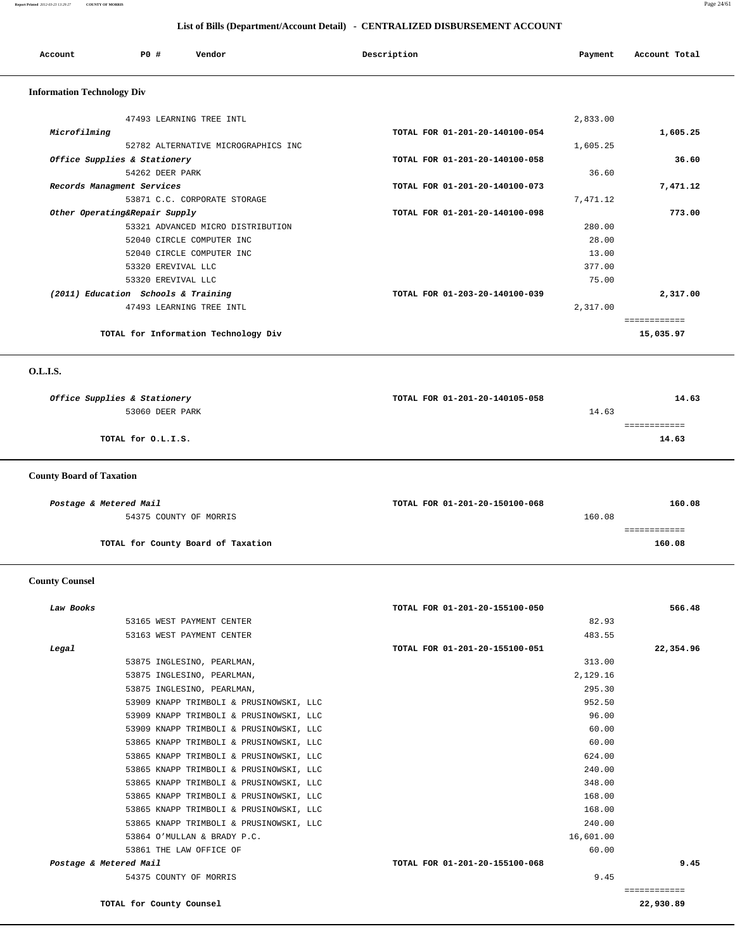### **Report Printed** *2012-03-23 13:29:27* **COUNTY OF MORRIS** Page 24/61

|                                   | List of Bills (Department/Account Detail) - CENTRALIZED DISBURSEMENT ACCOUNT |                                |          |               |
|-----------------------------------|------------------------------------------------------------------------------|--------------------------------|----------|---------------|
| Account                           | PO#<br>Vendor                                                                | Description                    | Payment  | Account Total |
| <b>Information Technology Div</b> |                                                                              |                                |          |               |
|                                   | 47493 LEARNING TREE INTL                                                     |                                | 2,833.00 |               |
| Microfilming                      |                                                                              | TOTAL FOR 01-201-20-140100-054 |          | 1,605.25      |
|                                   | 52782 ALTERNATIVE MICROGRAPHICS INC                                          |                                | 1,605.25 |               |
|                                   | Office Supplies & Stationery                                                 | TOTAL FOR 01-201-20-140100-058 |          | 36.60         |
|                                   | 54262 DEER PARK                                                              |                                | 36.60    |               |
|                                   | Records Managment Services                                                   | TOTAL FOR 01-201-20-140100-073 |          | 7,471.12      |
|                                   | 53871 C.C. CORPORATE STORAGE                                                 |                                | 7,471.12 |               |
|                                   | Other Operating&Repair Supply                                                | TOTAL FOR 01-201-20-140100-098 |          | 773.00        |
|                                   | 53321 ADVANCED MICRO DISTRIBUTION                                            |                                | 280.00   |               |
|                                   | 52040 CIRCLE COMPUTER INC                                                    |                                | 28.00    |               |
|                                   | 52040 CIRCLE COMPUTER INC                                                    |                                | 13.00    |               |
|                                   | 53320 EREVIVAL LLC                                                           |                                | 377.00   |               |
|                                   | 53320 EREVIVAL LLC                                                           |                                | 75.00    |               |
|                                   | (2011) Education Schools & Training                                          | TOTAL FOR 01-203-20-140100-039 |          | 2,317.00      |
|                                   | 47493 LEARNING TREE INTL                                                     |                                | 2,317.00 |               |

 ============ **TOTAL for Information Technology Div 15,035.97**

### **O.L.I.S.**

| Office Supplies & Stationery | TOTAL FOR 01-201-20-140105-058 | 14.63 |
|------------------------------|--------------------------------|-------|
| 53060 DEER PARK              | 14.63                          |       |
|                              |                                |       |
| TOTAL for O.L.I.S.           |                                | 14.63 |
|                              |                                |       |

## **County Board of Taxation**

| Postage & Metered Mail             | TOTAL FOR 01-201-20-150100-068 | 160.08 |
|------------------------------------|--------------------------------|--------|
| 54375 COUNTY OF MORRIS             | 160.08                         |        |
|                                    |                                |        |
| TOTAL for County Board of Taxation |                                | 160.08 |

## **County Counsel**

| Law Books              |                                         | TOTAL FOR 01-201-20-155100-050 | 566.48       |
|------------------------|-----------------------------------------|--------------------------------|--------------|
|                        | 53165 WEST PAYMENT CENTER               | 82.93                          |              |
|                        | 53163 WEST PAYMENT CENTER               | 483.55                         |              |
| Legal                  |                                         | TOTAL FOR 01-201-20-155100-051 | 22,354.96    |
|                        | 53875 INGLESINO, PEARLMAN,              | 313.00                         |              |
|                        | 53875 INGLESINO, PEARLMAN,              | 2,129.16                       |              |
|                        | 53875 INGLESINO, PEARLMAN,              | 295.30                         |              |
|                        | 53909 KNAPP TRIMBOLI & PRUSINOWSKI, LLC | 952.50                         |              |
|                        | 53909 KNAPP TRIMBOLI & PRUSINOWSKI, LLC | 96.00                          |              |
|                        | 53909 KNAPP TRIMBOLI & PRUSINOWSKI, LLC | 60.00                          |              |
|                        | 53865 KNAPP TRIMBOLI & PRUSINOWSKI, LLC | 60.00                          |              |
|                        | 53865 KNAPP TRIMBOLI & PRUSINOWSKI, LLC | 624.00                         |              |
|                        | 53865 KNAPP TRIMBOLI & PRUSINOWSKI, LLC | 240.00                         |              |
|                        | 53865 KNAPP TRIMBOLI & PRUSINOWSKI, LLC | 348.00                         |              |
|                        | 53865 KNAPP TRIMBOLI & PRUSINOWSKI, LLC | 168.00                         |              |
|                        | 53865 KNAPP TRIMBOLI & PRUSINOWSKI, LLC | 168.00                         |              |
|                        | 53865 KNAPP TRIMBOLI & PRUSINOWSKI, LLC | 240.00                         |              |
|                        | 53864 O'MULLAN & BRADY P.C.             | 16,601.00                      |              |
|                        | 53861 THE LAW OFFICE OF                 | 60.00                          |              |
| Postage & Metered Mail |                                         | TOTAL FOR 01-201-20-155100-068 | 9.45         |
|                        | 54375 COUNTY OF MORRIS                  | 9.45                           |              |
|                        |                                         |                                | ============ |
|                        | TOTAL for County Counsel                |                                | 22,930.89    |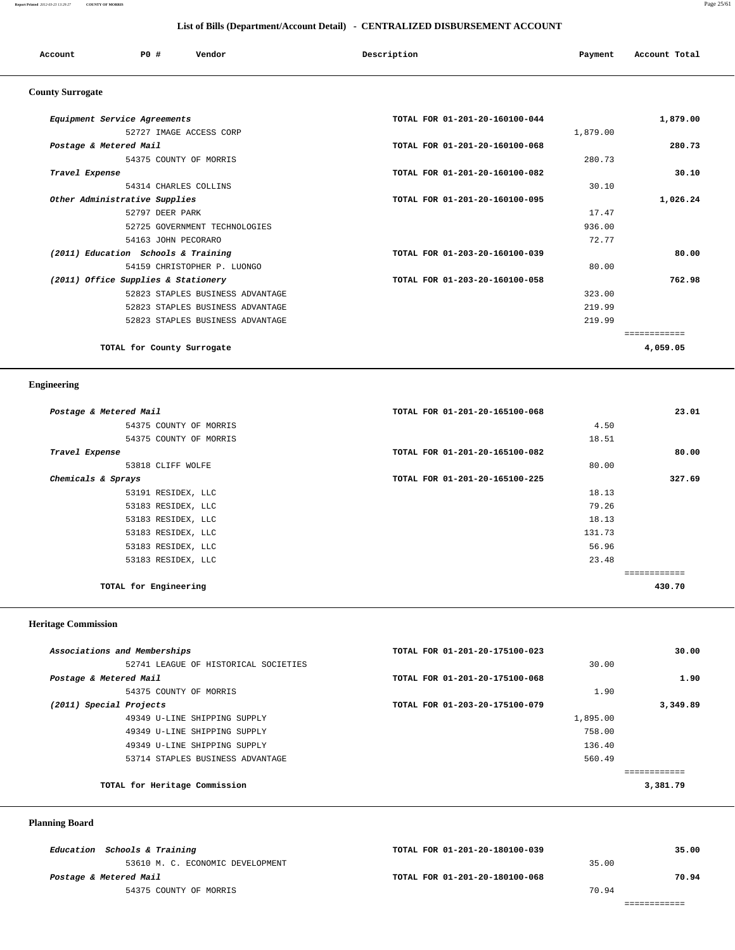### **Report Printed** *2012-03-23 13:29:27* **COUNTY OF MORRIS** Page 25/61

|                                     |                     |                                  | List of Bills (Department/Account Detail) - CENTRALIZED DISBURSEMENT ACCOUNT |          |               |
|-------------------------------------|---------------------|----------------------------------|------------------------------------------------------------------------------|----------|---------------|
| Account                             | PO#                 | Vendor                           | Description                                                                  | Payment  | Account Total |
| <b>County Surrogate</b>             |                     |                                  |                                                                              |          |               |
| Equipment Service Agreements        |                     |                                  | TOTAL FOR 01-201-20-160100-044                                               |          | 1,879.00      |
|                                     |                     | 52727 IMAGE ACCESS CORP          |                                                                              | 1,879.00 |               |
| Postage & Metered Mail              |                     |                                  | TOTAL FOR 01-201-20-160100-068                                               |          | 280.73        |
|                                     |                     | 54375 COUNTY OF MORRIS           |                                                                              | 280.73   |               |
| Travel Expense                      |                     |                                  | TOTAL FOR 01-201-20-160100-082                                               |          | 30.10         |
|                                     |                     | 54314 CHARLES COLLINS            |                                                                              | 30.10    |               |
| Other Administrative Supplies       |                     |                                  | TOTAL FOR 01-201-20-160100-095                                               |          | 1,026.24      |
|                                     | 52797 DEER PARK     |                                  |                                                                              | 17.47    |               |
|                                     |                     | 52725 GOVERNMENT TECHNOLOGIES    |                                                                              | 936.00   |               |
|                                     | 54163 JOHN PECORARO |                                  |                                                                              | 72.77    |               |
| (2011) Education Schools & Training |                     |                                  | TOTAL FOR 01-203-20-160100-039                                               |          | 80.00         |
|                                     |                     | 54159 CHRISTOPHER P. LUONGO      |                                                                              | 80.00    |               |
| (2011) Office Supplies & Stationery |                     |                                  | TOTAL FOR 01-203-20-160100-058                                               |          | 762.98        |
|                                     |                     | 52823 STAPLES BUSINESS ADVANTAGE |                                                                              | 323.00   |               |
|                                     |                     | 52823 STAPLES BUSINESS ADVANTAGE |                                                                              | 219.99   |               |

52823 STAPLES BUSINESS ADVANTAGE 219.99

============

**TOTAL for County Surrogate 4,059.05**

## **Engineering**

| Postage & Metered Mail | TOTAL FOR 01-201-20-165100-068 | 23.01  |
|------------------------|--------------------------------|--------|
| 54375 COUNTY OF MORRIS | 4.50                           |        |
| 54375 COUNTY OF MORRIS | 18.51                          |        |
| Travel Expense         | TOTAL FOR 01-201-20-165100-082 | 80.00  |
| 53818 CLIFF WOLFE      | 80.00                          |        |
| Chemicals & Sprays     | TOTAL FOR 01-201-20-165100-225 | 327.69 |
| 53191 RESIDEX, LLC     | 18.13                          |        |
| 53183 RESIDEX, LLC     | 79.26                          |        |
| 53183 RESIDEX, LLC     | 18.13                          |        |
| 53183 RESIDEX, LLC     | 131.73                         |        |
| 53183 RESIDEX, LLC     | 56.96                          |        |
| 53183 RESIDEX, LLC     | 23.48                          |        |
|                        |                                |        |
| TOTAL for Engineering  |                                | 430.70 |
|                        |                                |        |

### **Heritage Commission**

| Associations and Memberships         | TOTAL FOR 01-201-20-175100-023 |          | 30.00    |
|--------------------------------------|--------------------------------|----------|----------|
| 52741 LEAGUE OF HISTORICAL SOCIETIES |                                | 30.00    |          |
| Postage & Metered Mail               | TOTAL FOR 01-201-20-175100-068 |          | 1.90     |
| 54375 COUNTY OF MORRIS               |                                | 1.90     |          |
| (2011) Special Projects              | TOTAL FOR 01-203-20-175100-079 |          | 3,349.89 |
| 49349 U-LINE SHIPPING SUPPLY         |                                | 1,895.00 |          |
| 49349 U-LINE SHIPPING SUPPLY         |                                | 758.00   |          |
| 49349 U-LINE SHIPPING SUPPLY         |                                | 136.40   |          |
| 53714 STAPLES BUSINESS ADVANTAGE     |                                | 560.49   |          |
|                                      |                                |          |          |
| TOTAL for Heritage Commission        |                                |          | 3,381.79 |
|                                      |                                |          |          |

## **Planning Board**

| Education Schools & Training     | TOTAL FOR 01-201-20-180100-039 |       | 35.00 |
|----------------------------------|--------------------------------|-------|-------|
| 53610 M. C. ECONOMIC DEVELOPMENT |                                | 35.00 |       |
| Postage & Metered Mail           | TOTAL FOR 01-201-20-180100-068 |       | 70.94 |
| 54375 COUNTY OF MORRIS           |                                | 70.94 |       |
|                                  |                                |       |       |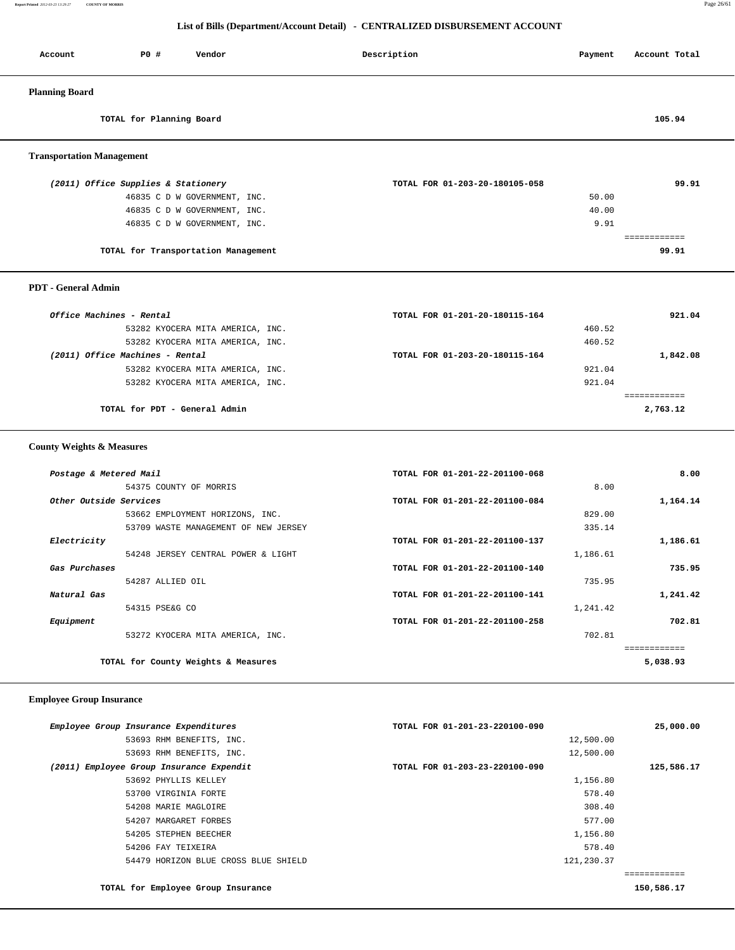**Report Printed** *2012-03-23 13:29:27* **COUNTY OF MORRIS** Page 26/61

## **List of Bills (Department/Account Detail) - CENTRALIZED DISBURSEMENT ACCOUNT**

| Account                          | PO#                                 | Vendor                              | Description                    | Payment | Account Total |
|----------------------------------|-------------------------------------|-------------------------------------|--------------------------------|---------|---------------|
| <b>Planning Board</b>            |                                     |                                     |                                |         |               |
|                                  | TOTAL for Planning Board            |                                     |                                |         | 105.94        |
| <b>Transportation Management</b> |                                     |                                     |                                |         |               |
|                                  | (2011) Office Supplies & Stationery |                                     | TOTAL FOR 01-203-20-180105-058 |         | 99.91         |
|                                  |                                     | 46835 C D W GOVERNMENT, INC.        |                                | 50.00   |               |
|                                  |                                     | 46835 C D W GOVERNMENT, INC.        |                                | 40.00   |               |
|                                  |                                     | 46835 C D W GOVERNMENT, INC.        |                                | 9.91    |               |
|                                  |                                     |                                     |                                |         | ============  |
|                                  |                                     | TOTAL for Transportation Management |                                |         | 99.91         |
| <b>PDT</b> - General Admin       |                                     |                                     |                                |         |               |
|                                  | Office Machines - Rental            |                                     | TOTAL FOR 01-201-20-180115-164 |         | 921.04        |
|                                  |                                     | 53282 KYOCERA MITA AMERICA, INC.    |                                | 460.52  |               |
|                                  |                                     | 53282 KYOCERA MITA AMERICA, INC.    |                                | 460.52  |               |
|                                  | (2011) Office Machines - Rental     |                                     | TOTAL FOR 01-203-20-180115-164 |         | 1,842.08      |
|                                  |                                     | 53282 KYOCERA MITA AMERICA, INC.    |                                | 921.04  |               |
|                                  |                                     | 53282 KYOCERA MITA AMERICA, INC.    |                                | 921.04  |               |
|                                  |                                     |                                     |                                |         | ============  |
|                                  | TOTAL for PDT - General Admin       |                                     |                                |         | 2,763.12      |

 **County Weights & Measures**

| Postage & Metered Mail |                                      | TOTAL FOR 01-201-22-201100-068 |          | 8.00        |
|------------------------|--------------------------------------|--------------------------------|----------|-------------|
|                        | 54375 COUNTY OF MORRIS               |                                | 8.00     |             |
| Other Outside Services |                                      | TOTAL FOR 01-201-22-201100-084 |          | 1,164.14    |
|                        | 53662 EMPLOYMENT HORIZONS, INC.      |                                | 829.00   |             |
|                        | 53709 WASTE MANAGEMENT OF NEW JERSEY |                                | 335.14   |             |
| Electricity            |                                      | TOTAL FOR 01-201-22-201100-137 |          | 1,186.61    |
|                        | 54248 JERSEY CENTRAL POWER & LIGHT   |                                | 1,186.61 |             |
| Gas Purchases          |                                      | TOTAL FOR 01-201-22-201100-140 |          | 735.95      |
|                        | 54287 ALLIED OIL                     |                                | 735.95   |             |
| Natural Gas            |                                      | TOTAL FOR 01-201-22-201100-141 |          | 1,241.42    |
|                        | 54315 PSE&G CO                       |                                | 1,241.42 |             |
| Equipment              |                                      | TOTAL FOR 01-201-22-201100-258 |          | 702.81      |
|                        | 53272 KYOCERA MITA AMERICA, INC.     |                                | 702.81   |             |
|                        |                                      |                                |          | =========== |
|                        | TOTAL for County Weights & Measures  |                                |          | 5,038.93    |
|                        |                                      |                                |          |             |

## **Employee Group Insurance**

| Employee Group Insurance Expenditures    | TOTAL FOR 01-201-23-220100-090 | 25,000.00  |
|------------------------------------------|--------------------------------|------------|
| 53693 RHM BENEFITS, INC.                 |                                | 12,500.00  |
| 53693 RHM BENEFITS, INC.                 |                                | 12,500.00  |
| (2011) Employee Group Insurance Expendit | TOTAL FOR 01-203-23-220100-090 | 125,586.17 |
| 53692 PHYLLIS KELLEY                     |                                | 1,156.80   |
| 53700 VIRGINIA FORTE                     |                                | 578.40     |
| 54208 MARIE MAGLOIRE                     |                                | 308.40     |
| 54207 MARGARET FORBES                    |                                | 577.00     |
| 54205 STEPHEN BEECHER                    |                                | 1,156.80   |
| 54206 FAY TEIXEIRA                       |                                | 578.40     |
| 54479 HORIZON BLUE CROSS BLUE SHIELD     |                                | 121,230.37 |
|                                          |                                |            |
| TOTAL for Employee Group Insurance       |                                | 150,586.17 |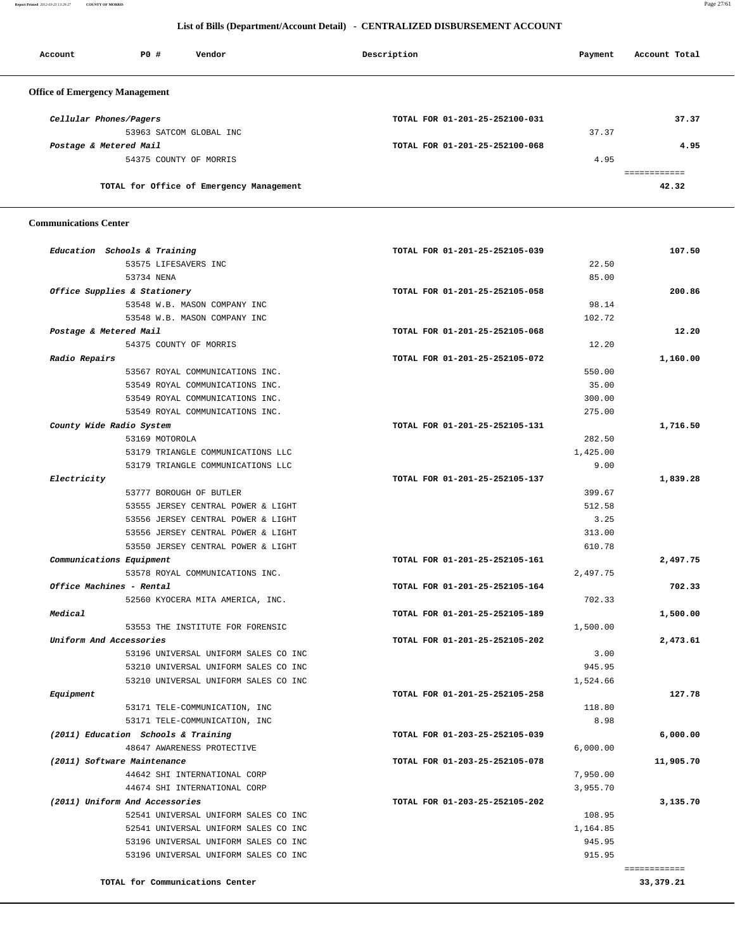**Report Printed** *2012-03-23 13:29:27* **COUNTY OF MORRIS** Page 27/61

## **List of Bills (Department/Account Detail) - CENTRALIZED DISBURSEMENT ACCOUNT**

| Account                               | PO# | Vendor                                   | Description                    | Payment | Account Total |
|---------------------------------------|-----|------------------------------------------|--------------------------------|---------|---------------|
| <b>Office of Emergency Management</b> |     |                                          |                                |         |               |
| Cellular Phones/Pagers                |     |                                          | TOTAL FOR 01-201-25-252100-031 |         | 37.37         |
|                                       |     | 53963 SATCOM GLOBAL INC                  |                                | 37.37   |               |
| Postage & Metered Mail                |     |                                          | TOTAL FOR 01-201-25-252100-068 |         | 4.95          |
|                                       |     | 54375 COUNTY OF MORRIS                   |                                | 4.95    |               |
|                                       |     |                                          |                                |         |               |
|                                       |     | TOTAL for Office of Emergency Management |                                |         | 42.32         |

 **Communications Center** 

| Education Schools & Training         | TOTAL FOR 01-201-25-252105-039 | 107.50       |
|--------------------------------------|--------------------------------|--------------|
| 53575 LIFESAVERS INC                 |                                | 22.50        |
| 53734 NENA                           |                                | 85.00        |
| Office Supplies & Stationery         | TOTAL FOR 01-201-25-252105-058 | 200.86       |
| 53548 W.B. MASON COMPANY INC         |                                | 98.14        |
| 53548 W.B. MASON COMPANY INC         | 102.72                         |              |
| Postage & Metered Mail               | TOTAL FOR 01-201-25-252105-068 | 12.20        |
| 54375 COUNTY OF MORRIS               | 12.20                          |              |
| Radio Repairs                        | TOTAL FOR 01-201-25-252105-072 | 1,160.00     |
| 53567 ROYAL COMMUNICATIONS INC.      | 550.00                         |              |
| 53549 ROYAL COMMUNICATIONS INC.      | 35.00                          |              |
| 53549 ROYAL COMMUNICATIONS INC.      | 300.00                         |              |
| 53549 ROYAL COMMUNICATIONS INC.      | 275.00                         |              |
| County Wide Radio System             | TOTAL FOR 01-201-25-252105-131 | 1,716.50     |
| 53169 MOTOROLA                       | 282.50                         |              |
| 53179 TRIANGLE COMMUNICATIONS LLC    | 1,425.00                       |              |
| 53179 TRIANGLE COMMUNICATIONS LLC    |                                | 9.00         |
| Electricity                          | TOTAL FOR 01-201-25-252105-137 | 1,839.28     |
| 53777 BOROUGH OF BUTLER              | 399.67                         |              |
| 53555 JERSEY CENTRAL POWER & LIGHT   | 512.58                         |              |
| 53556 JERSEY CENTRAL POWER & LIGHT   |                                | 3.25         |
| 53556 JERSEY CENTRAL POWER & LIGHT   | 313.00                         |              |
| 53550 JERSEY CENTRAL POWER & LIGHT   | 610.78                         |              |
| Communications Equipment             | TOTAL FOR 01-201-25-252105-161 | 2,497.75     |
| 53578 ROYAL COMMUNICATIONS INC.      | 2,497.75                       |              |
| Office Machines - Rental             | TOTAL FOR 01-201-25-252105-164 | 702.33       |
| 52560 KYOCERA MITA AMERICA, INC.     | 702.33                         |              |
| Medical                              | TOTAL FOR 01-201-25-252105-189 | 1,500.00     |
| 53553 THE INSTITUTE FOR FORENSIC     | 1,500.00                       |              |
| Uniform And Accessories              | TOTAL FOR 01-201-25-252105-202 | 2,473.61     |
| 53196 UNIVERSAL UNIFORM SALES CO INC |                                | 3.00         |
| 53210 UNIVERSAL UNIFORM SALES CO INC | 945.95                         |              |
| 53210 UNIVERSAL UNIFORM SALES CO INC | 1,524.66                       |              |
| Equipment                            | TOTAL FOR 01-201-25-252105-258 | 127.78       |
| 53171 TELE-COMMUNICATION, INC        | 118.80                         |              |
| 53171 TELE-COMMUNICATION, INC        |                                | 8.98         |
| (2011) Education Schools & Training  | TOTAL FOR 01-203-25-252105-039 | 6,000.00     |
| 48647 AWARENESS PROTECTIVE           | 6,000.00                       |              |
| (2011) Software Maintenance          | TOTAL FOR 01-203-25-252105-078 | 11,905.70    |
| 44642 SHI INTERNATIONAL CORP         | 7,950.00                       |              |
| 44674 SHI INTERNATIONAL CORP         | 3,955.70                       |              |
| (2011) Uniform And Accessories       | TOTAL FOR 01-203-25-252105-202 | 3,135.70     |
| 52541 UNIVERSAL UNIFORM SALES CO INC | 108.95                         |              |
| 52541 UNIVERSAL UNIFORM SALES CO INC | 1,164.85                       |              |
| 53196 UNIVERSAL UNIFORM SALES CO INC | 945.95                         |              |
| 53196 UNIVERSAL UNIFORM SALES CO INC | 915.95                         |              |
|                                      |                                | ============ |
| TOTAL for Communications Center      |                                | 33, 379. 21  |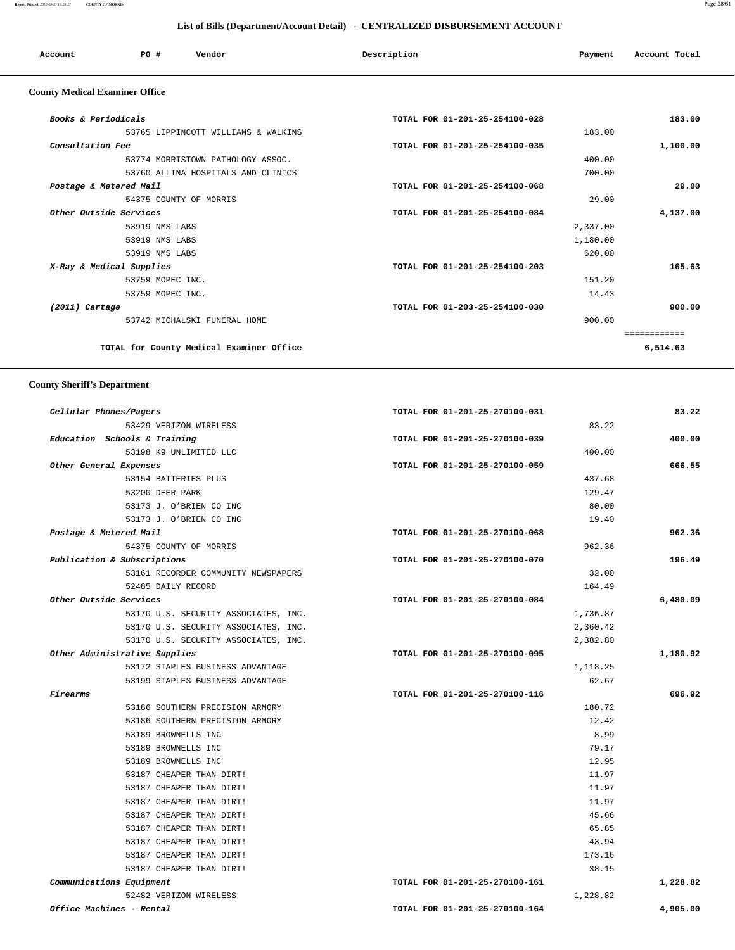### **Report Printed** *2012-03-23 13:29:27* **COUNTY OF MORRIS** Page 28/61

 **List of Bills (Department/Account Detail) - CENTRALIZED DISBURSEMENT ACCOUNT**

|                                       | List of Dills (Department/Account Detail) • CENTRALIZED DISDURSEMENT ACCOUNT |                                     |                                |          |               |  |  |
|---------------------------------------|------------------------------------------------------------------------------|-------------------------------------|--------------------------------|----------|---------------|--|--|
| Account                               | P0#                                                                          | Vendor                              | Description                    | Payment  | Account Total |  |  |
| <b>County Medical Examiner Office</b> |                                                                              |                                     |                                |          |               |  |  |
| Books & Periodicals                   |                                                                              |                                     | TOTAL FOR 01-201-25-254100-028 |          | 183.00        |  |  |
|                                       |                                                                              | 53765 LIPPINCOTT WILLIAMS & WALKINS |                                | 183.00   |               |  |  |
| Consultation Fee                      |                                                                              |                                     | TOTAL FOR 01-201-25-254100-035 |          | 1,100.00      |  |  |
|                                       |                                                                              | 53774 MORRISTOWN PATHOLOGY ASSOC.   |                                | 400.00   |               |  |  |
|                                       |                                                                              | 53760 ALLINA HOSPITALS AND CLINICS  |                                | 700.00   |               |  |  |
|                                       | Postage & Metered Mail                                                       |                                     | TOTAL FOR 01-201-25-254100-068 |          | 29.00         |  |  |
|                                       | 54375 COUNTY OF MORRIS                                                       |                                     |                                | 29.00    |               |  |  |
|                                       | Other Outside Services                                                       |                                     | TOTAL FOR 01-201-25-254100-084 |          | 4,137.00      |  |  |
|                                       | 53919 NMS LABS                                                               |                                     |                                | 2,337.00 |               |  |  |
|                                       | 53919 NMS LABS                                                               |                                     |                                | 1,180.00 |               |  |  |
|                                       | 53919 NMS LABS                                                               |                                     |                                | 620.00   |               |  |  |
|                                       | X-Ray & Medical Supplies                                                     |                                     | TOTAL FOR 01-201-25-254100-203 |          | 165.63        |  |  |
|                                       | 53759 MOPEC INC.                                                             |                                     |                                | 151.20   |               |  |  |
|                                       | 53759 MOPEC INC.                                                             |                                     |                                | 14.43    |               |  |  |
| $(2011)$ Cartage                      |                                                                              |                                     | TOTAL FOR 01-203-25-254100-030 |          | 900.00        |  |  |
|                                       |                                                                              | 53742 MICHALSKI FUNERAL HOME        |                                | 900.00   |               |  |  |
|                                       |                                                                              |                                     |                                |          | ============  |  |  |

**TOTAL for County Medical Examiner Office 6,514.63**

 **County Sheriff's Department**

| 83.22    | TOTAL FOR 01-201-25-270100-031 | Cellular Phones/Pagers               |
|----------|--------------------------------|--------------------------------------|
|          | 83.22                          | 53429 VERIZON WIRELESS               |
| 400.00   | TOTAL FOR 01-201-25-270100-039 | Education Schools & Training         |
|          | 400.00                         | 53198 K9 UNLIMITED LLC               |
| 666.55   | TOTAL FOR 01-201-25-270100-059 | Other General Expenses               |
|          | 437.68                         | 53154 BATTERIES PLUS                 |
|          | 129.47                         | 53200 DEER PARK                      |
|          | 80.00                          | 53173 J. O'BRIEN CO INC              |
|          | 19.40                          | 53173 J. O'BRIEN CO INC              |
| 962.36   | TOTAL FOR 01-201-25-270100-068 | Postage & Metered Mail               |
|          | 962.36                         | 54375 COUNTY OF MORRIS               |
| 196.49   | TOTAL FOR 01-201-25-270100-070 | Publication & Subscriptions          |
|          | 32.00                          | 53161 RECORDER COMMUNITY NEWSPAPERS  |
|          | 164.49                         | 52485 DAILY RECORD                   |
| 6,480.09 | TOTAL FOR 01-201-25-270100-084 | Other Outside Services               |
|          | 1,736.87                       | 53170 U.S. SECURITY ASSOCIATES, INC. |
|          | 2,360.42                       | 53170 U.S. SECURITY ASSOCIATES, INC. |
|          | 2,382.80                       | 53170 U.S. SECURITY ASSOCIATES, INC. |
| 1,180.92 | TOTAL FOR 01-201-25-270100-095 | Other Administrative Supplies        |
|          | 1,118.25                       | 53172 STAPLES BUSINESS ADVANTAGE     |
|          | 62.67                          | 53199 STAPLES BUSINESS ADVANTAGE     |
| 696.92   | TOTAL FOR 01-201-25-270100-116 | Firearms                             |
|          | 180.72                         | 53186 SOUTHERN PRECISION ARMORY      |
|          | 12.42                          | 53186 SOUTHERN PRECISION ARMORY      |
|          | 8.99                           | 53189 BROWNELLS INC                  |
|          | 79.17                          | 53189 BROWNELLS INC                  |
|          | 12.95                          | 53189 BROWNELLS INC                  |
|          | 11.97                          | 53187 CHEAPER THAN DIRT!             |
|          | 11.97                          | 53187 CHEAPER THAN DIRT!             |
|          | 11.97                          | 53187 CHEAPER THAN DIRT!             |
|          | 45.66                          | 53187 CHEAPER THAN DIRT!             |
|          | 65.85                          | 53187 CHEAPER THAN DIRT!             |
|          | 43.94                          | 53187 CHEAPER THAN DIRT!             |
|          | 173.16                         | 53187 CHEAPER THAN DIRT!             |
|          | 38.15                          | 53187 CHEAPER THAN DIRT!             |
| 1,228.82 | TOTAL FOR 01-201-25-270100-161 | Communications Equipment             |
|          |                                | 52482 VERIZON WIRELESS               |
|          | 1,228.82                       |                                      |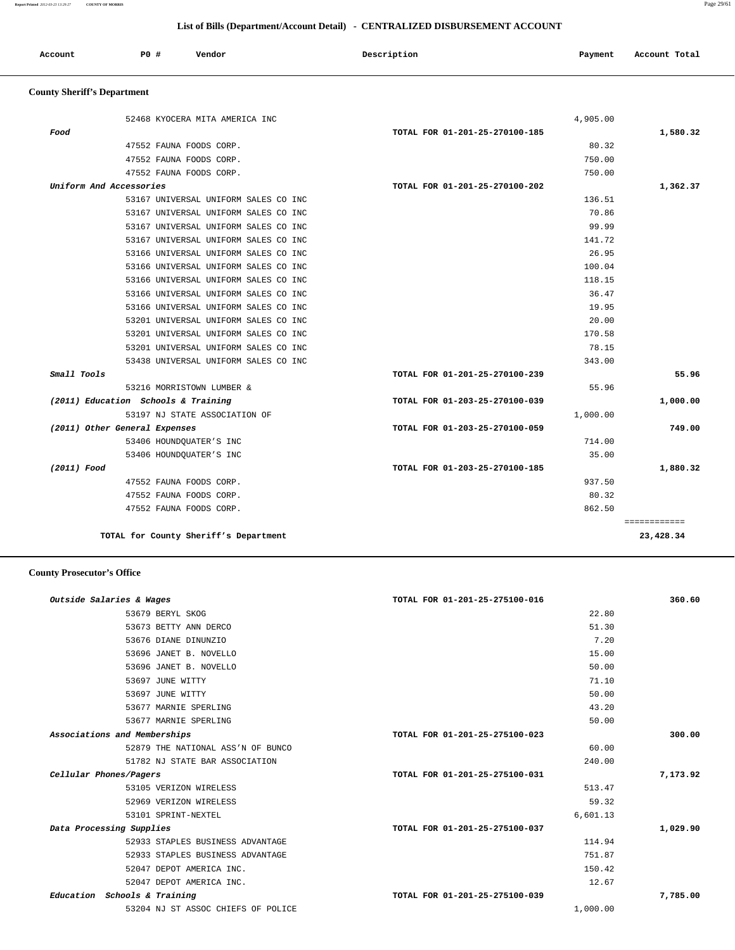**Report Printed** *2012-03-23 13:29:27* **COUNTY OF MORRIS** Page 29/61

## **List of Bills (Department/Account Detail) - CENTRALIZED DISBURSEMENT ACCOUNT**

| Account | P0 # | Vendor | Description | Payment | Account Total |
|---------|------|--------|-------------|---------|---------------|
|         |      |        |             |         |               |

# **County Sheriff's Department**

|                         | 52468 KYOCERA MITA AMERICA INC       | 4,905.00                       |          |
|-------------------------|--------------------------------------|--------------------------------|----------|
| Food                    |                                      | TOTAL FOR 01-201-25-270100-185 | 1,580.32 |
|                         | 47552 FAUNA FOODS CORP.              | 80.32                          |          |
|                         | 47552 FAUNA FOODS CORP.              | 750.00                         |          |
|                         | 47552 FAUNA FOODS CORP.              | 750.00                         |          |
| Uniform And Accessories |                                      | TOTAL FOR 01-201-25-270100-202 | 1,362.37 |
|                         | 53167 UNIVERSAL UNIFORM SALES CO INC | 136.51                         |          |
|                         | 53167 UNIVERSAL UNIFORM SALES CO INC | 70.86                          |          |
|                         | 53167 UNIVERSAL UNIFORM SALES CO INC | 99.99                          |          |
|                         | 53167 UNIVERSAL UNIFORM SALES CO INC | 141.72                         |          |
|                         | 53166 UNIVERSAL UNIFORM SALES CO INC | 26.95                          |          |
|                         | 53166 UNIVERSAL UNIFORM SALES CO INC | 100.04                         |          |
|                         | 53166 UNIVERSAL UNIFORM SALES CO INC | 118.15                         |          |
|                         | 53166 UNIVERSAL UNIFORM SALES CO INC | 36.47                          |          |
|                         | 53166 UNIVERSAL UNIFORM SALES CO INC | 19.95                          |          |
|                         | 53201 UNIVERSAL UNIFORM SALES CO INC | 20.00                          |          |
|                         | 53201 UNIVERSAL UNIFORM SALES CO INC | 170.58                         |          |
|                         | 53201 UNIVERSAL UNIFORM SALES CO INC | 78.15                          |          |
|                         | 53438 UNIVERSAL UNIFORM SALES CO INC | 343.00                         |          |
| Small Tools             |                                      | TOTAL FOR 01-201-25-270100-239 | 55.96    |
|                         | 53216 MORRISTOWN LUMBER &            | 55.96                          |          |
|                         | (2011) Education Schools & Training  | TOTAL FOR 01-203-25-270100-039 | 1,000.00 |
|                         | 53197 NJ STATE ASSOCIATION OF        | 1,000.00                       |          |
|                         | (2011) Other General Expenses        | TOTAL FOR 01-203-25-270100-059 | 749.00   |
|                         | 53406 HOUNDQUATER'S INC              | 714.00                         |          |
|                         | 53406 HOUNDQUATER'S INC              | 35.00                          |          |
| (2011) Food             |                                      | TOTAL FOR 01-203-25-270100-185 | 1,880.32 |
|                         | 47552 FAUNA FOODS CORP.              | 937.50                         |          |
|                         | 47552 FAUNA FOODS CORP.              | 80.32                          |          |
|                         | 47552 FAUNA FOODS CORP.              | 862.50                         |          |

## **County Prosecutor's Office**

| Outside Salaries & Wages           | TOTAL FOR 01-201-25-275100-016 | 360.60   |
|------------------------------------|--------------------------------|----------|
| 53679 BERYL SKOG                   | 22.80                          |          |
| 53673 BETTY ANN DERCO              | 51.30                          |          |
| 53676 DIANE DINUNZIO               | 7.20                           |          |
| 53696 JANET B. NOVELLO             | 15.00                          |          |
| 53696 JANET B. NOVELLO             | 50.00                          |          |
| 53697 JUNE WITTY                   | 71.10                          |          |
| 53697 JUNE WITTY                   | 50.00                          |          |
| 53677 MARNIE SPERLING              | 43.20                          |          |
| 53677 MARNIE SPERLING              | 50.00                          |          |
| Associations and Memberships       | TOTAL FOR 01-201-25-275100-023 | 300.00   |
| 52879 THE NATIONAL ASS'N OF BUNCO  | 60.00                          |          |
| 51782 NJ STATE BAR ASSOCIATION     | 240.00                         |          |
| Cellular Phones/Pagers             | TOTAL FOR 01-201-25-275100-031 | 7,173.92 |
| 53105 VERIZON WIRELESS             | 513.47                         |          |
| 52969 VERIZON WIRELESS             | 59.32                          |          |
| 53101 SPRINT-NEXTEL                | 6,601.13                       |          |
| Data Processing Supplies           | TOTAL FOR 01-201-25-275100-037 | 1,029.90 |
| 52933 STAPLES BUSINESS ADVANTAGE   | 114.94                         |          |
| 52933 STAPLES BUSINESS ADVANTAGE   | 751.87                         |          |
| 52047 DEPOT AMERICA INC.           | 150.42                         |          |
| 52047 DEPOT AMERICA INC.           | 12.67                          |          |
| Education Schools & Training       | TOTAL FOR 01-201-25-275100-039 | 7,785.00 |
| 53204 NJ ST ASSOC CHIEFS OF POLICE | 1,000.00                       |          |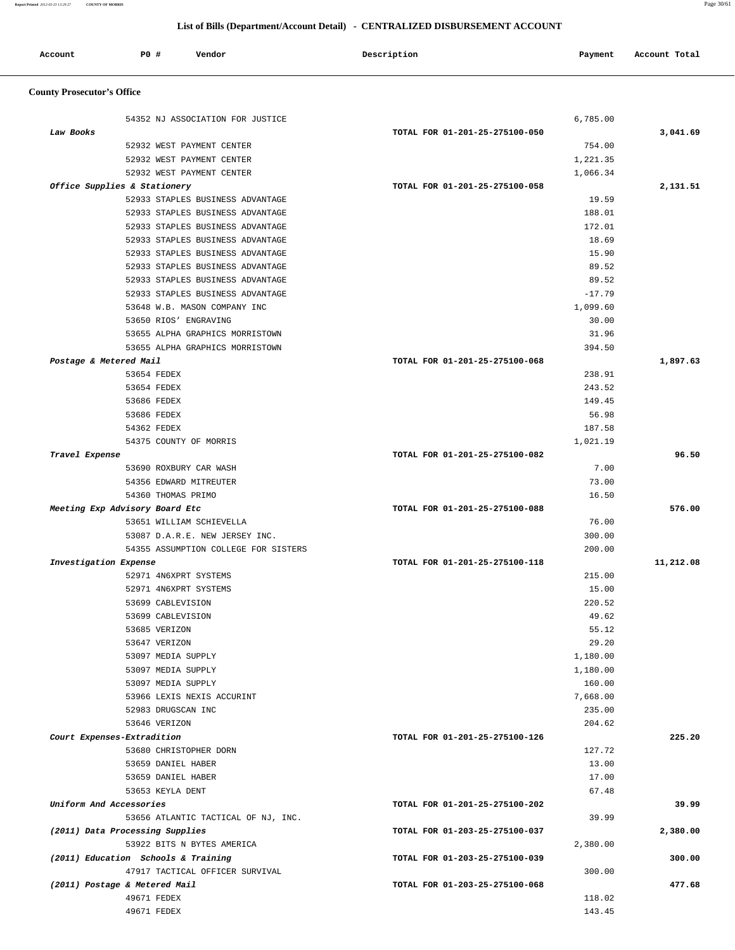**Report Printed** *2012-03-23 13:29:27* **COUNTY OF MORRIS** Page 30/61

## **List of Bills (Department/Account Detail) - CENTRALIZED DISBURSEMENT ACCOUNT**

| Account<br>. | PO # | Vendor | Description | Payment | Account Total |
|--------------|------|--------|-------------|---------|---------------|
|              |      |        |             |         |               |

# **County Prosecutor's Office**

| Law Books                  | 54352 NJ ASSOCIATION FOR JUSTICE             | 6,785.00                       |                                                           |
|----------------------------|----------------------------------------------|--------------------------------|-----------------------------------------------------------|
|                            |                                              | TOTAL FOR 01-201-25-275100-050 | 3,041.69                                                  |
|                            | 52932 WEST PAYMENT CENTER                    | 754.00                         |                                                           |
|                            | 52932 WEST PAYMENT CENTER                    | 1,221.35                       |                                                           |
|                            | 52932 WEST PAYMENT CENTER                    | 1,066.34                       |                                                           |
|                            | Office Supplies & Stationery                 | TOTAL FOR 01-201-25-275100-058 | 2,131.51                                                  |
|                            | 52933 STAPLES BUSINESS ADVANTAGE             |                                | 19.59                                                     |
|                            | 52933 STAPLES BUSINESS ADVANTAGE             | 188.01                         |                                                           |
|                            | 52933 STAPLES BUSINESS ADVANTAGE             | 172.01                         |                                                           |
|                            | 52933 STAPLES BUSINESS ADVANTAGE             |                                | 18.69                                                     |
|                            | 52933 STAPLES BUSINESS ADVANTAGE             |                                | 15.90                                                     |
|                            | 52933 STAPLES BUSINESS ADVANTAGE             |                                | 89.52                                                     |
|                            | 52933 STAPLES BUSINESS ADVANTAGE             |                                | 89.52                                                     |
|                            | 52933 STAPLES BUSINESS ADVANTAGE             | $-17.79$                       |                                                           |
|                            | 53648 W.B. MASON COMPANY INC                 | 1,099.60                       |                                                           |
|                            | 53650 RIOS' ENGRAVING                        |                                | 30.00                                                     |
|                            |                                              |                                | 31.96                                                     |
|                            | 53655 ALPHA GRAPHICS MORRISTOWN              |                                |                                                           |
|                            | 53655 ALPHA GRAPHICS MORRISTOWN              | 394.50                         |                                                           |
| Postage & Metered Mail     |                                              | TOTAL FOR 01-201-25-275100-068 | 1,897.63                                                  |
|                            | 53654 FEDEX                                  | 238.91                         |                                                           |
|                            | 53654 FEDEX                                  | 243.52                         |                                                           |
|                            | 53686 FEDEX                                  | 149.45                         |                                                           |
|                            | 53686 FEDEX                                  |                                | 56.98                                                     |
|                            | 54362 FEDEX                                  | 187.58                         |                                                           |
|                            | 54375 COUNTY OF MORRIS                       | 1,021.19                       |                                                           |
| Travel Expense             |                                              | TOTAL FOR 01-201-25-275100-082 | 96.50                                                     |
|                            | 53690 ROXBURY CAR WASH                       |                                | 7.00                                                      |
|                            | 54356 EDWARD MITREUTER                       |                                | 73.00                                                     |
|                            | 54360 THOMAS PRIMO                           |                                | 16.50                                                     |
|                            | Meeting Exp Advisory Board Etc               | TOTAL FOR 01-201-25-275100-088 | 576.00                                                    |
|                            | 53651 WILLIAM SCHIEVELLA                     |                                | 76.00                                                     |
|                            | 53087 D.A.R.E. NEW JERSEY INC.               | 300.00                         |                                                           |
|                            | 54355 ASSUMPTION COLLEGE FOR SISTERS         | 200.00                         |                                                           |
| Investigation Expense      |                                              | TOTAL FOR 01-201-25-275100-118 | 11,212.08                                                 |
|                            |                                              |                                |                                                           |
|                            | 52971 4N6XPRT SYSTEMS                        | 215.00                         |                                                           |
|                            | 52971 4N6XPRT SYSTEMS                        |                                | 15.00                                                     |
|                            | 53699 CABLEVISION                            | 220.52                         |                                                           |
|                            | 53699 CABLEVISION                            |                                | 49.62                                                     |
|                            | 53685 VERIZON                                |                                | 55.12                                                     |
|                            | 53647 VERIZON                                |                                | 29.20                                                     |
|                            | 53097 MEDIA SUPPLY                           | 1,180.00                       |                                                           |
|                            | 53097 MEDIA SUPPLY                           | 1,180.00                       |                                                           |
|                            | 53097 MEDIA SUPPLY                           | 160.00                         |                                                           |
|                            | 53966 LEXIS NEXIS ACCURINT                   | 7,668.00                       |                                                           |
|                            | 52983 DRUGSCAN INC                           | 235.00                         |                                                           |
|                            | 53646 VERIZON                                |                                | 204.62                                                    |
|                            |                                              | TOTAL FOR 01-201-25-275100-126 |                                                           |
|                            | 53680 CHRISTOPHER DORN                       |                                | 127.72                                                    |
|                            | 53659 DANIEL HABER                           |                                | 13.00                                                     |
| Court Expenses-Extradition | 53659 DANIEL HABER                           |                                | 17.00                                                     |
|                            | 53653 KEYLA DENT                             |                                | 67.48                                                     |
|                            |                                              | TOTAL FOR 01-201-25-275100-202 |                                                           |
|                            |                                              |                                |                                                           |
|                            | 53656 ATLANTIC TACTICAL OF NJ, INC.          | TOTAL FOR 01-203-25-275100-037 | 39.99                                                     |
|                            | (2011) Data Processing Supplies              |                                |                                                           |
|                            | 53922 BITS N BYTES AMERICA                   | 2,380.00                       |                                                           |
| Uniform And Accessories    | (2011) Education Schools & Training          | TOTAL FOR 01-203-25-275100-039 |                                                           |
|                            | 47917 TACTICAL OFFICER SURVIVAL              |                                | 300.00                                                    |
|                            | (2011) Postage & Metered Mail<br>49671 FEDEX | TOTAL FOR 01-203-25-275100-068 | 225.20<br>39.99<br>2,380.00<br>300.00<br>477.68<br>118.02 |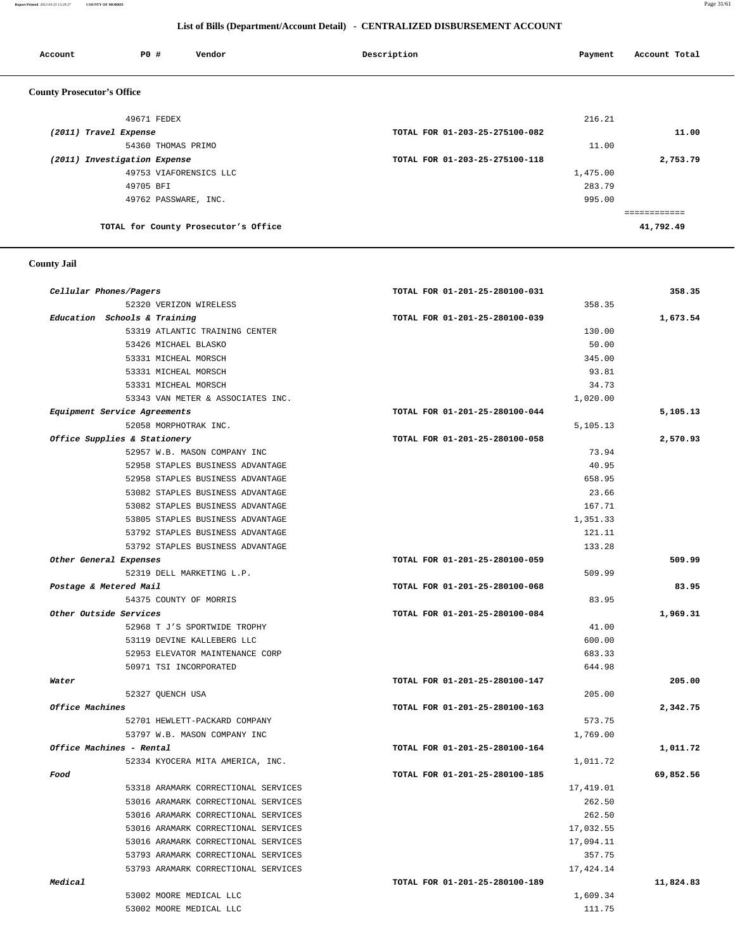**Report Printed** *2012-03-23 13:29:27* **COUNTY OF MORRIS** Page 31/61

## **List of Bills (Department/Account Detail) - CENTRALIZED DISBURSEMENT ACCOUNT**

| Account                           | PO#                          | Vendor                               | Description                    | Payment  | Account Total |
|-----------------------------------|------------------------------|--------------------------------------|--------------------------------|----------|---------------|
| <b>County Prosecutor's Office</b> |                              |                                      |                                |          |               |
|                                   | 49671 FEDEX                  |                                      |                                | 216.21   |               |
| (2011) Travel Expense             |                              |                                      | TOTAL FOR 01-203-25-275100-082 |          | 11.00         |
|                                   | 54360 THOMAS PRIMO           |                                      |                                | 11.00    |               |
|                                   | (2011) Investigation Expense |                                      | TOTAL FOR 01-203-25-275100-118 |          | 2,753.79      |
|                                   |                              | 49753 VIAFORENSICS LLC               |                                | 1,475.00 |               |
|                                   | 49705 BFI                    |                                      |                                | 283.79   |               |
|                                   |                              | 49762 PASSWARE, INC.                 |                                | 995.00   |               |
|                                   |                              |                                      |                                |          | ===========   |
|                                   |                              | TOTAL for County Prosecutor's Office |                                |          | 41,792.49     |

## **County Jail**

| Cellular Phones/Pagers |                                     | TOTAL FOR 01-201-25-280100-031 | 358.35    |
|------------------------|-------------------------------------|--------------------------------|-----------|
|                        | 52320 VERIZON WIRELESS              | 358.35                         |           |
|                        | Education Schools & Training        | TOTAL FOR 01-201-25-280100-039 | 1,673.54  |
|                        | 53319 ATLANTIC TRAINING CENTER      | 130.00                         |           |
|                        | 53426 MICHAEL BLASKO                | 50.00                          |           |
|                        | 53331 MICHEAL MORSCH                | 345.00                         |           |
|                        | 53331 MICHEAL MORSCH                | 93.81                          |           |
|                        | 53331 MICHEAL MORSCH                | 34.73                          |           |
|                        | 53343 VAN METER & ASSOCIATES INC.   | 1,020.00                       |           |
|                        | Equipment Service Agreements        | TOTAL FOR 01-201-25-280100-044 | 5,105.13  |
|                        | 52058 MORPHOTRAK INC.               | 5,105.13                       |           |
|                        | Office Supplies & Stationery        | TOTAL FOR 01-201-25-280100-058 | 2,570.93  |
|                        | 52957 W.B. MASON COMPANY INC        | 73.94                          |           |
|                        | 52958 STAPLES BUSINESS ADVANTAGE    | 40.95                          |           |
|                        | 52958 STAPLES BUSINESS ADVANTAGE    | 658.95                         |           |
|                        | 53082 STAPLES BUSINESS ADVANTAGE    | 23.66                          |           |
|                        | 53082 STAPLES BUSINESS ADVANTAGE    | 167.71                         |           |
|                        | 53805 STAPLES BUSINESS ADVANTAGE    | 1,351.33                       |           |
|                        | 53792 STAPLES BUSINESS ADVANTAGE    | 121.11                         |           |
|                        | 53792 STAPLES BUSINESS ADVANTAGE    | 133.28                         |           |
| Other General Expenses |                                     | TOTAL FOR 01-201-25-280100-059 | 509.99    |
|                        | 52319 DELL MARKETING L.P.           | 509.99                         |           |
| Postage & Metered Mail |                                     | TOTAL FOR 01-201-25-280100-068 |           |
|                        | 54375 COUNTY OF MORRIS              | 83.95                          |           |
| Other Outside Services |                                     | TOTAL FOR 01-201-25-280100-084 | 1,969.31  |
|                        | 52968 T J'S SPORTWIDE TROPHY        | 41.00                          |           |
|                        | 53119 DEVINE KALLEBERG LLC          | 600.00                         |           |
|                        | 52953 ELEVATOR MAINTENANCE CORP     | 683.33                         |           |
|                        | 50971 TSI INCORPORATED              | 644.98                         |           |
| Water                  |                                     | TOTAL FOR 01-201-25-280100-147 | 205.00    |
|                        | 52327 QUENCH USA                    | 205.00                         |           |
| Office Machines        |                                     | TOTAL FOR 01-201-25-280100-163 | 2,342.75  |
|                        | 52701 HEWLETT-PACKARD COMPANY       | 573.75                         |           |
|                        | 53797 W.B. MASON COMPANY INC        | 1,769.00                       |           |
|                        | Office Machines - Rental            | TOTAL FOR 01-201-25-280100-164 | 1,011.72  |
|                        | 52334 KYOCERA MITA AMERICA, INC.    | 1,011.72                       |           |
| Food                   |                                     | TOTAL FOR 01-201-25-280100-185 | 69,852.56 |
|                        | 53318 ARAMARK CORRECTIONAL SERVICES | 17,419.01                      |           |
|                        | 53016 ARAMARK CORRECTIONAL SERVICES | 262.50                         |           |
|                        | 53016 ARAMARK CORRECTIONAL SERVICES | 262.50                         |           |
|                        | 53016 ARAMARK CORRECTIONAL SERVICES | 17,032.55                      |           |
|                        | 53016 ARAMARK CORRECTIONAL SERVICES | 17,094.11                      |           |
|                        | 53793 ARAMARK CORRECTIONAL SERVICES | 357.75                         |           |
|                        | 53793 ARAMARK CORRECTIONAL SERVICES | 17,424.14                      |           |
|                        |                                     |                                | 11,824.83 |
| Medical                |                                     | TOTAL FOR 01-201-25-280100-189 |           |
|                        | 53002 MOORE MEDICAL LLC             | 1,609.34                       |           |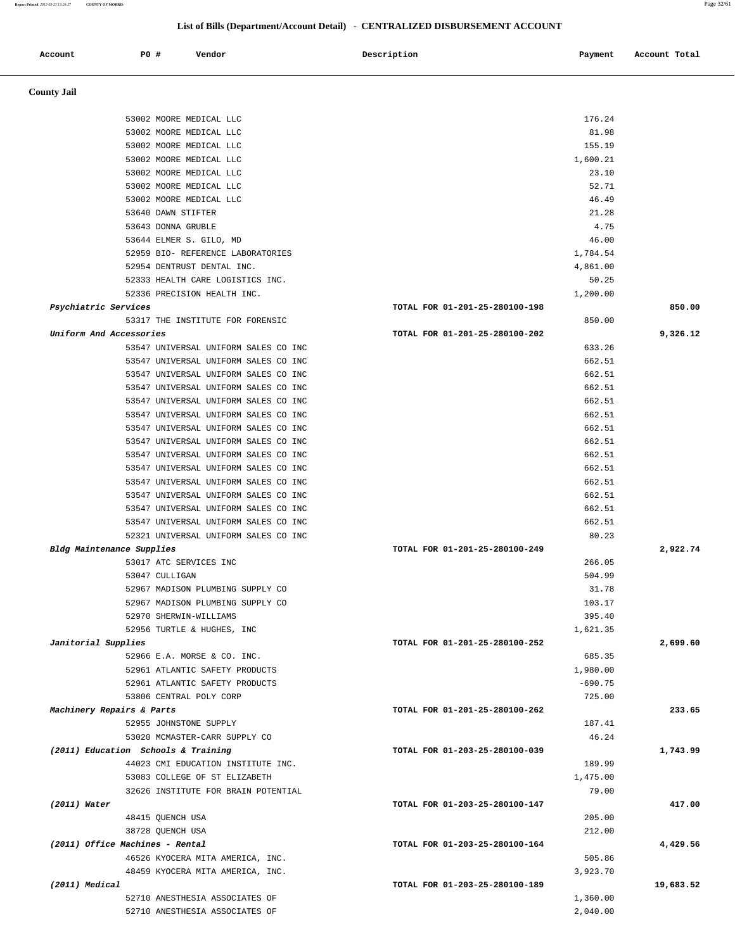**Report Printed** *2012-03-23 13:29:27* **COUNTY OF MORRIS** Page 32/61

# **List of Bills (Department/Account Detail) - CENTRALIZED DISBURSEMENT ACCOUNT**

| Account              | P0 #<br>Vendor                                                       | Description                    | Payment           | Account Total |
|----------------------|----------------------------------------------------------------------|--------------------------------|-------------------|---------------|
| <b>County Jail</b>   |                                                                      |                                |                   |               |
|                      | 53002 MOORE MEDICAL LLC                                              |                                | 176.24            |               |
|                      | 53002 MOORE MEDICAL LLC                                              |                                | 81.98             |               |
|                      | 53002 MOORE MEDICAL LLC                                              |                                | 155.19            |               |
|                      | 53002 MOORE MEDICAL LLC                                              |                                | 1,600.21          |               |
|                      | 53002 MOORE MEDICAL LLC                                              |                                | 23.10             |               |
|                      | 53002 MOORE MEDICAL LLC                                              |                                | 52.71             |               |
|                      | 53002 MOORE MEDICAL LLC                                              |                                | 46.49             |               |
|                      | 53640 DAWN STIFTER                                                   |                                | 21.28             |               |
|                      | 53643 DONNA GRUBLE                                                   |                                | 4.75              |               |
|                      | 53644 ELMER S. GILO, MD                                              |                                | 46.00             |               |
|                      | 52959 BIO- REFERENCE LABORATORIES                                    |                                | 1,784.54          |               |
|                      | 52954 DENTRUST DENTAL INC.<br>52333 HEALTH CARE LOGISTICS INC.       |                                | 4,861.00<br>50.25 |               |
|                      | 52336 PRECISION HEALTH INC.                                          |                                | 1,200.00          |               |
| Psychiatric Services |                                                                      | TOTAL FOR 01-201-25-280100-198 |                   | 850.00        |
|                      | 53317 THE INSTITUTE FOR FORENSIC                                     |                                | 850.00            |               |
|                      | Uniform And Accessories                                              | TOTAL FOR 01-201-25-280100-202 |                   | 9,326.12      |
|                      | 53547 UNIVERSAL UNIFORM SALES CO INC                                 |                                | 633.26            |               |
|                      | 53547 UNIVERSAL UNIFORM SALES CO INC                                 |                                | 662.51            |               |
|                      | 53547 UNIVERSAL UNIFORM SALES CO INC                                 |                                | 662.51            |               |
|                      | 53547 UNIVERSAL UNIFORM SALES CO INC                                 |                                | 662.51            |               |
|                      | 53547 UNIVERSAL UNIFORM SALES CO INC                                 |                                | 662.51            |               |
|                      | 53547 UNIVERSAL UNIFORM SALES CO INC                                 |                                | 662.51            |               |
|                      | 53547 UNIVERSAL UNIFORM SALES CO INC                                 |                                | 662.51            |               |
|                      | 53547 UNIVERSAL UNIFORM SALES CO INC                                 |                                | 662.51            |               |
|                      | 53547 UNIVERSAL UNIFORM SALES CO INC                                 |                                | 662.51            |               |
|                      | 53547 UNIVERSAL UNIFORM SALES CO INC                                 |                                | 662.51            |               |
|                      | 53547 UNIVERSAL UNIFORM SALES CO INC                                 |                                | 662.51            |               |
|                      | 53547 UNIVERSAL UNIFORM SALES CO INC                                 |                                | 662.51            |               |
|                      | 53547 UNIVERSAL UNIFORM SALES CO INC                                 |                                | 662.51            |               |
|                      | 53547 UNIVERSAL UNIFORM SALES CO INC                                 |                                | 662.51            |               |
|                      | 52321 UNIVERSAL UNIFORM SALES CO INC                                 |                                | 80.23             |               |
|                      | Bldg Maintenance Supplies                                            | TOTAL FOR 01-201-25-280100-249 | 266.05            | 2,922.74      |
|                      | 53017 ATC SERVICES INC<br>53047 CULLIGAN                             |                                | 504.99            |               |
|                      | 52967 MADISON PLUMBING SUPPLY CO                                     |                                | 31.78             |               |
|                      | 52967 MADISON PLUMBING SUPPLY CO                                     |                                | 103.17            |               |
|                      | 52970 SHERWIN-WILLIAMS                                               |                                | 395.40            |               |
|                      | 52956 TURTLE & HUGHES, INC                                           |                                | 1,621.35          |               |
| Janitorial Supplies  |                                                                      | TOTAL FOR 01-201-25-280100-252 |                   | 2,699.60      |
|                      | 52966 E.A. MORSE & CO. INC.                                          |                                | 685.35            |               |
|                      | 52961 ATLANTIC SAFETY PRODUCTS                                       |                                | 1,980.00          |               |
|                      | 52961 ATLANTIC SAFETY PRODUCTS                                       |                                | $-690.75$         |               |
|                      | 53806 CENTRAL POLY CORP                                              |                                | 725.00            |               |
|                      | Machinery Repairs & Parts                                            | TOTAL FOR 01-201-25-280100-262 |                   | 233.65        |
|                      | 52955 JOHNSTONE SUPPLY                                               |                                | 187.41            |               |
|                      | 53020 MCMASTER-CARR SUPPLY CO                                        |                                | 46.24             |               |
|                      | (2011) Education Schools & Training                                  | TOTAL FOR 01-203-25-280100-039 |                   | 1,743.99      |
|                      | 44023 CMI EDUCATION INSTITUTE INC.                                   |                                | 189.99            |               |
|                      | 53083 COLLEGE OF ST ELIZABETH<br>32626 INSTITUTE FOR BRAIN POTENTIAL |                                | 1,475.00<br>79.00 |               |
| (2011) Water         |                                                                      | TOTAL FOR 01-203-25-280100-147 |                   | 417.00        |
|                      | 48415 QUENCH USA                                                     |                                | 205.00            |               |
|                      | 38728 QUENCH USA                                                     |                                | 212.00            |               |
|                      | (2011) Office Machines - Rental                                      | TOTAL FOR 01-203-25-280100-164 |                   | 4,429.56      |
|                      | 46526 KYOCERA MITA AMERICA, INC.                                     |                                | 505.86            |               |
|                      | 48459 KYOCERA MITA AMERICA, INC.                                     |                                | 3,923.70          |               |
| (2011) Medical       |                                                                      | TOTAL FOR 01-203-25-280100-189 |                   | 19,683.52     |
|                      | 52710 ANESTHESIA ASSOCIATES OF                                       |                                | 1,360.00          |               |
|                      | 52710 ANESTHESIA ASSOCIATES OF                                       |                                | 2,040.00          |               |
|                      |                                                                      |                                |                   |               |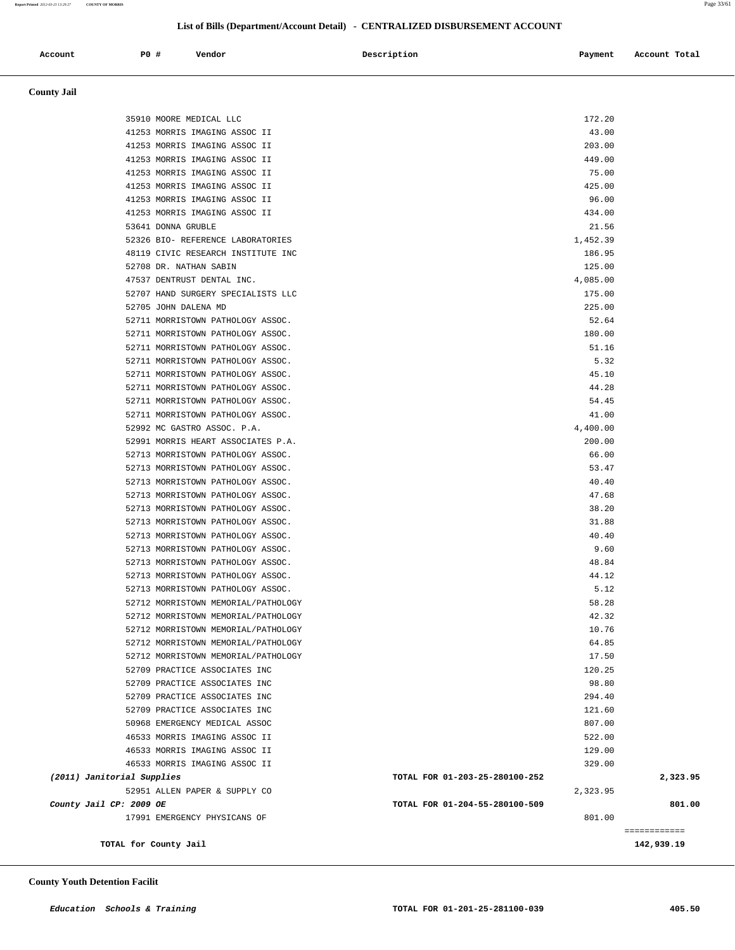**Report Printed** *2012-03-23 13:29:27* **COUNTY OF MORRIS** Page 33/61

## **List of Bills (Department/Account Detail) - CENTRALIZED DISBURSEMENT ACCOUNT**

| Account | <b>PO#</b> | Vendor | Description | Payment | Account Total |
|---------|------------|--------|-------------|---------|---------------|
|         |            |        |             |         |               |

 **County Jail** 

|                            | 35910 MOORE MEDICAL LLC                                                |                                | 172.20         |              |
|----------------------------|------------------------------------------------------------------------|--------------------------------|----------------|--------------|
|                            | 41253 MORRIS IMAGING ASSOC II                                          |                                | 43.00          |              |
|                            | 41253 MORRIS IMAGING ASSOC II                                          |                                | 203.00         |              |
|                            | 41253 MORRIS IMAGING ASSOC II                                          |                                | 449.00         |              |
|                            | 41253 MORRIS IMAGING ASSOC II                                          |                                | 75.00          |              |
|                            | 41253 MORRIS IMAGING ASSOC II                                          |                                | 425.00         |              |
|                            | 41253 MORRIS IMAGING ASSOC II                                          |                                | 96.00          |              |
|                            | 41253 MORRIS IMAGING ASSOC II                                          |                                | 434.00         |              |
|                            | 53641 DONNA GRUBLE                                                     |                                | 21.56          |              |
|                            | 52326 BIO- REFERENCE LABORATORIES                                      |                                | 1,452.39       |              |
|                            | 48119 CIVIC RESEARCH INSTITUTE INC                                     |                                | 186.95         |              |
|                            | 52708 DR. NATHAN SABIN                                                 |                                | 125.00         |              |
|                            | 47537 DENTRUST DENTAL INC.                                             |                                | 4,085.00       |              |
|                            | 52707 HAND SURGERY SPECIALISTS LLC                                     |                                | 175.00         |              |
|                            | 52705 JOHN DALENA MD                                                   |                                | 225.00         |              |
|                            | 52711 MORRISTOWN PATHOLOGY ASSOC.                                      |                                | 52.64          |              |
|                            | 52711 MORRISTOWN PATHOLOGY ASSOC.                                      |                                | 180.00         |              |
|                            | 52711 MORRISTOWN PATHOLOGY ASSOC.                                      |                                | 51.16          |              |
|                            | 52711 MORRISTOWN PATHOLOGY ASSOC.                                      |                                | 5.32           |              |
|                            | 52711 MORRISTOWN PATHOLOGY ASSOC.                                      |                                | 45.10          |              |
|                            | 52711 MORRISTOWN PATHOLOGY ASSOC.                                      |                                | 44.28          |              |
|                            | 52711 MORRISTOWN PATHOLOGY ASSOC.                                      |                                | 54.45          |              |
|                            | 52711 MORRISTOWN PATHOLOGY ASSOC.                                      |                                | 41.00          |              |
|                            | 52992 MC GASTRO ASSOC. P.A.                                            |                                | 4,400.00       |              |
|                            | 52991 MORRIS HEART ASSOCIATES P.A.                                     |                                | 200.00         |              |
|                            | 52713 MORRISTOWN PATHOLOGY ASSOC.                                      |                                | 66.00          |              |
|                            | 52713 MORRISTOWN PATHOLOGY ASSOC.                                      |                                | 53.47          |              |
|                            | 52713 MORRISTOWN PATHOLOGY ASSOC.                                      |                                | 40.40          |              |
|                            | 52713 MORRISTOWN PATHOLOGY ASSOC.                                      |                                | 47.68          |              |
|                            | 52713 MORRISTOWN PATHOLOGY ASSOC.                                      |                                | 38.20          |              |
|                            | 52713 MORRISTOWN PATHOLOGY ASSOC.                                      |                                | 31.88          |              |
|                            | 52713 MORRISTOWN PATHOLOGY ASSOC.                                      |                                | 40.40          |              |
|                            | 52713 MORRISTOWN PATHOLOGY ASSOC.                                      |                                | 9.60           |              |
|                            | 52713 MORRISTOWN PATHOLOGY ASSOC.<br>52713 MORRISTOWN PATHOLOGY ASSOC. |                                | 48.84<br>44.12 |              |
|                            | 52713 MORRISTOWN PATHOLOGY ASSOC.                                      |                                | 5.12           |              |
|                            | 52712 MORRISTOWN MEMORIAL/PATHOLOGY                                    |                                | 58.28          |              |
|                            | 52712 MORRISTOWN MEMORIAL/PATHOLOGY                                    |                                | 42.32          |              |
|                            | 52712 MORRISTOWN MEMORIAL/PATHOLOGY                                    |                                | 10.76          |              |
|                            | 52712 MORRISTOWN MEMORIAL/PATHOLOGY                                    |                                | 64.85          |              |
|                            | 52712 MORRISTOWN MEMORIAL/PATHOLOGY                                    |                                | 17.50          |              |
|                            | 52709 PRACTICE ASSOCIATES INC                                          |                                | 120.25         |              |
|                            | 52709 PRACTICE ASSOCIATES INC                                          |                                | 98.80          |              |
|                            | 52709 PRACTICE ASSOCIATES INC                                          |                                | 294.40         |              |
|                            | 52709 PRACTICE ASSOCIATES INC                                          |                                | 121.60         |              |
|                            | 50968 EMERGENCY MEDICAL ASSOC                                          |                                | 807.00         |              |
|                            | 46533 MORRIS IMAGING ASSOC II                                          |                                | 522.00         |              |
|                            | 46533 MORRIS IMAGING ASSOC II                                          |                                | 129.00         |              |
|                            | 46533 MORRIS IMAGING ASSOC II                                          |                                | 329.00         |              |
| (2011) Janitorial Supplies |                                                                        | TOTAL FOR 01-203-25-280100-252 |                | 2,323.95     |
|                            | 52951 ALLEN PAPER & SUPPLY CO                                          |                                | 2,323.95       |              |
| County Jail CP: 2009 OE    |                                                                        | TOTAL FOR 01-204-55-280100-509 |                | 801.00       |
|                            | 17991 EMERGENCY PHYSICANS OF                                           |                                | 801.00         |              |
|                            |                                                                        |                                |                | ============ |
|                            | TOTAL for County Jail                                                  |                                |                | 142,939.19   |
|                            |                                                                        |                                |                |              |

### **County Youth Detention Facilit**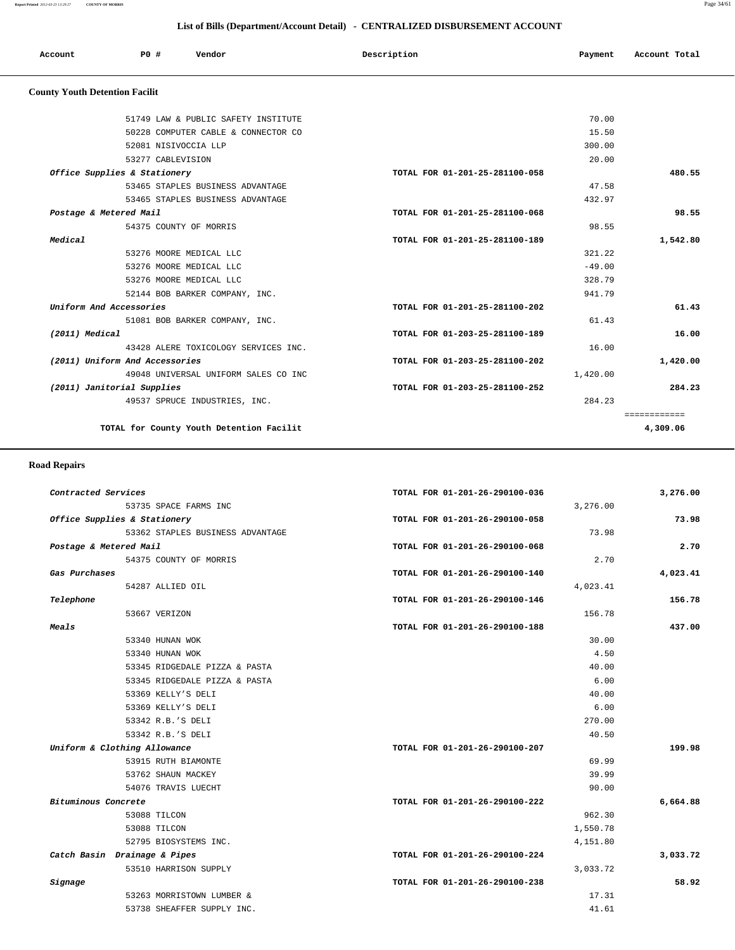**Report Printed** *2012-03-23 13:29:27* **COUNTY OF MORRIS** Page 34/61

## **List of Bills (Department/Account Detail) - CENTRALIZED DISBURSEMENT ACCOUNT**

| Account                               | <b>PO #</b> | Vendor | Description | Account Total<br>Payment |
|---------------------------------------|-------------|--------|-------------|--------------------------|
| <b>County Youth Detention Facilit</b> |             |        |             |                          |

|                                          |                                                                                                                                                                                                                                                                                                                                                                                                                                                                                                                                                                                                                                                      | 70.00    |              |
|------------------------------------------|------------------------------------------------------------------------------------------------------------------------------------------------------------------------------------------------------------------------------------------------------------------------------------------------------------------------------------------------------------------------------------------------------------------------------------------------------------------------------------------------------------------------------------------------------------------------------------------------------------------------------------------------------|----------|--------------|
|                                          |                                                                                                                                                                                                                                                                                                                                                                                                                                                                                                                                                                                                                                                      | 15.50    |              |
|                                          |                                                                                                                                                                                                                                                                                                                                                                                                                                                                                                                                                                                                                                                      | 300.00   |              |
|                                          |                                                                                                                                                                                                                                                                                                                                                                                                                                                                                                                                                                                                                                                      | 20.00    |              |
|                                          | TOTAL FOR 01-201-25-281100-058                                                                                                                                                                                                                                                                                                                                                                                                                                                                                                                                                                                                                       |          | 480.55       |
|                                          |                                                                                                                                                                                                                                                                                                                                                                                                                                                                                                                                                                                                                                                      | 47.58    |              |
|                                          |                                                                                                                                                                                                                                                                                                                                                                                                                                                                                                                                                                                                                                                      | 432.97   |              |
|                                          | TOTAL FOR 01-201-25-281100-068                                                                                                                                                                                                                                                                                                                                                                                                                                                                                                                                                                                                                       |          | 98.55        |
|                                          |                                                                                                                                                                                                                                                                                                                                                                                                                                                                                                                                                                                                                                                      | 98.55    |              |
|                                          | TOTAL FOR 01-201-25-281100-189                                                                                                                                                                                                                                                                                                                                                                                                                                                                                                                                                                                                                       |          | 1,542.80     |
|                                          |                                                                                                                                                                                                                                                                                                                                                                                                                                                                                                                                                                                                                                                      | 321.22   |              |
|                                          |                                                                                                                                                                                                                                                                                                                                                                                                                                                                                                                                                                                                                                                      | $-49.00$ |              |
|                                          |                                                                                                                                                                                                                                                                                                                                                                                                                                                                                                                                                                                                                                                      | 328.79   |              |
|                                          |                                                                                                                                                                                                                                                                                                                                                                                                                                                                                                                                                                                                                                                      | 941.79   |              |
|                                          | TOTAL FOR 01-201-25-281100-202                                                                                                                                                                                                                                                                                                                                                                                                                                                                                                                                                                                                                       |          | 61.43        |
|                                          |                                                                                                                                                                                                                                                                                                                                                                                                                                                                                                                                                                                                                                                      | 61.43    |              |
|                                          | TOTAL FOR 01-203-25-281100-189                                                                                                                                                                                                                                                                                                                                                                                                                                                                                                                                                                                                                       |          | 16.00        |
|                                          |                                                                                                                                                                                                                                                                                                                                                                                                                                                                                                                                                                                                                                                      | 16.00    |              |
|                                          | TOTAL FOR 01-203-25-281100-202                                                                                                                                                                                                                                                                                                                                                                                                                                                                                                                                                                                                                       |          | 1,420.00     |
|                                          |                                                                                                                                                                                                                                                                                                                                                                                                                                                                                                                                                                                                                                                      | 1,420.00 |              |
|                                          | TOTAL FOR 01-203-25-281100-252                                                                                                                                                                                                                                                                                                                                                                                                                                                                                                                                                                                                                       |          | 284.23       |
|                                          |                                                                                                                                                                                                                                                                                                                                                                                                                                                                                                                                                                                                                                                      | 284.23   |              |
|                                          |                                                                                                                                                                                                                                                                                                                                                                                                                                                                                                                                                                                                                                                      |          | ============ |
| TOTAL for County Youth Detention Facilit |                                                                                                                                                                                                                                                                                                                                                                                                                                                                                                                                                                                                                                                      |          | 4,309.06     |
|                                          | 51749 LAW & PUBLIC SAFETY INSTITUTE<br>50228 COMPUTER CABLE & CONNECTOR CO<br>52081 NISIVOCCIA LLP<br>53277 CABLEVISION<br>Office Supplies & Stationery<br>53465 STAPLES BUSINESS ADVANTAGE<br>53465 STAPLES BUSINESS ADVANTAGE<br>Postage & Metered Mail<br>54375 COUNTY OF MORRIS<br>53276 MOORE MEDICAL LLC<br>53276 MOORE MEDICAL LLC<br>53276 MOORE MEDICAL LLC<br>52144 BOB BARKER COMPANY, INC.<br>Uniform And Accessories<br>51081 BOB BARKER COMPANY, INC.<br>43428 ALERE TOXICOLOGY SERVICES INC.<br>(2011) Uniform And Accessories<br>49048 UNIVERSAL UNIFORM SALES CO INC<br>(2011) Janitorial Supplies<br>49537 SPRUCE INDUSTRIES, INC. |          |              |

## **Road Repairs**

| 3,276.00 |          | TOTAL FOR 01-201-26-290100-036 |                                  | Contracted Services    |
|----------|----------|--------------------------------|----------------------------------|------------------------|
|          | 3,276.00 |                                | 53735 SPACE FARMS INC            |                        |
| 73.98    |          | TOTAL FOR 01-201-26-290100-058 | Office Supplies & Stationery     |                        |
|          | 73.98    |                                | 53362 STAPLES BUSINESS ADVANTAGE |                        |
| 2.70     |          | TOTAL FOR 01-201-26-290100-068 |                                  | Postage & Metered Mail |
|          | 2.70     |                                | 54375 COUNTY OF MORRIS           |                        |
| 4,023.41 |          | TOTAL FOR 01-201-26-290100-140 |                                  | Gas Purchases          |
|          | 4,023.41 |                                | 54287 ALLIED OIL                 |                        |
| 156.78   |          | TOTAL FOR 01-201-26-290100-146 |                                  | Telephone              |
|          | 156.78   |                                | 53667 VERIZON                    |                        |
| 437.00   |          | TOTAL FOR 01-201-26-290100-188 |                                  | Meals                  |
|          | 30.00    |                                | 53340 HUNAN WOK                  |                        |
|          | 4.50     |                                | 53340 HUNAN WOK                  |                        |
|          | 40.00    |                                | 53345 RIDGEDALE PIZZA & PASTA    |                        |
|          | 6.00     |                                | 53345 RIDGEDALE PIZZA & PASTA    |                        |
|          | 40.00    |                                | 53369 KELLY'S DELI               |                        |
|          | 6.00     |                                | 53369 KELLY'S DELI               |                        |
|          | 270.00   |                                | 53342 R.B.'S DELI                |                        |
|          | 40.50    |                                | 53342 R.B.'S DELI                |                        |
| 199.98   |          | TOTAL FOR 01-201-26-290100-207 | Uniform & Clothing Allowance     |                        |
|          | 69.99    |                                | 53915 RUTH BIAMONTE              |                        |
|          | 39.99    |                                | 53762 SHAUN MACKEY               |                        |
|          | 90.00    |                                | 54076 TRAVIS LUECHT              |                        |
| 6,664.88 |          | TOTAL FOR 01-201-26-290100-222 |                                  | Bituminous Concrete    |
|          | 962.30   |                                | 53088 TILCON                     |                        |
|          | 1,550.78 |                                | 53088 TILCON                     |                        |
|          | 4,151.80 |                                | 52795 BIOSYSTEMS INC.            |                        |
| 3,033.72 |          | TOTAL FOR 01-201-26-290100-224 | Catch Basin Drainage & Pipes     |                        |
|          | 3,033.72 |                                | 53510 HARRISON SUPPLY            |                        |
| 58.92    |          | TOTAL FOR 01-201-26-290100-238 |                                  | Signage                |
|          | 17.31    |                                | 53263 MORRISTOWN LUMBER &        |                        |
|          | 41.61    |                                | 53738 SHEAFFER SUPPLY INC.       |                        |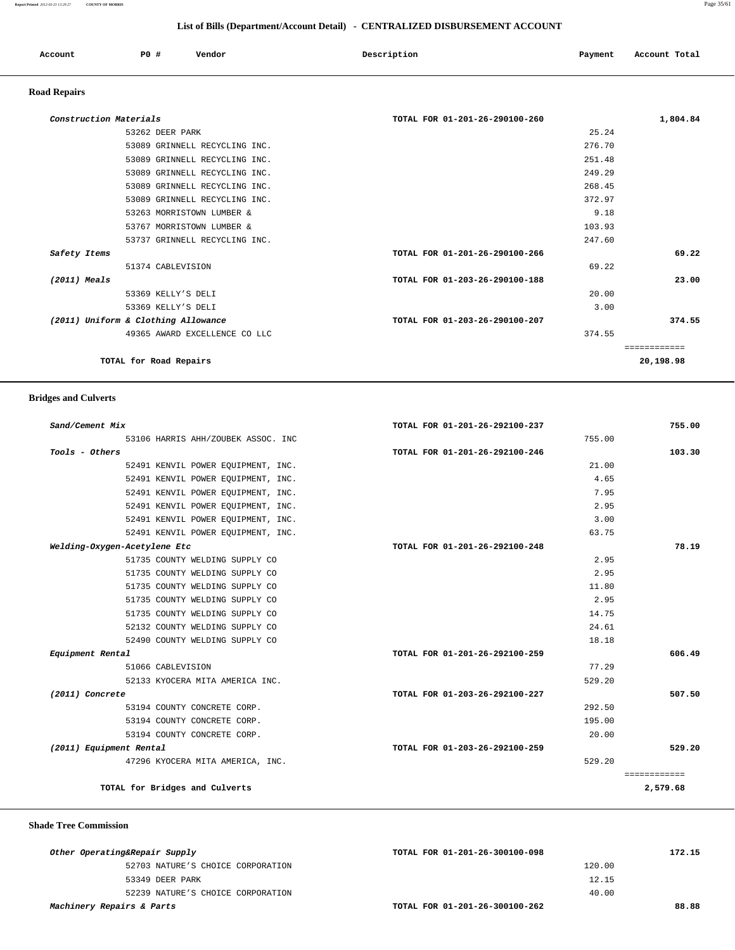### **Report Printed** *2012-03-23 13:29:27* **COUNTY OF MORRIS** Page 35/61

## **List of Bills (Department/Account Detail) - CENTRALIZED DISBURSEMENT ACCOUNT**

| Account | . PO | Vendor | Description<br>$\sim$ $\sim$ | Payment | Account Total |
|---------|------|--------|------------------------------|---------|---------------|
|         |      |        |                              |         |               |

# **Road Repairs**

| Construction Materials              | TOTAL FOR 01-201-26-290100-260 | 1,804.84     |
|-------------------------------------|--------------------------------|--------------|
| 53262 DEER PARK                     | 25.24                          |              |
| 53089 GRINNELL RECYCLING INC.       | 276.70                         |              |
| 53089 GRINNELL RECYCLING INC.       | 251.48                         |              |
| 53089 GRINNELL RECYCLING INC.       | 249.29                         |              |
| 53089 GRINNELL RECYCLING INC.       | 268.45                         |              |
| 53089 GRINNELL RECYCLING INC.       | 372.97                         |              |
| 53263 MORRISTOWN LUMBER &           | 9.18                           |              |
| 53767 MORRISTOWN LUMBER &           | 103.93                         |              |
| 53737 GRINNELL RECYCLING INC.       | 247.60                         |              |
| Safety Items                        | TOTAL FOR 01-201-26-290100-266 | 69.22        |
| 51374 CABLEVISION                   | 69.22                          |              |
| $(2011)$ Meals                      | TOTAL FOR 01-203-26-290100-188 | 23.00        |
| 53369 KELLY'S DELI                  | 20.00                          |              |
| 53369 KELLY'S DELI                  | 3.00                           |              |
| (2011) Uniform & Clothing Allowance | TOTAL FOR 01-203-26-290100-207 | 374.55       |
| 49365 AWARD EXCELLENCE CO LLC       | 374.55                         |              |
|                                     |                                | ============ |
| TOTAL for Road Repairs              |                                | 20,198.98    |
|                                     |                                |              |

## **Bridges and Culverts**

| 103.30<br>78.19 |
|-----------------|
|                 |
|                 |
|                 |
|                 |
|                 |
|                 |
|                 |
|                 |
|                 |
|                 |
|                 |
|                 |
|                 |
|                 |
|                 |
|                 |
| 606.49          |
|                 |
|                 |
| 507.50          |
|                 |
|                 |
|                 |
| 529.20          |
|                 |
| ============    |
| 2,579.68        |
|                 |

## **Shade Tree Commission**

| Other Operating&Repair Supply     | TOTAL FOR 01-201-26-300100-098 | 172.15 |
|-----------------------------------|--------------------------------|--------|
| 52703 NATURE'S CHOICE CORPORATION | 120.00                         |        |
| 53349 DEER PARK                   | 12.15                          |        |
| 52239 NATURE'S CHOICE CORPORATION | 40.00                          |        |
| Machinery Repairs & Parts         | TOTAL FOR 01-201-26-300100-262 | 88.88  |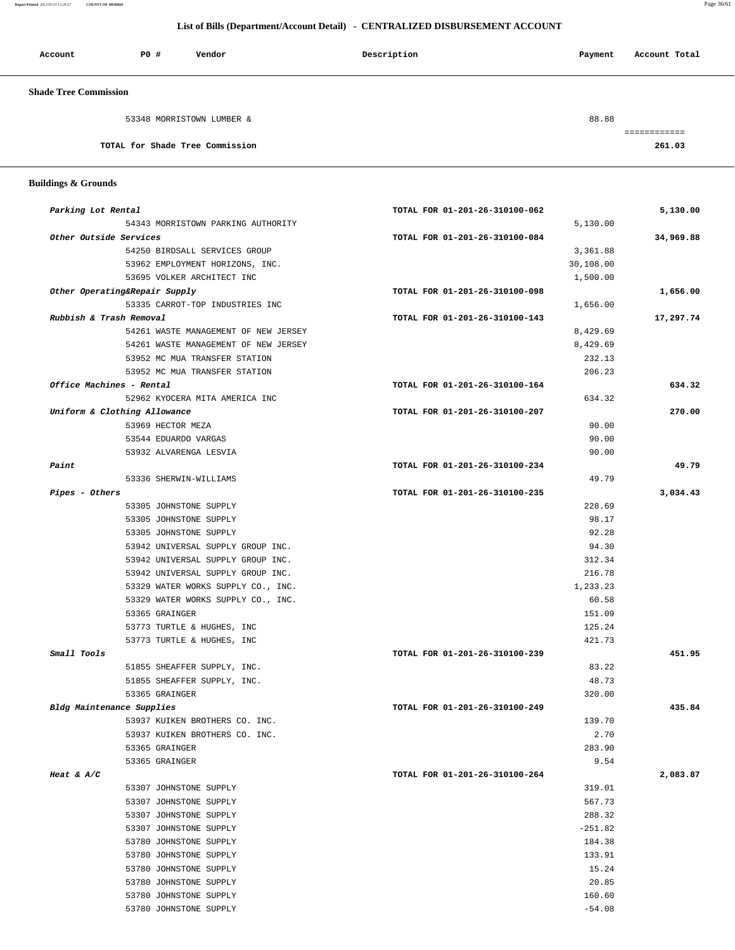**Report Printed** *2012-03-23 13:29:27* **COUNTY OF MORRIS** Page 36/61

## **List of Bills (Department/Account Detail) - CENTRALIZED DISBURSEMENT ACCOUNT**

| Account                      | PO#                             | Vendor                    | Description | Account Total<br>Payment |
|------------------------------|---------------------------------|---------------------------|-------------|--------------------------|
| <b>Shade Tree Commission</b> |                                 |                           |             |                          |
|                              |                                 | 53348 MORRISTOWN LUMBER & |             | 88.88                    |
|                              | TOTAL for Shade Tree Commission |                           |             | 261.03                   |

 **Buildings & Grounds** 

| Parking Lot Rental                   | TOTAL FOR 01-201-26-310100-062 | 5,130.00  |
|--------------------------------------|--------------------------------|-----------|
| 54343 MORRISTOWN PARKING AUTHORITY   | 5,130.00                       |           |
| Other Outside Services               | TOTAL FOR 01-201-26-310100-084 | 34,969.88 |
| 54250 BIRDSALL SERVICES GROUP        | 3,361.88                       |           |
| 53962 EMPLOYMENT HORIZONS, INC.      | 30,108.00                      |           |
| 53695 VOLKER ARCHITECT INC           | 1,500.00                       |           |
| Other Operating&Repair Supply        | TOTAL FOR 01-201-26-310100-098 | 1,656.00  |
| 53335 CARROT-TOP INDUSTRIES INC      | 1,656.00                       |           |
| Rubbish & Trash Removal              | TOTAL FOR 01-201-26-310100-143 | 17,297.74 |
| 54261 WASTE MANAGEMENT OF NEW JERSEY | 8,429.69                       |           |
| 54261 WASTE MANAGEMENT OF NEW JERSEY | 8,429.69                       |           |
| 53952 MC MUA TRANSFER STATION        | 232.13                         |           |
| 53952 MC MUA TRANSFER STATION        | 206.23                         |           |
| Office Machines - Rental             | TOTAL FOR 01-201-26-310100-164 | 634.32    |
| 52962 KYOCERA MITA AMERICA INC       | 634.32                         |           |
| Uniform & Clothing Allowance         | TOTAL FOR 01-201-26-310100-207 | 270.00    |
| 53969 HECTOR MEZA                    | 90.00                          |           |
| 53544 EDUARDO VARGAS                 | 90.00                          |           |
| 53932 ALVARENGA LESVIA               | 90.00                          |           |
| Paint                                | TOTAL FOR 01-201-26-310100-234 | 49.79     |
| 53336 SHERWIN-WILLIAMS               | 49.79                          |           |
| Pipes - Others                       | TOTAL FOR 01-201-26-310100-235 | 3,034.43  |
| 53305 JOHNSTONE SUPPLY               | 228.69                         |           |
| 53305 JOHNSTONE SUPPLY               | 98.17                          |           |
| 53305 JOHNSTONE SUPPLY               | 92.28                          |           |
| 53942 UNIVERSAL SUPPLY GROUP INC.    | 94.30                          |           |
| 53942 UNIVERSAL SUPPLY GROUP INC.    | 312.34                         |           |
|                                      | 216.78                         |           |
| 53942 UNIVERSAL SUPPLY GROUP INC.    | 1,233.23                       |           |
| 53329 WATER WORKS SUPPLY CO., INC.   | 60.58                          |           |
| 53329 WATER WORKS SUPPLY CO., INC.   |                                |           |
| 53365 GRAINGER                       | 151.09                         |           |
| 53773 TURTLE & HUGHES, INC           | 125.24                         |           |
| 53773 TURTLE & HUGHES, INC           | 421.73                         |           |
| Small Tools                          | TOTAL FOR 01-201-26-310100-239 | 451.95    |
| 51855 SHEAFFER SUPPLY, INC.          | 83.22                          |           |
| 51855 SHEAFFER SUPPLY, INC.          | 48.73                          |           |
| 53365 GRAINGER                       | 320.00                         |           |
| Bldg Maintenance Supplies            | TOTAL FOR 01-201-26-310100-249 | 435.84    |
| 53937 KUIKEN BROTHERS CO. INC.       | 139.70                         |           |
| 53937 KUIKEN BROTHERS CO. INC.       | 2.70                           |           |
| 53365 GRAINGER                       | 283.90                         |           |
| 53365 GRAINGER                       | 9.54                           |           |
| Heat & $A/C$                         | TOTAL FOR 01-201-26-310100-264 | 2,083.87  |
| 53307 JOHNSTONE SUPPLY               | 319.01                         |           |
| 53307 JOHNSTONE SUPPLY               | 567.73                         |           |
| 53307 JOHNSTONE SUPPLY               | 288.32                         |           |
| 53307 JOHNSTONE SUPPLY               | $-251.82$                      |           |
| 53780 JOHNSTONE SUPPLY               | 184.38                         |           |
| 53780 JOHNSTONE SUPPLY               | 133.91                         |           |
| 53780 JOHNSTONE SUPPLY               | 15.24                          |           |
| 53780 JOHNSTONE SUPPLY               | 20.85                          |           |
| 53780 JOHNSTONE SUPPLY               | 160.60                         |           |
| 53780 JOHNSTONE SUPPLY               | $-54.08$                       |           |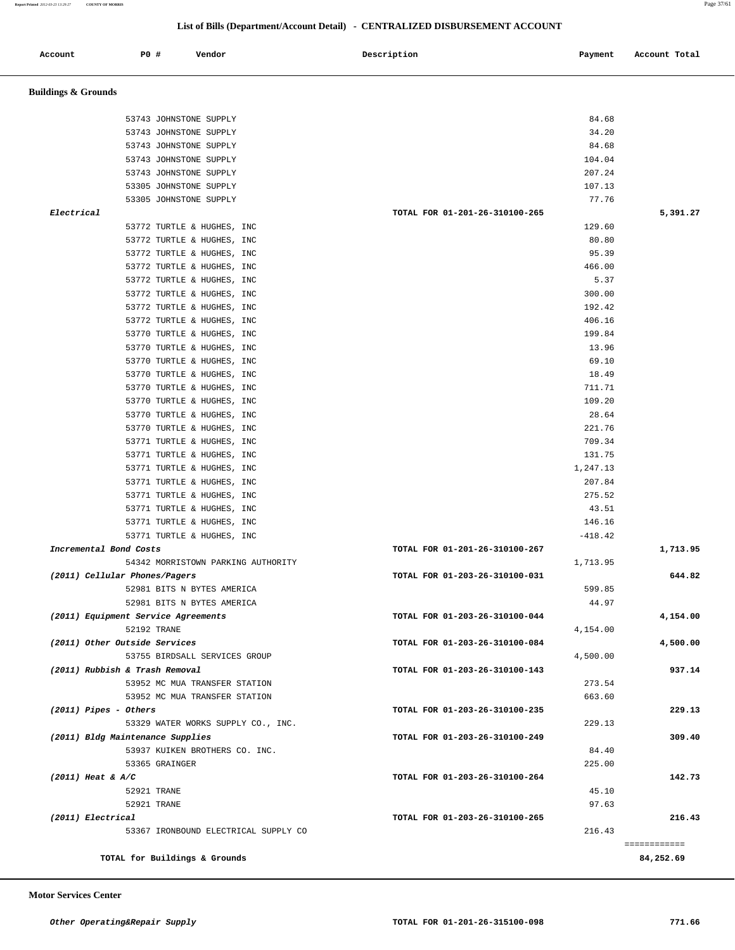**Report Printed** *2012-03-23 13:29:27* **COUNTY OF MORRIS** Page 37/61

## **List of Bills (Department/Account Detail) - CENTRALIZED DISBURSEMENT ACCOUNT**

| Account                          | P0 #        | Vendor                              | Description<br>Payment                   | Account Total |
|----------------------------------|-------------|-------------------------------------|------------------------------------------|---------------|
| <b>Buildings &amp; Grounds</b>   |             |                                     |                                          |               |
|                                  |             | 53743 JOHNSTONE SUPPLY              | 84.68                                    |               |
|                                  |             | 53743 JOHNSTONE SUPPLY              | 34.20                                    |               |
|                                  |             | 53743 JOHNSTONE SUPPLY              | 84.68                                    |               |
|                                  |             | 53743 JOHNSTONE SUPPLY              | 104.04                                   |               |
|                                  |             | 53743 JOHNSTONE SUPPLY              | 207.24                                   |               |
|                                  |             | 53305 JOHNSTONE SUPPLY              | 107.13                                   |               |
|                                  |             | 53305 JOHNSTONE SUPPLY              | 77.76                                    |               |
| Electrical                       |             |                                     | TOTAL FOR 01-201-26-310100-265           | 5,391.27      |
|                                  |             | 53772 TURTLE & HUGHES, INC          | 129.60                                   |               |
|                                  |             | 53772 TURTLE & HUGHES, INC          | 80.80                                    |               |
|                                  |             | 53772 TURTLE & HUGHES, INC          | 95.39                                    |               |
|                                  |             | 53772 TURTLE & HUGHES, INC          | 466.00                                   |               |
|                                  |             | 53772 TURTLE & HUGHES, INC          | 5.37                                     |               |
|                                  |             | 53772 TURTLE & HUGHES, INC          | 300.00                                   |               |
|                                  |             | 53772 TURTLE & HUGHES, INC          | 192.42                                   |               |
|                                  |             | 53772 TURTLE & HUGHES, INC          | 406.16                                   |               |
|                                  |             | 53770 TURTLE & HUGHES, INC          | 199.84                                   |               |
|                                  |             | 53770 TURTLE & HUGHES, INC          | 13.96                                    |               |
|                                  |             | 53770 TURTLE & HUGHES, INC          | 69.10                                    |               |
|                                  |             | 53770 TURTLE & HUGHES, INC          | 18.49                                    |               |
|                                  |             | 53770 TURTLE & HUGHES, INC          | 711.71                                   |               |
|                                  |             | 53770 TURTLE & HUGHES, INC          | 109.20                                   |               |
|                                  |             | 53770 TURTLE & HUGHES, INC          | 28.64                                    |               |
|                                  |             | 53770 TURTLE & HUGHES, INC          | 221.76                                   |               |
|                                  |             | 53771 TURTLE & HUGHES, INC          | 709.34                                   |               |
|                                  |             | 53771 TURTLE & HUGHES, INC          | 131.75                                   |               |
|                                  |             | 53771 TURTLE & HUGHES, INC          | 1,247.13                                 |               |
|                                  |             | 53771 TURTLE & HUGHES, INC          | 207.84                                   |               |
|                                  |             | 53771 TURTLE & HUGHES, INC          | 275.52                                   |               |
|                                  |             | 53771 TURTLE & HUGHES, INC          | 43.51                                    |               |
|                                  |             | 53771 TURTLE & HUGHES, INC          | 146.16                                   |               |
|                                  |             | 53771 TURTLE & HUGHES, INC          | $-418.42$                                |               |
| Incremental Bond Costs           |             |                                     | TOTAL FOR 01-201-26-310100-267           | 1,713.95      |
|                                  |             | 54342 MORRISTOWN PARKING AUTHORITY  | 1,713.95                                 |               |
| (2011) Cellular Phones/Pagers    |             |                                     | TOTAL FOR 01-203-26-310100-031           | 644.82        |
|                                  |             | 52981 BITS N BYTES AMERICA          | 599.85                                   |               |
|                                  |             | 52981 BITS N BYTES AMERICA          | 44.97                                    |               |
|                                  |             | (2011) Equipment Service Agreements | TOTAL FOR 01-203-26-310100-044           | 4,154.00      |
|                                  | 52192 TRANE |                                     | 4,154.00                                 |               |
| (2011) Other Outside Services    |             |                                     | TOTAL FOR 01-203-26-310100-084           | 4,500.00      |
|                                  |             | 53755 BIRDSALL SERVICES GROUP       | 4,500.00                                 | 937.14        |
| (2011) Rubbish & Trash Removal   |             | 53952 MC MUA TRANSFER STATION       | TOTAL FOR 01-203-26-310100-143<br>273.54 |               |
|                                  |             | 53952 MC MUA TRANSFER STATION       | 663.60                                   |               |
|                                  |             |                                     |                                          |               |
| $(2011)$ Pipes - Others          |             | 53329 WATER WORKS SUPPLY CO., INC.  | TOTAL FOR 01-203-26-310100-235<br>229.13 | 229.13        |
| (2011) Bldg Maintenance Supplies |             |                                     | TOTAL FOR 01-203-26-310100-249           | 309.40        |
|                                  |             | 53937 KUIKEN BROTHERS CO. INC.      | 84.40                                    |               |
|                                  |             | 53365 GRAINGER                      | 225.00                                   |               |
| $(2011)$ Heat & A/C              |             |                                     | TOTAL FOR 01-203-26-310100-264           | 142.73        |
|                                  | 52921 TRANE |                                     | 45.10                                    |               |
|                                  | 52921 TRANE |                                     | 97.63                                    |               |
|                                  |             |                                     | TOTAL FOR 01-203-26-310100-265           | 216.43        |
| (2011) Electrical                |             |                                     |                                          |               |

 **Motor Services Center**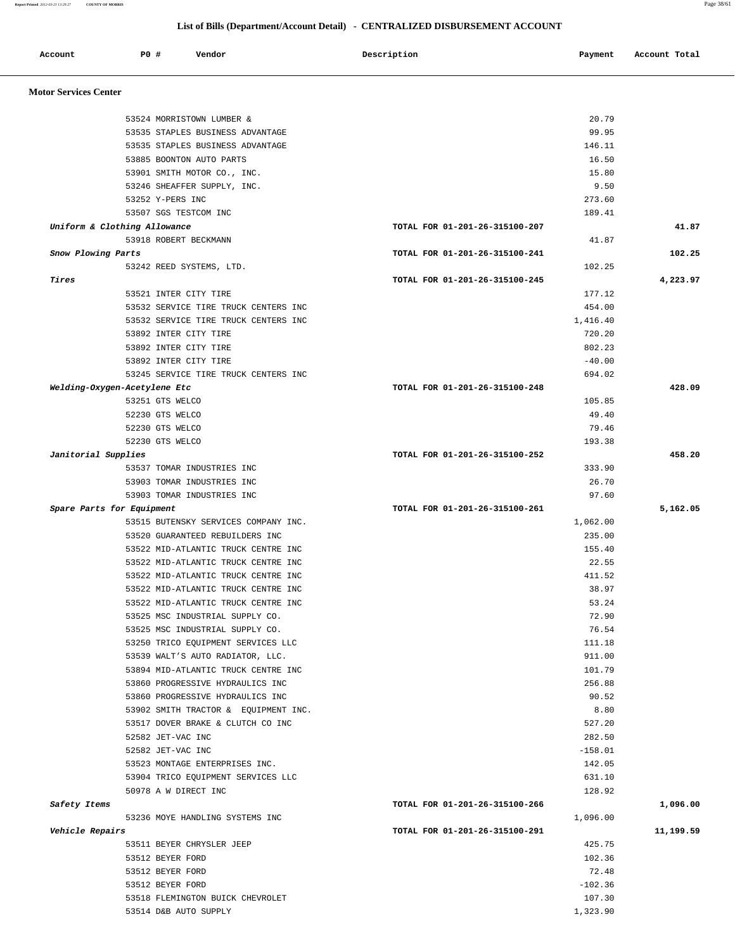**Report Printed** *2012-03-23 13:29:27* **COUNTY OF MORRIS** Page 38/61

## **List of Bills (Department/Account Detail) - CENTRALIZED DISBURSEMENT ACCOUNT**

| Account                      | P0 # | Vendor                                                                     | Description<br>Payment         | Account Total |
|------------------------------|------|----------------------------------------------------------------------------|--------------------------------|---------------|
| <b>Motor Services Center</b> |      |                                                                            |                                |               |
|                              |      |                                                                            |                                |               |
|                              |      | 53524 MORRISTOWN LUMBER &                                                  | 20.79<br>99.95                 |               |
|                              |      | 53535 STAPLES BUSINESS ADVANTAGE                                           | 146.11                         |               |
|                              |      | 53535 STAPLES BUSINESS ADVANTAGE<br>53885 BOONTON AUTO PARTS               | 16.50                          |               |
|                              |      | 53901 SMITH MOTOR CO., INC.                                                | 15.80                          |               |
|                              |      | 53246 SHEAFFER SUPPLY, INC.                                                | 9.50                           |               |
|                              |      | 53252 Y-PERS INC                                                           | 273.60                         |               |
|                              |      | 53507 SGS TESTCOM INC                                                      | 189.41                         |               |
| Uniform & Clothing Allowance |      |                                                                            | TOTAL FOR 01-201-26-315100-207 | 41.87         |
|                              |      | 53918 ROBERT BECKMANN                                                      | 41.87                          |               |
| Snow Plowing Parts           |      |                                                                            | TOTAL FOR 01-201-26-315100-241 | 102.25        |
|                              |      | 53242 REED SYSTEMS, LTD.                                                   | 102.25                         |               |
| Tires                        |      |                                                                            | TOTAL FOR 01-201-26-315100-245 | 4,223.97      |
|                              |      | 53521 INTER CITY TIRE                                                      | 177.12                         |               |
|                              |      | 53532 SERVICE TIRE TRUCK CENTERS INC                                       | 454.00                         |               |
|                              |      | 53532 SERVICE TIRE TRUCK CENTERS INC                                       | 1,416.40                       |               |
|                              |      | 53892 INTER CITY TIRE                                                      | 720.20                         |               |
|                              |      | 53892 INTER CITY TIRE                                                      | 802.23                         |               |
|                              |      | 53892 INTER CITY TIRE                                                      | $-40.00$                       |               |
|                              |      | 53245 SERVICE TIRE TRUCK CENTERS INC                                       | 694.02                         |               |
| Welding-Oxygen-Acetylene Etc |      |                                                                            | TOTAL FOR 01-201-26-315100-248 | 428.09        |
|                              |      | 53251 GTS WELCO                                                            | 105.85                         |               |
|                              |      | 52230 GTS WELCO                                                            | 49.40                          |               |
|                              |      | 52230 GTS WELCO                                                            | 79.46                          |               |
|                              |      | 52230 GTS WELCO                                                            | 193.38                         |               |
| Janitorial Supplies          |      |                                                                            | TOTAL FOR 01-201-26-315100-252 | 458.20        |
|                              |      | 53537 TOMAR INDUSTRIES INC                                                 | 333.90                         |               |
|                              |      | 53903 TOMAR INDUSTRIES INC                                                 | 26.70                          |               |
|                              |      | 53903 TOMAR INDUSTRIES INC                                                 | 97.60                          |               |
| Spare Parts for Equipment    |      |                                                                            | TOTAL FOR 01-201-26-315100-261 | 5,162.05      |
|                              |      | 53515 BUTENSKY SERVICES COMPANY INC.                                       | 1,062.00                       |               |
|                              |      | 53520 GUARANTEED REBUILDERS INC                                            | 235.00                         |               |
|                              |      | 53522 MID-ATLANTIC TRUCK CENTRE INC                                        | 155.40                         |               |
|                              |      | 53522 MID-ATLANTIC TRUCK CENTRE INC<br>53522 MID-ATLANTIC TRUCK CENTRE INC | 22.55<br>411.52                |               |
|                              |      | 53522 MID-ATLANTIC TRUCK CENTRE INC                                        | 38.97                          |               |
|                              |      | 53522 MID-ATLANTIC TRUCK CENTRE INC                                        | 53.24                          |               |
|                              |      | 53525 MSC INDUSTRIAL SUPPLY CO.                                            | 72.90                          |               |
|                              |      | 53525 MSC INDUSTRIAL SUPPLY CO.                                            | 76.54                          |               |
|                              |      | 53250 TRICO EQUIPMENT SERVICES LLC                                         | 111.18                         |               |
|                              |      | 53539 WALT'S AUTO RADIATOR, LLC.                                           | 911.00                         |               |
|                              |      | 53894 MID-ATLANTIC TRUCK CENTRE INC                                        | 101.79                         |               |
|                              |      | 53860 PROGRESSIVE HYDRAULICS INC                                           | 256.88                         |               |
|                              |      | 53860 PROGRESSIVE HYDRAULICS INC                                           | 90.52                          |               |
|                              |      | 53902 SMITH TRACTOR & EQUIPMENT INC.                                       | 8.80                           |               |
|                              |      | 53517 DOVER BRAKE & CLUTCH CO INC                                          | 527.20                         |               |
|                              |      | 52582 JET-VAC INC                                                          | 282.50                         |               |
|                              |      | 52582 JET-VAC INC                                                          | $-158.01$                      |               |
|                              |      | 53523 MONTAGE ENTERPRISES INC.                                             | 142.05                         |               |
|                              |      | 53904 TRICO EQUIPMENT SERVICES LLC                                         | 631.10                         |               |
|                              |      | 50978 A W DIRECT INC                                                       | 128.92                         |               |
| Safety Items                 |      |                                                                            | TOTAL FOR 01-201-26-315100-266 | 1,096.00      |
|                              |      | 53236 MOYE HANDLING SYSTEMS INC                                            | 1,096.00                       |               |
| Vehicle Repairs              |      |                                                                            | TOTAL FOR 01-201-26-315100-291 | 11,199.59     |
|                              |      | 53511 BEYER CHRYSLER JEEP                                                  | 425.75                         |               |
|                              |      | 53512 BEYER FORD                                                           | 102.36                         |               |
|                              |      | 53512 BEYER FORD                                                           | 72.48                          |               |
|                              |      | 53512 BEYER FORD                                                           | $-102.36$                      |               |
|                              |      | 53518 FLEMINGTON BUICK CHEVROLET                                           | 107.30                         |               |
|                              |      | 53514 D&B AUTO SUPPLY                                                      | 1,323.90                       |               |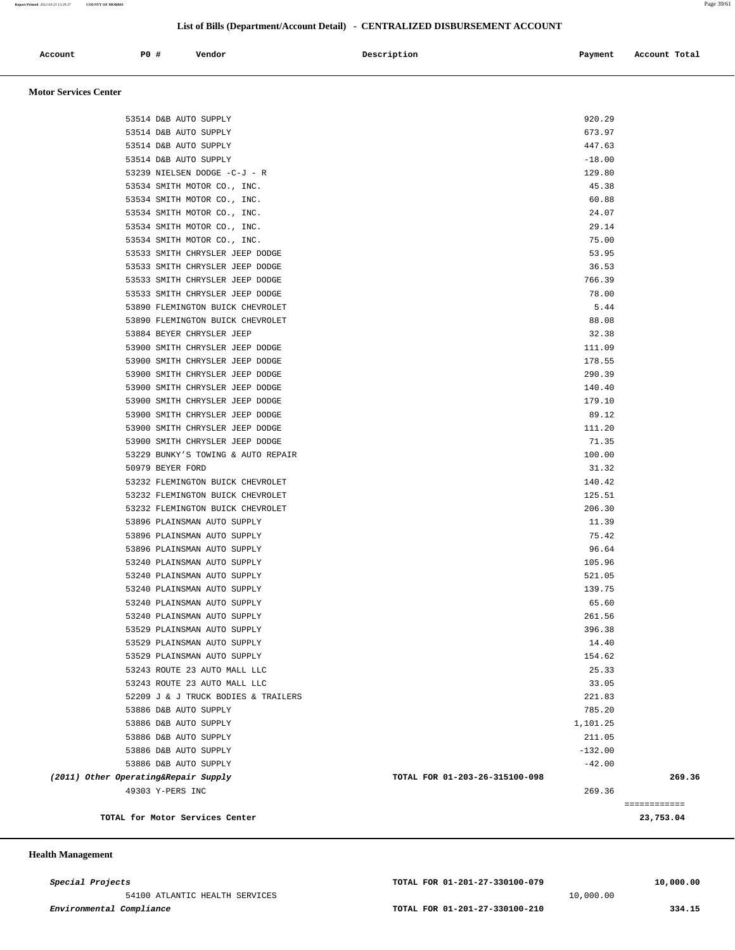**Report Printed** *2012-03-23 13:29:27* **COUNTY OF MORRIS** Page 39/61

# **List of Bills (Department/Account Detail) - CENTRALIZED DISBURSEMENT ACCOUNT**

| Account | <b>PO #</b> | Vendor | Description | Payment | Account Total |
|---------|-------------|--------|-------------|---------|---------------|
|         |             |        |             |         |               |

 **Motor Services Center** 

| TOTAL for Motor Services Center      |                                | ============<br>23,753.04 |
|--------------------------------------|--------------------------------|---------------------------|
| 49303 Y-PERS INC                     | 269.36                         |                           |
| (2011) Other Operating&Repair Supply | TOTAL FOR 01-203-26-315100-098 | 269.36                    |
| 53886 D&B AUTO SUPPLY                | $-42.00$                       |                           |
| 53886 D&B AUTO SUPPLY                | $-132.00$                      |                           |
| 53886 D&B AUTO SUPPLY                | 211.05                         |                           |
| 53886 D&B AUTO SUPPLY                | 1,101.25                       |                           |
| 53886 D&B AUTO SUPPLY                | 785.20                         |                           |
| 52209 J & J TRUCK BODIES & TRAILERS  | 221.83                         |                           |
| 53243 ROUTE 23 AUTO MALL LLC         | 33.05                          |                           |
| 53243 ROUTE 23 AUTO MALL LLC         | 25.33                          |                           |
| 53529 PLAINSMAN AUTO SUPPLY          | 154.62                         |                           |
| 53529 PLAINSMAN AUTO SUPPLY          | 14.40                          |                           |
| 53529 PLAINSMAN AUTO SUPPLY          | 396.38                         |                           |
| 53240 PLAINSMAN AUTO SUPPLY          | 261.56                         |                           |
| 53240 PLAINSMAN AUTO SUPPLY          | 65.60                          |                           |
| 53240 PLAINSMAN AUTO SUPPLY          | 139.75                         |                           |
| 53240 PLAINSMAN AUTO SUPPLY          | 521.05                         |                           |
| 53240 PLAINSMAN AUTO SUPPLY          | 105.96                         |                           |
| 53896 PLAINSMAN AUTO SUPPLY          | 96.64                          |                           |
| 53896 PLAINSMAN AUTO SUPPLY          | 75.42                          |                           |
| 53896 PLAINSMAN AUTO SUPPLY          | 11.39                          |                           |
| 53232 FLEMINGTON BUICK CHEVROLET     | 206.30                         |                           |
| 53232 FLEMINGTON BUICK CHEVROLET     | 125.51                         |                           |
| 53232 FLEMINGTON BUICK CHEVROLET     | 140.42                         |                           |
| 50979 BEYER FORD                     | 31.32                          |                           |
| 53229 BUNKY'S TOWING & AUTO REPAIR   | 100.00                         |                           |
| 53900 SMITH CHRYSLER JEEP DODGE      | 71.35                          |                           |
| 53900 SMITH CHRYSLER JEEP DODGE      | 111.20                         |                           |
| 53900 SMITH CHRYSLER JEEP DODGE      | 89.12                          |                           |
| 53900 SMITH CHRYSLER JEEP DODGE      | 179.10                         |                           |
| 53900 SMITH CHRYSLER JEEP DODGE      | 140.40                         |                           |
| 53900 SMITH CHRYSLER JEEP DODGE      | 290.39                         |                           |
| 53900 SMITH CHRYSLER JEEP DODGE      | 178.55                         |                           |
| 53900 SMITH CHRYSLER JEEP DODGE      | 111.09                         |                           |
| 53884 BEYER CHRYSLER JEEP            | 32.38                          |                           |
| 53890 FLEMINGTON BUICK CHEVROLET     | 88.08                          |                           |
| 53890 FLEMINGTON BUICK CHEVROLET     | 5.44                           |                           |
| 53533 SMITH CHRYSLER JEEP DODGE      | 78.00                          |                           |
| 53533 SMITH CHRYSLER JEEP DODGE      | 766.39                         |                           |
| 53533 SMITH CHRYSLER JEEP DODGE      | 36.53                          |                           |
| 53533 SMITH CHRYSLER JEEP DODGE      | 53.95                          |                           |
| 53534 SMITH MOTOR CO., INC.          | 75.00                          |                           |
| 53534 SMITH MOTOR CO., INC.          | 29.14                          |                           |
| 53534 SMITH MOTOR CO., INC.          | 24.07                          |                           |
| 53534 SMITH MOTOR CO., INC.          | 60.88                          |                           |
| 53534 SMITH MOTOR CO., INC.          | 45.38                          |                           |
| 53239 NIELSEN DODGE -C-J - R         | 129.80                         |                           |
| 53514 D&B AUTO SUPPLY                | $-18.00$                       |                           |
| 53514 D&B AUTO SUPPLY                | 447.63                         |                           |
| 53514 D&B AUTO SUPPLY                | 673.97                         |                           |
| 53514 D&B AUTO SUPPLY                | 920.29                         |                           |
|                                      |                                |                           |

 **Health Management**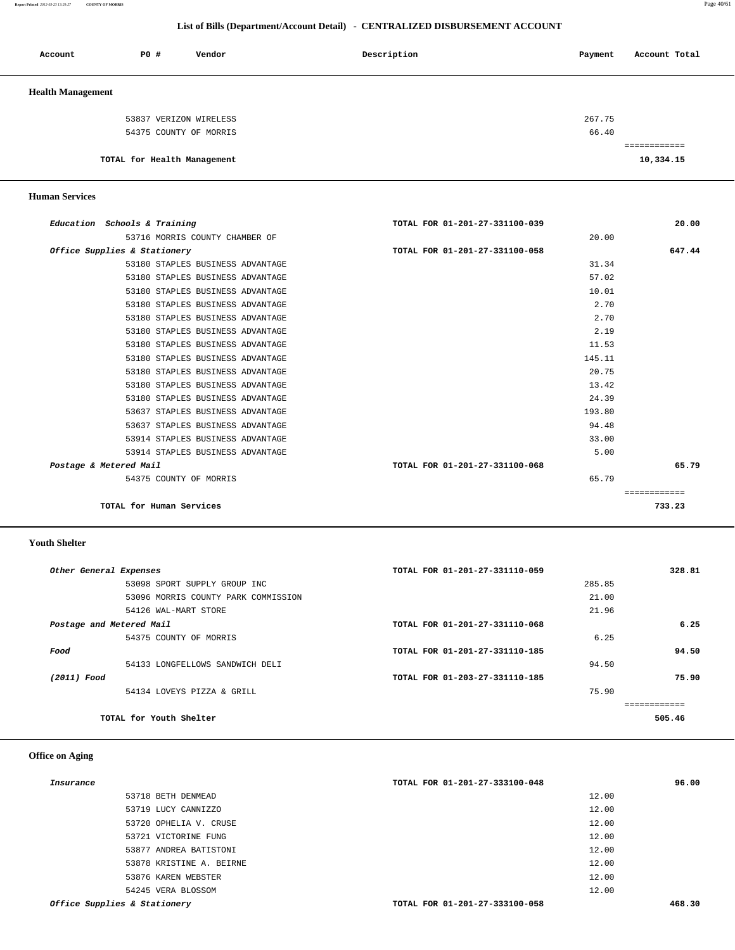**Report Printed** *2012-03-23 13:29:27* **COUNTY OF MORRIS** Page 40/61

## **List of Bills (Department/Account Detail) - CENTRALIZED DISBURSEMENT ACCOUNT**

| Account                  | PO#                         | Vendor                 | Description | Payment | Account Total |
|--------------------------|-----------------------------|------------------------|-------------|---------|---------------|
| <b>Health Management</b> |                             |                        |             |         |               |
|                          |                             | 53837 VERIZON WIRELESS |             | 267.75  |               |
|                          |                             | 54375 COUNTY OF MORRIS |             | 66.40   |               |
|                          |                             |                        |             |         | ============  |
|                          | TOTAL for Health Management |                        |             |         | 10,334.15     |

### **Human Services**

| Education Schools & Training     | TOTAL FOR 01-201-27-331100-039 | 20.00        |
|----------------------------------|--------------------------------|--------------|
| 53716 MORRIS COUNTY CHAMBER OF   |                                | 20.00        |
| Office Supplies & Stationery     | TOTAL FOR 01-201-27-331100-058 | 647.44       |
| 53180 STAPLES BUSINESS ADVANTAGE |                                | 31.34        |
| 53180 STAPLES BUSINESS ADVANTAGE |                                | 57.02        |
| 53180 STAPLES BUSINESS ADVANTAGE |                                | 10.01        |
| 53180 STAPLES BUSINESS ADVANTAGE |                                | 2.70         |
| 53180 STAPLES BUSINESS ADVANTAGE |                                | 2.70         |
| 53180 STAPLES BUSINESS ADVANTAGE |                                | 2.19         |
| 53180 STAPLES BUSINESS ADVANTAGE |                                | 11.53        |
| 53180 STAPLES BUSINESS ADVANTAGE | 145.11                         |              |
| 53180 STAPLES BUSINESS ADVANTAGE |                                | 20.75        |
| 53180 STAPLES BUSINESS ADVANTAGE |                                | 13.42        |
| 53180 STAPLES BUSINESS ADVANTAGE |                                | 24.39        |
| 53637 STAPLES BUSINESS ADVANTAGE | 193.80                         |              |
| 53637 STAPLES BUSINESS ADVANTAGE |                                | 94.48        |
| 53914 STAPLES BUSINESS ADVANTAGE |                                | 33.00        |
| 53914 STAPLES BUSINESS ADVANTAGE |                                | 5.00         |
| Postage & Metered Mail           | TOTAL FOR 01-201-27-331100-068 | 65.79        |
| 54375 COUNTY OF MORRIS           |                                | 65.79        |
|                                  |                                | ============ |
| TOTAL for Human Services         |                                | 733.23       |
|                                  |                                |              |

 **Youth Shelter** 

| Other General Expenses              | TOTAL FOR 01-201-27-331110-059 |        | 328.81 |
|-------------------------------------|--------------------------------|--------|--------|
| 53098 SPORT SUPPLY GROUP INC        |                                | 285.85 |        |
| 53096 MORRIS COUNTY PARK COMMISSION |                                | 21.00  |        |
| 54126 WAL-MART STORE                |                                | 21.96  |        |
| Postage and Metered Mail            | TOTAL FOR 01-201-27-331110-068 |        | 6.25   |
| 54375 COUNTY OF MORRIS              |                                | 6.25   |        |
| Food                                | TOTAL FOR 01-201-27-331110-185 |        | 94.50  |
| 54133 LONGFELLOWS SANDWICH DELI     |                                | 94.50  |        |
| (2011) Food                         | TOTAL FOR 01-203-27-331110-185 |        | 75.90  |
| 54134 LOVEYS PIZZA & GRILL          |                                | 75.90  |        |
|                                     |                                |        |        |
| TOTAL for Youth Shelter             |                                |        | 505.46 |

## **Office on Aging**

| Insurance                    | TOTAL FOR 01-201-27-333100-048 | 96.00  |
|------------------------------|--------------------------------|--------|
| 53718 BETH DENMEAD           | 12.00                          |        |
| 53719 LUCY CANNIZZO          | 12.00                          |        |
| 53720 OPHELIA V. CRUSE       | 12.00                          |        |
| 53721 VICTORINE FUNG         | 12.00                          |        |
| 53877 ANDREA BATISTONI       | 12.00                          |        |
| 53878 KRISTINE A. BEIRNE     | 12.00                          |        |
| 53876 KAREN WEBSTER          | 12.00                          |        |
| 54245 VERA BLOSSOM           | 12.00                          |        |
| Office Supplies & Stationery | TOTAL FOR 01-201-27-333100-058 | 468.30 |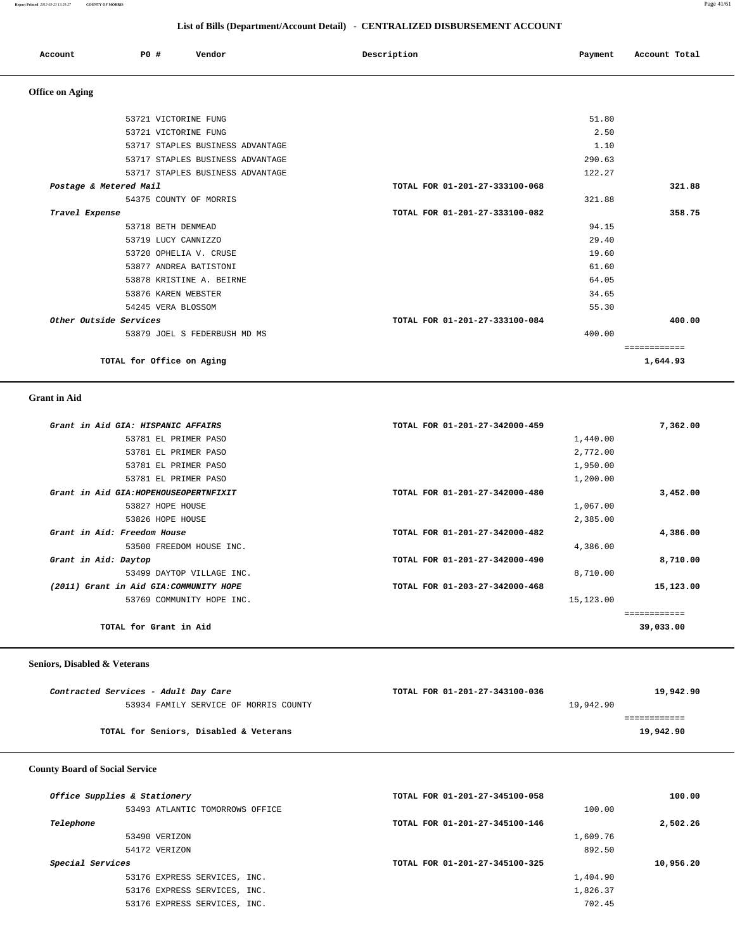**Report Printed** *2012-03-23 13:29:27* **COUNTY OF MORRIS** Page 41/61

## **List of Bills (Department/Account Detail) - CENTRALIZED DISBURSEMENT ACCOUNT**

| Account | <b>PO #</b> | Vendor | Description | Payment | Account Total |
|---------|-------------|--------|-------------|---------|---------------|
|         |             |        |             |         |               |

 **Office on Aging** 

| 53721 VICTORINE FUNG             |                                | 51.80        |
|----------------------------------|--------------------------------|--------------|
| 53721 VICTORINE FUNG             |                                | 2.50         |
| 53717 STAPLES BUSINESS ADVANTAGE |                                | 1.10         |
| 53717 STAPLES BUSINESS ADVANTAGE | 290.63                         |              |
| 53717 STAPLES BUSINESS ADVANTAGE | 122.27                         |              |
| Postage & Metered Mail           | TOTAL FOR 01-201-27-333100-068 | 321.88       |
| 54375 COUNTY OF MORRIS           | 321.88                         |              |
| Travel Expense                   | TOTAL FOR 01-201-27-333100-082 | 358.75       |
| 53718 BETH DENMEAD               |                                | 94.15        |
| 53719 LUCY CANNIZZO              |                                | 29.40        |
| 53720 OPHELIA V. CRUSE           |                                | 19.60        |
| 53877 ANDREA BATISTONI           |                                | 61.60        |
| 53878 KRISTINE A. BEIRNE         |                                | 64.05        |
| 53876 KAREN WEBSTER              |                                | 34.65        |
| 54245 VERA BLOSSOM               |                                | 55.30        |
| Other Outside Services           | TOTAL FOR 01-201-27-333100-084 | 400.00       |
| 53879 JOEL S FEDERBUSH MD MS     | 400.00                         |              |
|                                  |                                | ============ |
| TOTAL for Office on Aging        |                                | 1,644.93     |
|                                  |                                |              |

 **Grant in Aid** 

| Grant in Aid GIA: HISPANIC AFFAIRS      | TOTAL FOR 01-201-27-342000-459 | 7,362.00  |
|-----------------------------------------|--------------------------------|-----------|
| 53781 EL PRIMER PASO                    | 1,440.00                       |           |
| 53781 EL PRIMER PASO                    | 2,772.00                       |           |
| 53781 EL PRIMER PASO                    | 1,950.00                       |           |
| 53781 EL PRIMER PASO                    | 1,200.00                       |           |
| Grant in Aid GIA: HOPEHOUSEOPERTNFIXIT  | TOTAL FOR 01-201-27-342000-480 | 3,452.00  |
| 53827 HOPE HOUSE                        | 1,067.00                       |           |
| 53826 HOPE HOUSE                        | 2,385.00                       |           |
| Grant in Aid: Freedom House             | TOTAL FOR 01-201-27-342000-482 | 4,386.00  |
| 53500 FREEDOM HOUSE INC.                | 4,386.00                       |           |
| Grant in Aid: Daytop                    | TOTAL FOR 01-201-27-342000-490 | 8,710.00  |
| 53499 DAYTOP VILLAGE INC.               | 8,710.00                       |           |
| (2011) Grant in Aid GIA: COMMUNITY HOPE | TOTAL FOR 01-203-27-342000-468 | 15,123.00 |
| 53769 COMMUNITY HOPE INC.               | 15,123.00                      |           |
|                                         |                                |           |
| TOTAL for Grant in Aid                  |                                | 39,033.00 |
|                                         |                                |           |

### **Seniors, Disabled & Veterans**

| Contracted Services - Adult Day Care   | TOTAL FOR 01-201-27-343100-036 | 19,942.90 |
|----------------------------------------|--------------------------------|-----------|
| 53934 FAMILY SERVICE OF MORRIS COUNTY  | 19,942.90                      |           |
|                                        |                                |           |
| TOTAL for Seniors, Disabled & Veterans |                                | 19,942.90 |
|                                        |                                |           |

## **County Board of Social Service**

| TOTAL FOR 01-201-27-345100-058 | 100.00    |
|--------------------------------|-----------|
| 100.00                         |           |
| TOTAL FOR 01-201-27-345100-146 | 2,502.26  |
| 1,609.76                       |           |
| 892.50                         |           |
| TOTAL FOR 01-201-27-345100-325 | 10,956.20 |
| 1,404.90                       |           |
| 1,826.37                       |           |
| 702.45                         |           |
|                                |           |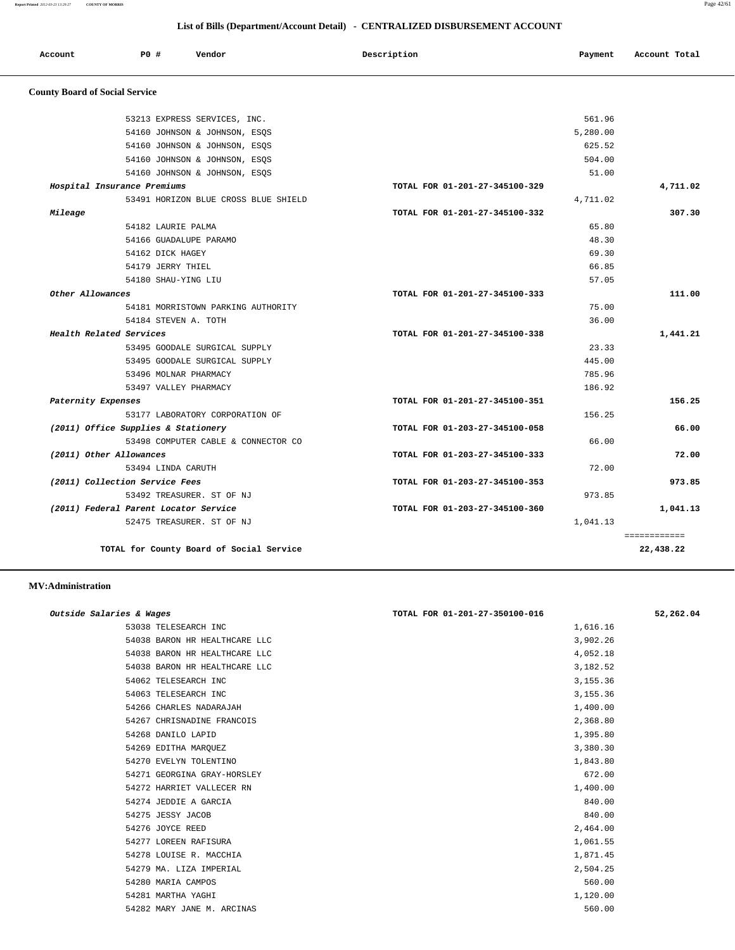**Report Printed** *2012-03-23 13:29:27* **COUNTY OF MORRIS** Page 42/61

## **List of Bills (Department/Account Detail) - CENTRALIZED DISBURSEMENT ACCOUNT**

| Account<br>. | PO# | Vendor | Description | Payment | Account Total<br>.<br>. |
|--------------|-----|--------|-------------|---------|-------------------------|
|              |     |        |             |         |                         |

# **County Board of Social Service**

|                    | TOTAL for County Board of Social Service                       |                                |                    | 22,438.22    |
|--------------------|----------------------------------------------------------------|--------------------------------|--------------------|--------------|
|                    | 52475 TREASURER. ST OF NJ                                      |                                | 1,041.13           | ============ |
|                    | (2011) Federal Parent Locator Service                          | TOTAL FOR 01-203-27-345100-360 |                    | 1,041.13     |
|                    | 53492 TREASURER. ST OF NJ                                      |                                | 973.85             |              |
|                    | (2011) Collection Service Fees                                 | TOTAL FOR 01-203-27-345100-353 |                    | 973.85       |
|                    | 53494 LINDA CARUTH                                             |                                | 72.00              |              |
|                    | (2011) Other Allowances                                        | TOTAL FOR 01-203-27-345100-333 |                    | 72.00        |
|                    | 53498 COMPUTER CABLE & CONNECTOR CO                            |                                | 66.00              |              |
|                    | (2011) Office Supplies & Stationery                            | TOTAL FOR 01-203-27-345100-058 |                    | 66.00        |
|                    | 53177 LABORATORY CORPORATION OF                                |                                | 156.25             |              |
| Paternity Expenses |                                                                | TOTAL FOR 01-201-27-345100-351 |                    | 156.25       |
|                    | 53497 VALLEY PHARMACY                                          |                                | 186.92             |              |
|                    | 53496 MOLNAR PHARMACY                                          |                                | 785.96             |              |
|                    | 53495 GOODALE SURGICAL SUPPLY                                  |                                | 445.00             |              |
|                    | 53495 GOODALE SURGICAL SUPPLY                                  |                                | 23.33              |              |
|                    | Health Related Services                                        | TOTAL FOR 01-201-27-345100-338 |                    | 1,441.21     |
|                    | 54184 STEVEN A. TOTH                                           |                                | 36.00              |              |
|                    | 54181 MORRISTOWN PARKING AUTHORITY                             |                                | 75.00              |              |
| Other Allowances   |                                                                | TOTAL FOR 01-201-27-345100-333 |                    | 111.00       |
|                    | 54180 SHAU-YING LIU                                            |                                | 57.05              |              |
|                    | 54179 JERRY THIEL                                              |                                | 66.85              |              |
|                    | 54162 DICK HAGEY                                               |                                | 69.30              |              |
|                    | 54166 GUADALUPE PARAMO                                         |                                | 48.30              |              |
|                    | 54182 LAURIE PALMA                                             |                                | 65.80              |              |
| Mileage            |                                                                | TOTAL FOR 01-201-27-345100-332 |                    | 307.30       |
|                    | 53491 HORIZON BLUE CROSS BLUE SHIELD                           |                                | 4,711.02           |              |
|                    | Hospital Insurance Premiums                                    | TOTAL FOR 01-201-27-345100-329 |                    | 4,711.02     |
|                    | 54160 JOHNSON & JOHNSON, ESQS                                  |                                | 51.00              |              |
|                    | 54160 JOHNSON & JOHNSON, ESQS<br>54160 JOHNSON & JOHNSON, ESOS |                                | 504.00             |              |
|                    | 54160 JOHNSON & JOHNSON, ESOS                                  |                                | 625.52             |              |
|                    | 53213 EXPRESS SERVICES, INC.                                   |                                | 561.96<br>5,280.00 |              |

### **MV:Administration**

| Outside Salaries & Wages |                               | TOTAL FOR 01-201-27-350100-016 | 52,262.04 |
|--------------------------|-------------------------------|--------------------------------|-----------|
|                          | 53038 TELESEARCH INC          | 1,616.16                       |           |
|                          | 54038 BARON HR HEALTHCARE LLC | 3,902.26                       |           |
|                          | 54038 BARON HR HEALTHCARE LLC | 4,052.18                       |           |
|                          | 54038 BARON HR HEALTHCARE LLC | 3,182.52                       |           |
|                          | 54062 TELESEARCH INC          | 3,155.36                       |           |
|                          | 54063 TELESEARCH INC          | 3,155.36                       |           |
|                          | 54266 CHARLES NADARAJAH       | 1,400.00                       |           |
|                          | 54267 CHRISNADINE FRANCOIS    | 2,368.80                       |           |
|                          | 54268 DANILO LAPID            | 1,395.80                       |           |
|                          | 54269 EDITHA MARQUEZ          | 3,380.30                       |           |
|                          | 54270 EVELYN TOLENTINO        | 1,843.80                       |           |
|                          | 54271 GEORGINA GRAY-HORSLEY   | 672.00                         |           |
|                          | 54272 HARRIET VALLECER RN     | 1,400.00                       |           |
|                          | 54274 JEDDIE A GARCIA         | 840.00                         |           |
|                          | 54275 JESSY JACOB             | 840.00                         |           |
|                          | 54276 JOYCE REED              | 2,464.00                       |           |
|                          | 54277 LOREEN RAFISURA         | 1,061.55                       |           |
|                          | 54278 LOUISE R. MACCHIA       | 1,871.45                       |           |
|                          | 54279 MA. LIZA IMPERIAL       | 2,504.25                       |           |
|                          | 54280 MARIA CAMPOS            | 560.00                         |           |
|                          | 54281 MARTHA YAGHI            | 1,120.00                       |           |
|                          | 54282 MARY JANE M. ARCINAS    | 560.00                         |           |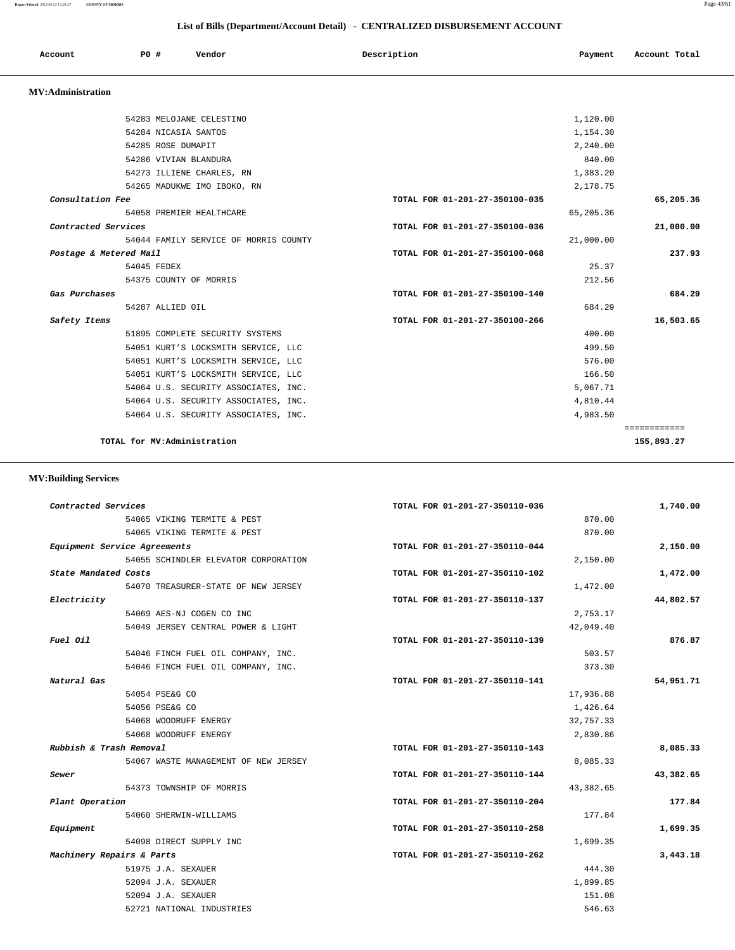### **Report Printed** *2012-03-23 13:29:27* **COUNTY OF MORRIS** Page 43/61

 **List of Bills (Department/Account Detail) - CENTRALIZED DISBURSEMENT ACCOUNT**

| Account                  | PO#                | Vendor                                | Description                    | Payment   | Account Total |
|--------------------------|--------------------|---------------------------------------|--------------------------------|-----------|---------------|
| <b>MV:Administration</b> |                    |                                       |                                |           |               |
|                          |                    | 54283 MELOJANE CELESTINO              |                                | 1,120.00  |               |
|                          |                    | 54284 NICASIA SANTOS                  |                                | 1,154.30  |               |
|                          | 54285 ROSE DUMAPIT |                                       |                                | 2,240.00  |               |
|                          |                    | 54286 VIVIAN BLANDURA                 |                                | 840.00    |               |
|                          |                    | 54273 ILLIENE CHARLES, RN             |                                | 1,383.20  |               |
|                          |                    | 54265 MADUKWE IMO IBOKO, RN           |                                | 2,178.75  |               |
| Consultation Fee         |                    |                                       | TOTAL FOR 01-201-27-350100-035 |           | 65,205.36     |
|                          |                    | 54058 PREMIER HEALTHCARE              |                                | 65,205.36 |               |
| Contracted Services      |                    |                                       | TOTAL FOR 01-201-27-350100-036 |           | 21,000.00     |
|                          |                    | 54044 FAMILY SERVICE OF MORRIS COUNTY |                                | 21,000.00 |               |
| Postage & Metered Mail   |                    |                                       | TOTAL FOR 01-201-27-350100-068 |           | 237.93        |
|                          | 54045 FEDEX        |                                       |                                | 25.37     |               |
|                          |                    | 54375 COUNTY OF MORRIS                |                                | 212.56    |               |
| Gas Purchases            |                    |                                       | TOTAL FOR 01-201-27-350100-140 |           | 684.29        |
|                          | 54287 ALLIED OIL   |                                       |                                | 684.29    |               |
| Safety Items             |                    |                                       | TOTAL FOR 01-201-27-350100-266 |           | 16,503.65     |
|                          |                    | 51895 COMPLETE SECURITY SYSTEMS       |                                | 400.00    |               |
|                          |                    | 54051 KURT'S LOCKSMITH SERVICE, LLC   |                                | 499.50    |               |
|                          |                    | 54051 KURT'S LOCKSMITH SERVICE, LLC   |                                | 576.00    |               |
|                          |                    | 54051 KURT'S LOCKSMITH SERVICE, LLC   |                                | 166.50    |               |
|                          |                    | 54064 U.S. SECURITY ASSOCIATES, INC.  |                                | 5,067.71  |               |
|                          |                    | 54064 U.S. SECURITY ASSOCIATES, INC.  |                                | 4,810.44  |               |
|                          |                    | 54064 U.S. SECURITY ASSOCIATES, INC.  |                                | 4,983.50  |               |
|                          |                    |                                       |                                |           | ============  |
|                          |                    | TOTAL for MV:Administration           |                                |           | 155,893.27    |

# **MV:Building Services**

| Contracted Services       |                                      | TOTAL FOR 01-201-27-350110-036 | 1,740.00  |
|---------------------------|--------------------------------------|--------------------------------|-----------|
|                           | 54065 VIKING TERMITE & PEST          | 870.00                         |           |
|                           | 54065 VIKING TERMITE & PEST          | 870.00                         |           |
|                           | Equipment Service Agreements         | TOTAL FOR 01-201-27-350110-044 | 2,150.00  |
|                           | 54055 SCHINDLER ELEVATOR CORPORATION | 2,150.00                       |           |
| State Mandated Costs      |                                      | TOTAL FOR 01-201-27-350110-102 | 1,472.00  |
|                           | 54070 TREASURER-STATE OF NEW JERSEY  | 1,472.00                       |           |
| Electricity               |                                      | TOTAL FOR 01-201-27-350110-137 | 44,802.57 |
|                           | 54069 AES-NJ COGEN CO INC            | 2,753.17                       |           |
|                           | 54049 JERSEY CENTRAL POWER & LIGHT   | 42,049.40                      |           |
| Fuel Oil                  |                                      | TOTAL FOR 01-201-27-350110-139 | 876.87    |
|                           | 54046 FINCH FUEL OIL COMPANY, INC.   | 503.57                         |           |
|                           | 54046 FINCH FUEL OIL COMPANY, INC.   | 373.30                         |           |
| Natural Gas               |                                      | TOTAL FOR 01-201-27-350110-141 | 54,951.71 |
|                           | 54054 PSE&G CO                       | 17,936.88                      |           |
|                           | 54056 PSE&G CO                       | 1,426.64                       |           |
|                           | 54068 WOODRUFF ENERGY                | 32,757.33                      |           |
|                           | 54068 WOODRUFF ENERGY                | 2,830.86                       |           |
| Rubbish & Trash Removal   |                                      | TOTAL FOR 01-201-27-350110-143 | 8,085.33  |
|                           | 54067 WASTE MANAGEMENT OF NEW JERSEY | 8,085.33                       |           |
| Sewer                     |                                      | TOTAL FOR 01-201-27-350110-144 | 43,382.65 |
|                           | 54373 TOWNSHIP OF MORRIS             | 43,382.65                      |           |
| Plant Operation           |                                      | TOTAL FOR 01-201-27-350110-204 | 177.84    |
|                           | 54060 SHERWIN-WILLIAMS               | 177.84                         |           |
| Equipment                 |                                      | TOTAL FOR 01-201-27-350110-258 | 1,699.35  |
|                           | 54098 DIRECT SUPPLY INC              | 1,699.35                       |           |
| Machinery Repairs & Parts |                                      | TOTAL FOR 01-201-27-350110-262 | 3,443.18  |
|                           | 51975 J.A. SEXAUER                   | 444.30                         |           |
|                           | 52094 J.A. SEXAUER                   | 1,899.85                       |           |
|                           | 52094 J.A. SEXAUER                   | 151.08                         |           |
|                           | 52721 NATIONAL INDUSTRIES            | 546.63                         |           |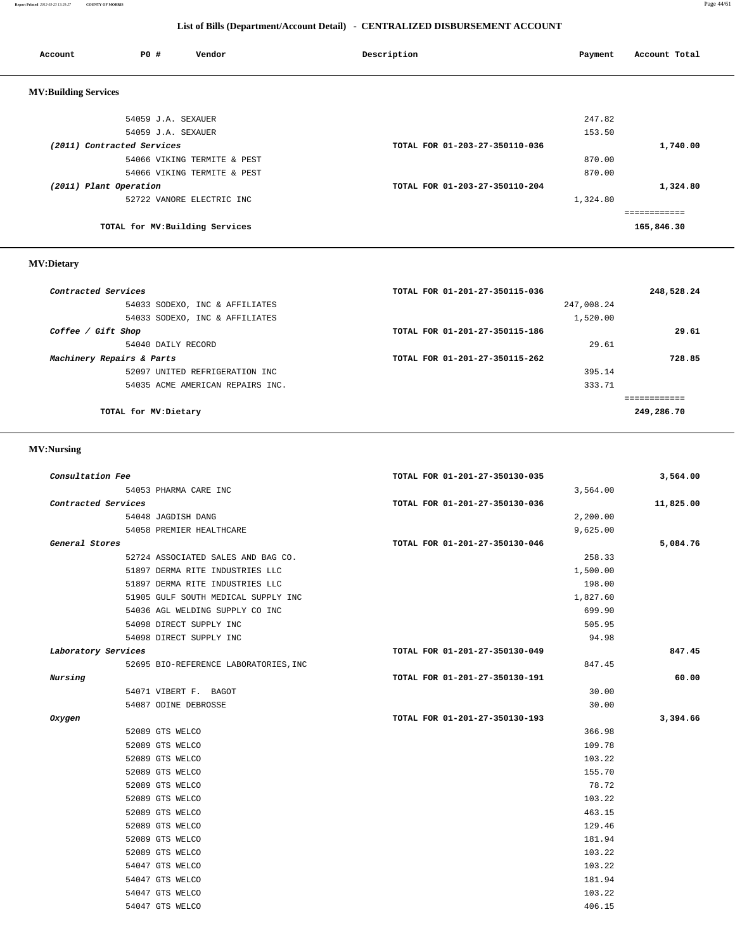## **List of Bills (Department/Account Detail) - CENTRALIZED DISBURSEMENT ACCOUNT**

| Account                     | PO#                        | Vendor                          | Description                    | Payment  | Account Total |
|-----------------------------|----------------------------|---------------------------------|--------------------------------|----------|---------------|
| <b>MV:Building Services</b> |                            |                                 |                                |          |               |
|                             | 54059 J.A. SEXAUER         |                                 |                                | 247.82   |               |
|                             | 54059 J.A. SEXAUER         |                                 |                                | 153.50   |               |
|                             | (2011) Contracted Services |                                 | TOTAL FOR 01-203-27-350110-036 |          | 1,740.00      |
|                             |                            | 54066 VIKING TERMITE & PEST     |                                | 870.00   |               |
|                             |                            | 54066 VIKING TERMITE & PEST     |                                | 870.00   |               |
| (2011) Plant Operation      |                            |                                 | TOTAL FOR 01-203-27-350110-204 |          | 1,324.80      |
|                             |                            | 52722 VANORE ELECTRIC INC       |                                | 1,324.80 |               |
|                             |                            |                                 |                                |          | ---------     |
|                             |                            | TOTAL for MV: Building Services |                                |          | 165,846.30    |

## **MV:Dietary**

| Contracted Services              | TOTAL FOR 01-201-27-350115-036 | 248,528.24 |
|----------------------------------|--------------------------------|------------|
| 54033 SODEXO, INC & AFFILIATES   | 247,008.24                     |            |
| 54033 SODEXO, INC & AFFILIATES   | 1,520.00                       |            |
| Coffee / Gift Shop               | TOTAL FOR 01-201-27-350115-186 | 29.61      |
| 54040 DAILY RECORD               | 29.61                          |            |
| Machinery Repairs & Parts        | TOTAL FOR 01-201-27-350115-262 | 728.85     |
| 52097 UNITED REFRIGERATION INC   | 395.14                         |            |
| 54035 ACME AMERICAN REPAIRS INC. | 333.71                         |            |
|                                  |                                |            |
| TOTAL for MV: Dietary            |                                | 249,286.70 |
|                                  |                                |            |

## **MV:Nursing**

| Consultation Fee    |                                       | TOTAL FOR 01-201-27-350130-035 | 3,564.00  |
|---------------------|---------------------------------------|--------------------------------|-----------|
|                     | 54053 PHARMA CARE INC                 |                                | 3,564.00  |
| Contracted Services |                                       | TOTAL FOR 01-201-27-350130-036 | 11,825.00 |
|                     | 54048 JAGDISH DANG                    |                                | 2,200.00  |
|                     | 54058 PREMIER HEALTHCARE              |                                | 9,625.00  |
| General Stores      |                                       | TOTAL FOR 01-201-27-350130-046 | 5,084.76  |
|                     | 52724 ASSOCIATED SALES AND BAG CO.    |                                | 258.33    |
|                     | 51897 DERMA RITE INDUSTRIES LLC       |                                | 1,500.00  |
|                     | 51897 DERMA RITE INDUSTRIES LLC       |                                | 198.00    |
|                     | 51905 GULF SOUTH MEDICAL SUPPLY INC   |                                | 1,827.60  |
|                     | 54036 AGL WELDING SUPPLY CO INC       |                                | 699.90    |
|                     | 54098 DIRECT SUPPLY INC               |                                | 505.95    |
|                     | 54098 DIRECT SUPPLY INC               |                                | 94.98     |
| Laboratory Services |                                       | TOTAL FOR 01-201-27-350130-049 | 847.45    |
|                     | 52695 BIO-REFERENCE LABORATORIES, INC |                                | 847.45    |
| Nursing             |                                       | TOTAL FOR 01-201-27-350130-191 | 60.00     |
|                     | 54071 VIBERT F. BAGOT                 |                                | 30.00     |
|                     | 54087 ODINE DEBROSSE                  |                                | 30.00     |
| Oxygen              |                                       | TOTAL FOR 01-201-27-350130-193 | 3,394.66  |
|                     | 52089 GTS WELCO                       |                                | 366.98    |
|                     | 52089 GTS WELCO                       |                                | 109.78    |
|                     | 52089 GTS WELCO                       |                                | 103.22    |
|                     | 52089 GTS WELCO                       |                                | 155.70    |
|                     | 52089 GTS WELCO                       |                                | 78.72     |
|                     | 52089 GTS WELCO                       |                                | 103.22    |
|                     | 52089 GTS WELCO                       |                                | 463.15    |
|                     | 52089 GTS WELCO                       |                                | 129.46    |
|                     | 52089 GTS WELCO                       |                                | 181.94    |
|                     | 52089 GTS WELCO                       |                                | 103.22    |
|                     | 54047 GTS WELCO                       |                                | 103.22    |
|                     | 54047 GTS WELCO                       |                                | 181.94    |
|                     |                                       |                                |           |
|                     | 54047 GTS WELCO                       |                                | 103.22    |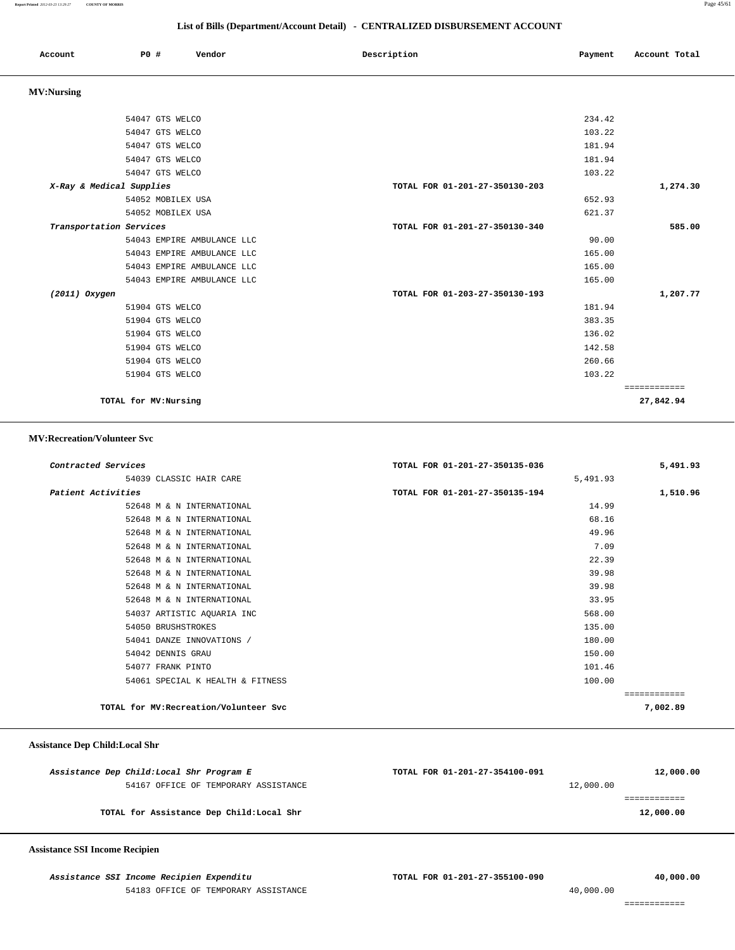### **List of Bills (Department/Account Detail) - CENTRALIZED DISBURSEMENT ACCOUNT**

|                         | List of Dins (Department/Account Detail) • CENTINALIZED DISDONSENIENT ACCOUNT |                                |         |               |  |  |
|-------------------------|-------------------------------------------------------------------------------|--------------------------------|---------|---------------|--|--|
| Account                 | Vendor<br>P0 #                                                                | Description                    | Payment | Account Total |  |  |
| <b>MV:Nursing</b>       |                                                                               |                                |         |               |  |  |
|                         | 54047 GTS WELCO                                                               |                                | 234.42  |               |  |  |
|                         | 54047 GTS WELCO                                                               |                                | 103.22  |               |  |  |
|                         | 54047 GTS WELCO                                                               |                                | 181.94  |               |  |  |
|                         | 54047 GTS WELCO                                                               |                                | 181.94  |               |  |  |
|                         | 54047 GTS WELCO                                                               |                                | 103.22  |               |  |  |
|                         | X-Ray & Medical Supplies                                                      | TOTAL FOR 01-201-27-350130-203 |         | 1,274.30      |  |  |
|                         | 54052 MOBILEX USA                                                             |                                | 652.93  |               |  |  |
|                         | 54052 MOBILEX USA                                                             |                                | 621.37  |               |  |  |
| Transportation Services |                                                                               | TOTAL FOR 01-201-27-350130-340 |         | 585.00        |  |  |
|                         | 54043 EMPIRE AMBULANCE LLC                                                    |                                | 90.00   |               |  |  |
|                         | 54043 EMPIRE AMBULANCE LLC                                                    |                                | 165.00  |               |  |  |
|                         | 54043 EMPIRE AMBULANCE LLC                                                    |                                | 165.00  |               |  |  |
|                         | 54043 EMPIRE AMBULANCE LLC                                                    |                                | 165.00  |               |  |  |
| $(2011)$ Oxygen         |                                                                               | TOTAL FOR 01-203-27-350130-193 |         | 1,207.77      |  |  |
|                         | 51904 GTS WELCO                                                               |                                | 181.94  |               |  |  |
|                         | 51904 GTS WELCO                                                               |                                | 383.35  |               |  |  |
|                         | 51904 GTS WELCO                                                               |                                | 136.02  |               |  |  |
|                         | 51904 GTS WELCO                                                               |                                | 142.58  |               |  |  |
|                         | 51904 GTS WELCO                                                               |                                | 260.66  |               |  |  |
|                         | 51904 GTS WELCO                                                               |                                | 103.22  |               |  |  |
|                         |                                                                               |                                |         | ============  |  |  |
|                         | TOTAL for MV: Nursing                                                         |                                |         | 27,842.94     |  |  |

 **MV:Recreation/Volunteer Svc**

| Contracted Services                    | TOTAL FOR 01-201-27-350135-036<br>5,491.93 |
|----------------------------------------|--------------------------------------------|
| 54039 CLASSIC HAIR CARE                | 5,491.93                                   |
| Patient Activities                     | TOTAL FOR 01-201-27-350135-194<br>1,510.96 |
| 52648 M & N INTERNATIONAL              | 14.99                                      |
| 52648 M & N INTERNATIONAL              | 68.16                                      |
| 52648 M & N INTERNATIONAL              | 49.96                                      |
| 52648 M & N INTERNATIONAL              | 7.09                                       |
| 52648 M & N INTERNATIONAL              | 22.39                                      |
| 52648 M & N INTERNATIONAL              | 39.98                                      |
| 52648 M & N INTERNATIONAL              | 39.98                                      |
| 52648 M & N INTERNATIONAL              | 33.95                                      |
| 54037 ARTISTIC AQUARIA INC             | 568.00                                     |
| 54050 BRUSHSTROKES                     | 135.00                                     |
| 54041 DANZE INNOVATIONS /              | 180.00                                     |
| 54042 DENNIS GRAU                      | 150.00                                     |
| 54077 FRANK PINTO                      | 101.46                                     |
| 54061 SPECIAL K HEALTH & FITNESS       | 100.00                                     |
|                                        | ============                               |
| TOTAL for MV: Recreation/Volunteer Svc | 7,002.89                                   |

### **Assistance Dep Child:Local Shr**

| Assistance Dep Child: Local Shr Program E | TOTAL FOR 01-201-27-354100-091 | 12,000.00 |
|-------------------------------------------|--------------------------------|-----------|
| 54167 OFFICE OF TEMPORARY ASSISTANCE      | 12,000.00                      |           |
|                                           |                                |           |
| TOTAL for Assistance Dep Child: Local Shr |                                | 12,000.00 |
|                                           |                                |           |

 **Assistance SSI Income Recipien**

 **Assistance SSI Income Recipien Expenditu TOTAL FOR 01-201-27-355100-090 40,000.00** 54183 OFFICE OF TEMPORARY ASSISTANCE 40,000.00

============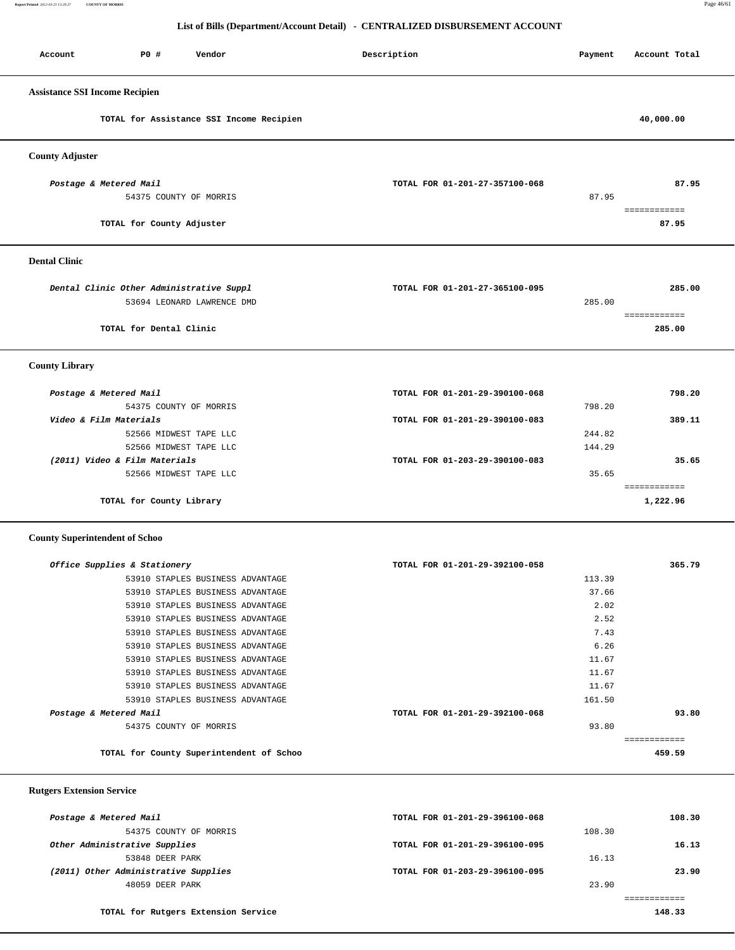**Report Printed** *2012-03-23 13:29:27* **COUNTY OF MORRIS** Page 46/61

# **List of Bills (Department/Account Detail) - CENTRALIZED DISBURSEMENT ACCOUNT**

| Account                               | P0 #<br>Vendor                                                         | Description                    | Payment | Account Total            |
|---------------------------------------|------------------------------------------------------------------------|--------------------------------|---------|--------------------------|
| <b>Assistance SSI Income Recipien</b> |                                                                        |                                |         |                          |
|                                       | TOTAL for Assistance SSI Income Recipien                               |                                |         | 40,000.00                |
| <b>County Adjuster</b>                |                                                                        |                                |         |                          |
| Postage & Metered Mail                | 54375 COUNTY OF MORRIS                                                 | TOTAL FOR 01-201-27-357100-068 | 87.95   | 87.95                    |
|                                       | TOTAL for County Adjuster                                              |                                |         | ============<br>87.95    |
| <b>Dental Clinic</b>                  |                                                                        |                                |         |                          |
|                                       | Dental Clinic Other Administrative Suppl<br>53694 LEONARD LAWRENCE DMD | TOTAL FOR 01-201-27-365100-095 | 285.00  | 285.00                   |
|                                       | TOTAL for Dental Clinic                                                |                                |         | ============<br>285.00   |
| <b>County Library</b>                 |                                                                        |                                |         |                          |
| Postage & Metered Mail                |                                                                        | TOTAL FOR 01-201-29-390100-068 |         | 798.20                   |
|                                       | 54375 COUNTY OF MORRIS                                                 |                                | 798.20  |                          |
| Video & Film Materials                |                                                                        | TOTAL FOR 01-201-29-390100-083 |         | 389.11                   |
|                                       | 52566 MIDWEST TAPE LLC                                                 |                                | 244.82  |                          |
|                                       | 52566 MIDWEST TAPE LLC                                                 |                                | 144.29  |                          |
|                                       | (2011) Video & Film Materials                                          | TOTAL FOR 01-203-29-390100-083 |         | 35.65                    |
|                                       | 52566 MIDWEST TAPE LLC                                                 |                                | 35.65   |                          |
|                                       | TOTAL for County Library                                               |                                |         | ============<br>1,222.96 |
| <b>County Superintendent of Schoo</b> |                                                                        |                                |         |                          |
|                                       | Office Supplies & Stationery                                           | TOTAL FOR 01-201-29-392100-058 |         | 365.79                   |
|                                       | 53910 STAPLES BUSINESS ADVANTAGE                                       |                                | 113.39  |                          |
|                                       | 53910 STAPLES BUSINESS ADVANTAGE                                       |                                | 37.66   |                          |
|                                       | 53910 STAPLES BUSINESS ADVANTAGE                                       |                                | 2.02    |                          |
|                                       | 53910 STAPLES BUSINESS ADVANTAGE                                       |                                | 2.52    |                          |
|                                       | 53910 STAPLES BUSINESS ADVANTAGE                                       |                                | 7.43    |                          |
|                                       | 53910 STAPLES BUSINESS ADVANTAGE                                       |                                | 6.26    |                          |
|                                       | 53910 STAPLES BUSINESS ADVANTAGE                                       |                                | 11.67   |                          |
|                                       | 53910 STAPLES BUSINESS ADVANTAGE                                       |                                | 11.67   |                          |
|                                       | 53910 STAPLES BUSINESS ADVANTAGE                                       |                                | 11.67   |                          |
|                                       | 53910 STAPLES BUSINESS ADVANTAGE                                       |                                | 161.50  |                          |
| Postage & Metered Mail                |                                                                        | TOTAL FOR 01-201-29-392100-068 |         | 93.80                    |

54375 COUNTY OF MORRIS 93.80

**TOTAL for County Superintendent of Schoo 459.59**

### **Rutgers Extension Service**

| Postage & Metered Mail               | TOTAL FOR 01-201-29-396100-068 |        | 108.30 |
|--------------------------------------|--------------------------------|--------|--------|
| 54375 COUNTY OF MORRIS               |                                | 108.30 |        |
| Other Administrative Supplies        | TOTAL FOR 01-201-29-396100-095 |        | 16.13  |
| 53848 DEER PARK                      |                                | 16.13  |        |
| (2011) Other Administrative Supplies | TOTAL FOR 01-203-29-396100-095 |        | 23.90  |
| 48059 DEER PARK                      |                                | 23.90  |        |
|                                      |                                |        |        |
| TOTAL for Rutgers Extension Service  |                                |        | 148.33 |

============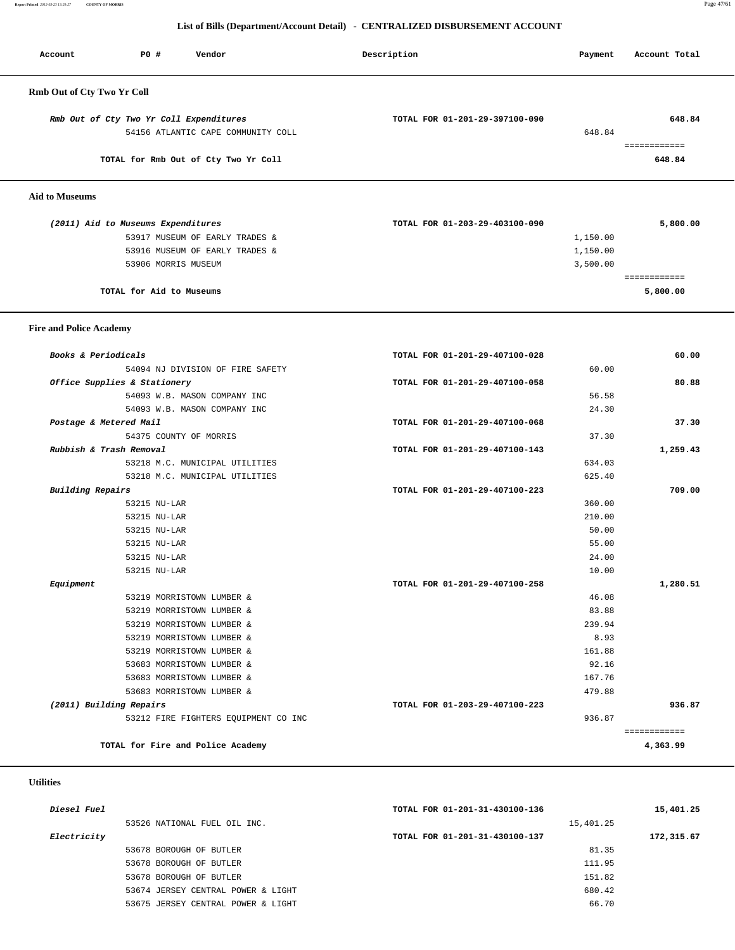**Report Printed** *2012-03-23 13:29:27* **COUNTY OF MORRIS** Page 47/61

## **List of Bills (Department/Account Detail) - CENTRALIZED DISBURSEMENT ACCOUNT**

| Account                           | P0 #<br>Vendor                                                                | Description                    | Payment  | Account Total |
|-----------------------------------|-------------------------------------------------------------------------------|--------------------------------|----------|---------------|
| <b>Rmb Out of Cty Two Yr Coll</b> |                                                                               |                                |          |               |
|                                   | Rmb Out of Cty Two Yr Coll Expenditures<br>54156 ATLANTIC CAPE COMMUNITY COLL | TOTAL FOR 01-201-29-397100-090 | 648.84   | 648.84        |
|                                   | TOTAL for Rmb Out of Cty Two Yr Coll                                          |                                |          | 648.84        |
| <b>Aid to Museums</b>             |                                                                               |                                |          |               |
|                                   | (2011) Aid to Museums Expenditures                                            | TOTAL FOR 01-203-29-403100-090 |          | 5,800.00      |
|                                   | 53917 MUSEUM OF EARLY TRADES &                                                |                                | 1,150.00 |               |
|                                   | 53916 MUSEUM OF EARLY TRADES &                                                |                                | 1,150.00 |               |
|                                   | 53906 MORRIS MUSEUM                                                           |                                | 3,500.00 |               |

============

**TOTAL for Aid to Museums 5,800.00**

### **Fire and Police Academy**

| Books & Periodicals                  | TOTAL FOR 01-201-29-407100-028 | 60.00        |
|--------------------------------------|--------------------------------|--------------|
| 54094 NJ DIVISION OF FIRE SAFETY     | 60.00                          |              |
| Office Supplies & Stationery         | TOTAL FOR 01-201-29-407100-058 | 80.88        |
| 54093 W.B. MASON COMPANY INC         | 56.58                          |              |
| 54093 W.B. MASON COMPANY INC         | 24.30                          |              |
| Postage & Metered Mail               | TOTAL FOR 01-201-29-407100-068 | 37.30        |
| 54375 COUNTY OF MORRIS               | 37.30                          |              |
| Rubbish & Trash Removal              | TOTAL FOR 01-201-29-407100-143 | 1,259.43     |
| 53218 M.C. MUNICIPAL UTILITIES       | 634.03                         |              |
| 53218 M.C. MUNICIPAL UTILITIES       | 625.40                         |              |
| <b>Building Repairs</b>              | TOTAL FOR 01-201-29-407100-223 | 709.00       |
| 53215 NU-LAR                         | 360.00                         |              |
| 53215 NU-LAR                         | 210.00                         |              |
| 53215 NU-LAR                         | 50.00                          |              |
| 53215 NU-LAR                         | 55.00                          |              |
| 53215 NU-LAR                         | 24.00                          |              |
| 53215 NU-LAR                         | 10.00                          |              |
| Equipment                            | TOTAL FOR 01-201-29-407100-258 | 1,280.51     |
| 53219 MORRISTOWN LUMBER &            | 46.08                          |              |
| 53219 MORRISTOWN LUMBER &            | 83.88                          |              |
| 53219 MORRISTOWN LUMBER &            | 239.94                         |              |
| 53219 MORRISTOWN LUMBER &            | 8.93                           |              |
| 53219 MORRISTOWN LUMBER &            | 161.88                         |              |
| 53683 MORRISTOWN LUMBER &            | 92.16                          |              |
| 53683 MORRISTOWN LUMBER &            | 167.76                         |              |
| 53683 MORRISTOWN LUMBER &            | 479.88                         |              |
| (2011) Building Repairs              | TOTAL FOR 01-203-29-407100-223 | 936.87       |
| 53212 FIRE FIGHTERS EQUIPMENT CO INC | 936.87                         |              |
|                                      |                                | ============ |
| TOTAL for Fire and Police Academy    |                                | 4,363.99     |

### **Utilities**

| Diesel Fuel |                                    | TOTAL FOR 01-201-31-430100-136 | 15,401.25  |
|-------------|------------------------------------|--------------------------------|------------|
|             | 53526 NATIONAL FUEL OIL INC.       |                                | 15,401.25  |
| Electricity |                                    | TOTAL FOR 01-201-31-430100-137 | 172,315.67 |
|             | 53678 BOROUGH OF BUTLER            |                                | 81.35      |
|             | 53678 BOROUGH OF BUTLER            |                                | 111.95     |
|             | 53678 BOROUGH OF BUTLER            |                                | 151.82     |
|             | 53674 JERSEY CENTRAL POWER & LIGHT |                                | 680.42     |
|             | 53675 JERSEY CENTRAL POWER & LIGHT |                                | 66.70      |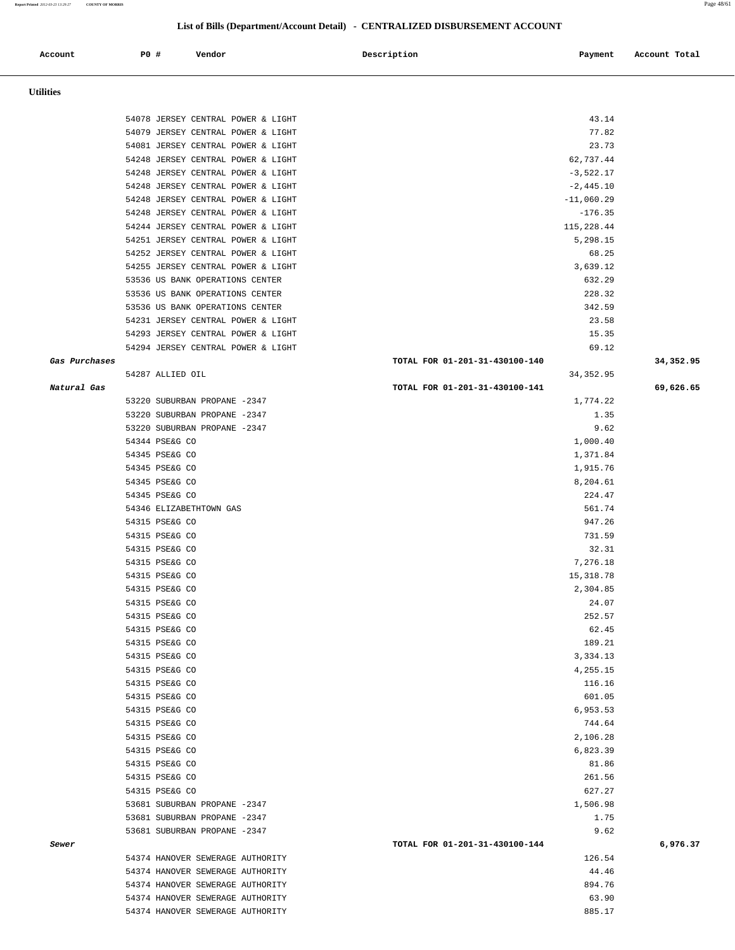### **Report Printed** *2012-03-23 13:29:27* **COUNTY OF MORRIS** Page 48/61

## **List of Bills (Department/Account Detail) - CENTRALIZED DISBURSEMENT ACCOUNT**

| Account          | <b>PO #</b> | Vendor                                                                   | Description                    | Payment                  | Account Total |
|------------------|-------------|--------------------------------------------------------------------------|--------------------------------|--------------------------|---------------|
|                  |             |                                                                          |                                |                          |               |
| <b>Utilities</b> |             |                                                                          |                                |                          |               |
|                  |             |                                                                          |                                |                          |               |
|                  |             | 54078 JERSEY CENTRAL POWER & LIGHT                                       |                                | 43.14                    |               |
|                  |             | 54079 JERSEY CENTRAL POWER & LIGHT                                       |                                | 77.82                    |               |
|                  |             | 54081 JERSEY CENTRAL POWER & LIGHT                                       |                                | 23.73                    |               |
|                  |             | 54248 JERSEY CENTRAL POWER & LIGHT<br>54248 JERSEY CENTRAL POWER & LIGHT |                                | 62,737.44<br>$-3,522.17$ |               |
|                  |             | 54248 JERSEY CENTRAL POWER & LIGHT                                       |                                | $-2,445.10$              |               |
|                  |             | 54248 JERSEY CENTRAL POWER & LIGHT                                       |                                | $-11,060.29$             |               |
|                  |             | 54248 JERSEY CENTRAL POWER & LIGHT                                       |                                | $-176.35$                |               |
|                  |             | 54244 JERSEY CENTRAL POWER & LIGHT                                       |                                | 115,228.44               |               |
|                  |             | 54251 JERSEY CENTRAL POWER & LIGHT                                       |                                | 5,298.15                 |               |
|                  |             | 54252 JERSEY CENTRAL POWER & LIGHT                                       |                                | 68.25                    |               |
|                  |             | 54255 JERSEY CENTRAL POWER & LIGHT                                       |                                | 3,639.12                 |               |
|                  |             | 53536 US BANK OPERATIONS CENTER<br>53536 US BANK OPERATIONS CENTER       |                                | 632.29<br>228.32         |               |
|                  |             | 53536 US BANK OPERATIONS CENTER                                          |                                | 342.59                   |               |
|                  |             | 54231 JERSEY CENTRAL POWER & LIGHT                                       |                                | 23.58                    |               |
|                  |             | 54293 JERSEY CENTRAL POWER & LIGHT                                       |                                | 15.35                    |               |
|                  |             | 54294 JERSEY CENTRAL POWER & LIGHT                                       |                                | 69.12                    |               |
| Gas Purchases    |             |                                                                          | TOTAL FOR 01-201-31-430100-140 |                          | 34,352.95     |
|                  |             | 54287 ALLIED OIL                                                         |                                | 34, 352.95               |               |
| Natural Gas      |             |                                                                          | TOTAL FOR 01-201-31-430100-141 |                          | 69,626.65     |
|                  |             | 53220 SUBURBAN PROPANE -2347                                             |                                | 1,774.22                 |               |
|                  |             | 53220 SUBURBAN PROPANE -2347                                             |                                | 1.35                     |               |
|                  |             | 53220 SUBURBAN PROPANE -2347<br>54344 PSE&G CO                           |                                | 9.62<br>1,000.40         |               |
|                  |             | 54345 PSE&G CO                                                           |                                | 1,371.84                 |               |
|                  |             | 54345 PSE&G CO                                                           |                                | 1,915.76                 |               |
|                  |             | 54345 PSE&G CO                                                           |                                | 8,204.61                 |               |
|                  |             | 54345 PSE&G CO                                                           |                                | 224.47                   |               |
|                  |             | 54346 ELIZABETHTOWN GAS                                                  |                                | 561.74                   |               |
|                  |             | 54315 PSE&G CO                                                           |                                | 947.26                   |               |
|                  |             | 54315 PSE&G CO                                                           |                                | 731.59                   |               |
|                  |             | 54315 PSE&G CO                                                           |                                | 32.31                    |               |
|                  |             | 54315 PSE&G CO<br>54315 PSE&G CO                                         |                                | 7,276.18<br>15, 318.78   |               |
|                  |             | 54315 PSE&G CO                                                           |                                | 2,304.85                 |               |
|                  |             | 54315 PSE&G CO                                                           |                                | 24.07                    |               |
|                  |             | 54315 PSE&G CO                                                           |                                | 252.57                   |               |
|                  |             | 54315 PSE&G CO                                                           |                                | 62.45                    |               |
|                  |             | 54315 PSE&G CO                                                           |                                | 189.21                   |               |
|                  |             | 54315 PSE&G CO                                                           |                                | 3,334.13                 |               |
|                  |             | 54315 PSE&G CO<br>54315 PSE&G CO                                         |                                | 4,255.15<br>116.16       |               |
|                  |             | 54315 PSE&G CO                                                           |                                | 601.05                   |               |
|                  |             | 54315 PSE&G CO                                                           |                                | 6,953.53                 |               |
|                  |             | 54315 PSE&G CO                                                           |                                | 744.64                   |               |
|                  |             | 54315 PSE&G CO                                                           |                                | 2,106.28                 |               |
|                  |             | 54315 PSE&G CO                                                           |                                | 6,823.39                 |               |
|                  |             | 54315 PSE&G CO                                                           |                                | 81.86                    |               |
|                  |             | 54315 PSE&G CO                                                           |                                | 261.56                   |               |
|                  |             | 54315 PSE&G CO                                                           |                                | 627.27                   |               |
|                  |             | 53681 SUBURBAN PROPANE -2347<br>53681 SUBURBAN PROPANE -2347             |                                | 1,506.98<br>1.75         |               |
|                  |             | 53681 SUBURBAN PROPANE -2347                                             |                                | 9.62                     |               |
| Sewer            |             |                                                                          | TOTAL FOR 01-201-31-430100-144 |                          | 6,976.37      |
|                  |             | 54374 HANOVER SEWERAGE AUTHORITY                                         |                                | 126.54                   |               |
|                  |             | 54374 HANOVER SEWERAGE AUTHORITY                                         |                                | 44.46                    |               |
|                  |             | 54374 HANOVER SEWERAGE AUTHORITY                                         |                                | 894.76                   |               |
|                  |             | 54374 HANOVER SEWERAGE AUTHORITY                                         |                                | 63.90                    |               |
|                  |             | 54374 HANOVER SEWERAGE AUTHORITY                                         |                                | 885.17                   |               |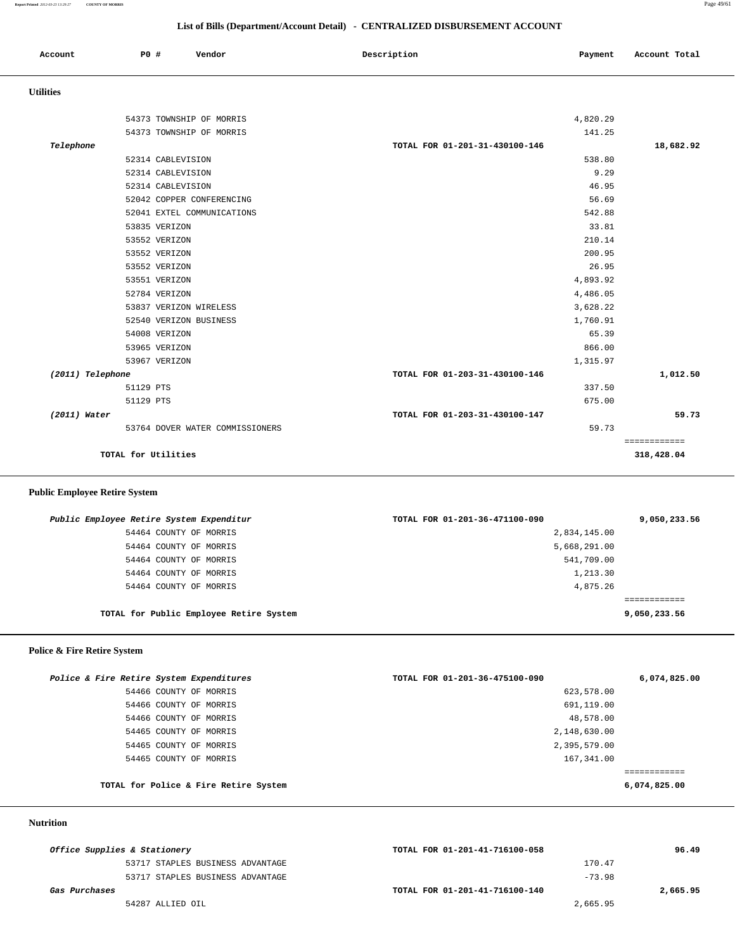## **List of Bills (Department/Account Detail) - CENTRALIZED DISBURSEMENT ACCOUNT**

| Account | PO# | Vendor<br>. | Description | Payment | Account Total |
|---------|-----|-------------|-------------|---------|---------------|
|         |     |             |             |         |               |

## **Utilities**

|                     | 54373 TOWNSHIP OF MORRIS        | 4,820.29                       |              |
|---------------------|---------------------------------|--------------------------------|--------------|
|                     | 54373 TOWNSHIP OF MORRIS        | 141.25                         |              |
| Telephone           |                                 | TOTAL FOR 01-201-31-430100-146 | 18,682.92    |
|                     | 52314 CABLEVISION               | 538.80                         |              |
|                     | 52314 CABLEVISION               | 9.29                           |              |
|                     | 52314 CABLEVISION               | 46.95                          |              |
|                     | 52042 COPPER CONFERENCING       | 56.69                          |              |
|                     | 52041 EXTEL COMMUNICATIONS      | 542.88                         |              |
|                     | 53835 VERIZON                   | 33.81                          |              |
|                     | 53552 VERIZON                   | 210.14                         |              |
|                     | 53552 VERIZON                   | 200.95                         |              |
|                     | 53552 VERIZON                   | 26.95                          |              |
|                     | 53551 VERIZON                   | 4,893.92                       |              |
|                     | 52784 VERIZON                   | 4,486.05                       |              |
|                     | 53837 VERIZON WIRELESS          | 3,628.22                       |              |
|                     | 52540 VERIZON BUSINESS          | 1,760.91                       |              |
|                     | 54008 VERIZON                   | 65.39                          |              |
|                     | 53965 VERIZON                   | 866.00                         |              |
|                     | 53967 VERIZON                   | 1,315.97                       |              |
| (2011) Telephone    |                                 | TOTAL FOR 01-203-31-430100-146 | 1,012.50     |
| 51129 PTS           |                                 | 337.50                         |              |
| 51129 PTS           |                                 | 675.00                         |              |
| $(2011)$ Water      |                                 | TOTAL FOR 01-203-31-430100-147 | 59.73        |
|                     | 53764 DOVER WATER COMMISSIONERS | 59.73                          |              |
|                     |                                 |                                | ============ |
| TOTAL for Utilities |                                 |                                | 318,428.04   |

# **Public Employee Retire System**

| Public Employee Retire System Expenditur |                                         | TOTAL FOR 01-201-36-471100-090 | 9,050,233.56 |
|------------------------------------------|-----------------------------------------|--------------------------------|--------------|
| 54464 COUNTY OF MORRIS                   |                                         | 2,834,145.00                   |              |
| 54464 COUNTY OF MORRIS                   |                                         | 5,668,291.00                   |              |
| 54464 COUNTY OF MORRIS                   |                                         | 541,709.00                     |              |
| 54464 COUNTY OF MORRIS                   |                                         | 1,213.30                       |              |
| 54464 COUNTY OF MORRIS                   |                                         | 4,875.26                       |              |
|                                          |                                         |                                |              |
|                                          | TOTAL for Public Employee Retire System |                                | 9,050,233.56 |
|                                          |                                         |                                |              |

# **Police & Fire Retire System**

| Police & Fire Retire System Expenditures<br>TOTAL FOR 01-201-36-475100-090 | 6,074,825.00 |
|----------------------------------------------------------------------------|--------------|
| 54466 COUNTY OF MORRIS<br>623,578.00                                       |              |
| 691,119.00<br>54466 COUNTY OF MORRIS                                       |              |
| 48,578.00<br>54466 COUNTY OF MORRIS                                        |              |
| 2,148,630.00<br>54465 COUNTY OF MORRIS                                     |              |
| 2,395,579.00<br>54465 COUNTY OF MORRIS                                     |              |
| 167,341.00<br>54465 COUNTY OF MORRIS                                       |              |
|                                                                            |              |
| TOTAL for Police & Fire Retire System                                      | 6,074,825.00 |

### **Nutrition**

|               | Office Supplies & Stationery     | TOTAL FOR 01-201-41-716100-058 |          | 96.49    |
|---------------|----------------------------------|--------------------------------|----------|----------|
|               | 53717 STAPLES BUSINESS ADVANTAGE |                                | 170.47   |          |
|               | 53717 STAPLES BUSINESS ADVANTAGE |                                | $-73.98$ |          |
| Gas Purchases |                                  | TOTAL FOR 01-201-41-716100-140 |          | 2,665.95 |
|               | 54287 ALLIED OIL                 |                                | 2,665.95 |          |